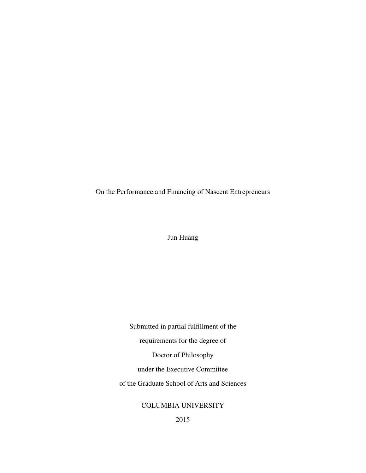On the Performance and Financing of Nascent Entrepreneurs

Jun Huang

Submitted in partial fulfillment of the requirements for the degree of Doctor of Philosophy under the Executive Committee of the Graduate School of Arts and Sciences

COLUMBIA UNIVERSITY

2015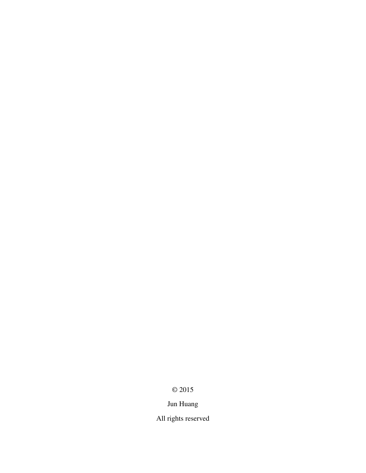# © 2015

# Jun Huang

All rights reserved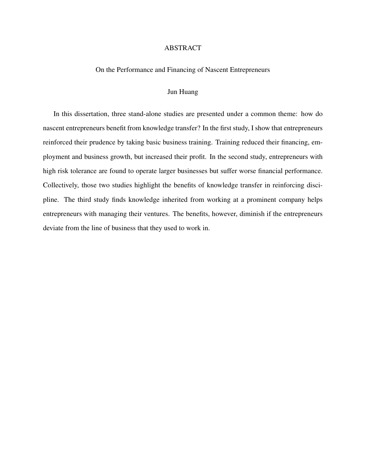#### ABSTRACT

On the Performance and Financing of Nascent Entrepreneurs

#### Jun Huang

In this dissertation, three stand-alone studies are presented under a common theme: how do nascent entrepreneurs benefit from knowledge transfer? In the first study, I show that entrepreneurs reinforced their prudence by taking basic business training. Training reduced their financing, employment and business growth, but increased their profit. In the second study, entrepreneurs with high risk tolerance are found to operate larger businesses but suffer worse financial performance. Collectively, those two studies highlight the benefits of knowledge transfer in reinforcing discipline. The third study finds knowledge inherited from working at a prominent company helps entrepreneurs with managing their ventures. The benefits, however, diminish if the entrepreneurs deviate from the line of business that they used to work in.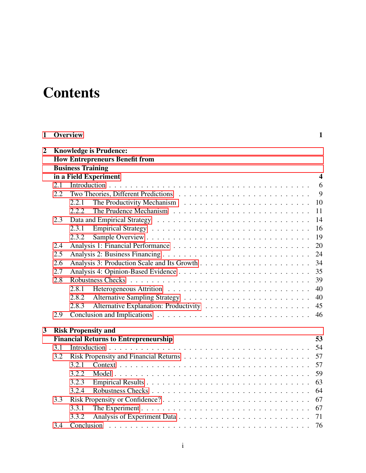# **Contents**

| $\mathbf{1}$   |     | <b>Overview</b>                                                        | $\mathbf{1}$ |
|----------------|-----|------------------------------------------------------------------------|--------------|
| $\overline{2}$ |     | <b>Knowledge is Prudence:</b><br><b>How Entrepreneurs Benefit from</b> |              |
|                |     | <b>Business Training</b>                                               |              |
|                |     | in a Field Experiment                                                  | 4            |
|                | 2.1 |                                                                        | 6            |
|                | 2.2 |                                                                        | 9            |
|                |     | 2.2.1                                                                  | 10           |
|                |     | 2.2.2                                                                  | 11           |
|                | 2.3 |                                                                        | 14           |
|                |     | 2.3.1                                                                  | 16           |
|                |     | 2.3.2                                                                  | 19           |
|                | 2.4 |                                                                        | 20           |
|                |     |                                                                        |              |
|                | 2.5 |                                                                        | 24<br>34     |
|                | 2.6 |                                                                        |              |
|                | 2.7 |                                                                        | 35           |
|                | 2.8 |                                                                        | 39           |
|                |     | 2.8.1                                                                  | 40           |
|                |     | 2.8.2                                                                  | 40           |
|                |     | 2.8.3                                                                  | 45           |
|                | 2.9 |                                                                        | 46           |
| 3              |     | <b>Risk Propensity and</b>                                             |              |
|                |     | <b>Financial Returns to Entrepreneurship</b>                           | 53           |
|                | 3.1 |                                                                        | 54           |
|                | 3.2 |                                                                        | 57           |
|                |     | 3.2.1                                                                  | 57           |
|                |     | 3.2.2                                                                  | 59           |
|                |     | 3.2.3                                                                  | 63           |
|                |     | 3.2.4                                                                  | 64           |
|                | 3.3 |                                                                        | 67           |
|                |     | 3.3.1                                                                  | 67           |
|                |     | 3.3.2                                                                  | 71           |
|                | 3.4 |                                                                        | 76           |
|                |     |                                                                        |              |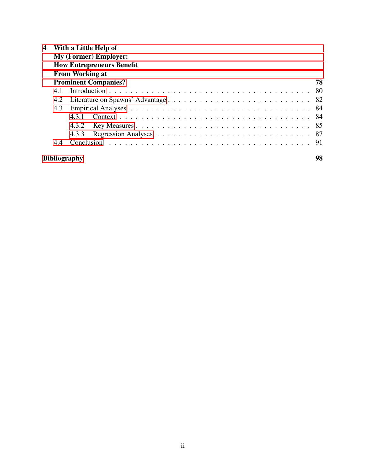| 4 |                                  | With a Little Help of        |     |  |  |  |  |  |  |  |  |  |
|---|----------------------------------|------------------------------|-----|--|--|--|--|--|--|--|--|--|
|   |                                  | <b>My (Former) Employer:</b> |     |  |  |  |  |  |  |  |  |  |
|   | <b>How Entrepreneurs Benefit</b> |                              |     |  |  |  |  |  |  |  |  |  |
|   |                                  | <b>From Working at</b>       |     |  |  |  |  |  |  |  |  |  |
|   |                                  | <b>Prominent Companies?</b>  | 78  |  |  |  |  |  |  |  |  |  |
|   | 4.1                              |                              | -80 |  |  |  |  |  |  |  |  |  |
|   | 4.2                              |                              |     |  |  |  |  |  |  |  |  |  |
|   | 4.3                              |                              | -84 |  |  |  |  |  |  |  |  |  |
|   |                                  | 431                          | -84 |  |  |  |  |  |  |  |  |  |
|   |                                  | 4.3.2                        |     |  |  |  |  |  |  |  |  |  |
|   |                                  | 4.3.3                        |     |  |  |  |  |  |  |  |  |  |
|   | 4.4                              |                              |     |  |  |  |  |  |  |  |  |  |
|   |                                  | <b>Bibliography</b>          | 98  |  |  |  |  |  |  |  |  |  |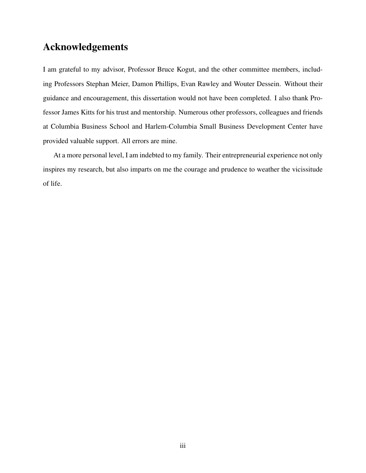## Acknowledgements

I am grateful to my advisor, Professor Bruce Kogut, and the other committee members, including Professors Stephan Meier, Damon Phillips, Evan Rawley and Wouter Dessein. Without their guidance and encouragement, this dissertation would not have been completed. I also thank Professor James Kitts for his trust and mentorship. Numerous other professors, colleagues and friends at Columbia Business School and Harlem-Columbia Small Business Development Center have provided valuable support. All errors are mine.

At a more personal level, I am indebted to my family. Their entrepreneurial experience not only inspires my research, but also imparts on me the courage and prudence to weather the vicissitude of life.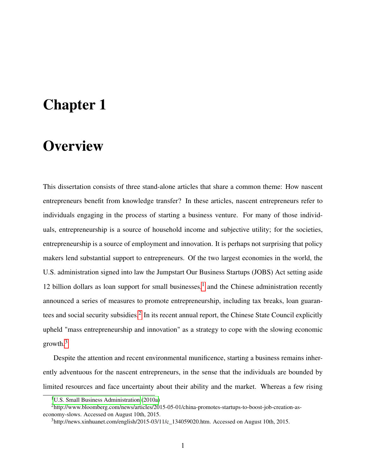# <span id="page-6-0"></span>Chapter 1

# **Overview**

This dissertation consists of three stand-alone articles that share a common theme: How nascent entrepreneurs benefit from knowledge transfer? In these articles, nascent entrepreneurs refer to individuals engaging in the process of starting a business venture. For many of those individuals, entrepreneurship is a source of household income and subjective utility; for the societies, entrepreneurship is a source of employment and innovation. It is perhaps not surprising that policy makers lend substantial support to entrepreneurs. Of the two largest economies in the world, the U.S. administration signed into law the Jumpstart Our Business Startups (JOBS) Act setting aside [1](#page-6-1)2 billion dollars as loan support for small businesses, $<sup>1</sup>$  and the Chinese administration recently</sup> announced a series of measures to promote entrepreneurship, including tax breaks, loan guaran-tees and social security subsidies.<sup>[2](#page-6-2)</sup> In its recent annual report, the Chinese State Council explicitly upheld "mass entrepreneurship and innovation" as a strategy to cope with the slowing economic growth.[3](#page-6-3)

Despite the attention and recent environmental munificence, starting a business remains inherently adventuous for the nascent entrepreneurs, in the sense that the individuals are bounded by limited resources and face uncertainty about their ability and the market. Whereas a few rising

<span id="page-6-2"></span><span id="page-6-1"></span><sup>&</sup>lt;sup>1</sup>[U.S. Small Business Administration](#page-113-0)  $(2010a)$ 

<sup>2</sup>http://www.bloomberg.com/news/articles/2015-05-01/china-promotes-startups-to-boost-job-creation-aseconomy-slows. Accessed on August 10th, 2015.

<span id="page-6-3"></span> $3$ http://news.xinhuanet.com/english/2015-03/11/c 134059020.htm. Accessed on August 10th, 2015.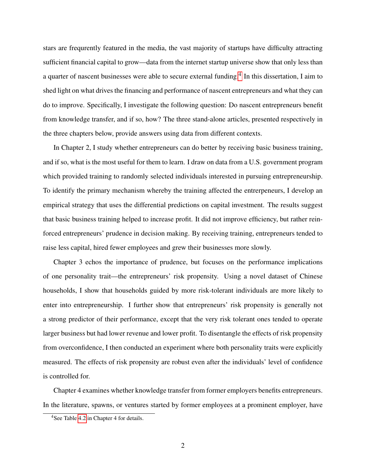stars are frequrently featured in the media, the vast majority of startups have difficulty attracting sufficient financial capital to grow—data from the internet startup universe show that only less than a quarter of nascent businesses were able to secure external funding.<sup>[4](#page-7-0)</sup> In this dissertation, I aim to shed light on what drives the financing and performance of nascent entrepreneurs and what they can do to improve. Specifically, I investigate the following question: Do nascent entrepreneurs benefit from knowledge transfer, and if so, how? The three stand-alone articles, presented respectively in the three chapters below, provide answers using data from different contexts.

In Chapter 2, I study whether entrepreneurs can do better by receiving basic business training, and if so, what is the most useful for them to learn. I draw on data from a U.S. government program which provided training to randomly selected individuals interested in pursuing entrepreneurship. To identify the primary mechanism whereby the training affected the entrerpeneurs, I develop an empirical strategy that uses the differential predictions on capital investment. The results suggest that basic business training helped to increase profit. It did not improve efficiency, but rather reinforced entrepreneurs' prudence in decision making. By receiving training, entrepreneurs tended to raise less capital, hired fewer employees and grew their businesses more slowly.

Chapter 3 echos the importance of prudence, but focuses on the performance implications of one personality trait—the entrepreneurs' risk propensity. Using a novel dataset of Chinese households, I show that households guided by more risk-tolerant individuals are more likely to enter into entrepreneurship. I further show that entrepreneurs' risk propensity is generally not a strong predictor of their performance, except that the very risk tolerant ones tended to operate larger business but had lower revenue and lower profit. To disentangle the effects of risk propensity from overconfidence, I then conducted an experiment where both personality traits were explicitly measured. The effects of risk propensity are robust even after the individuals' level of confidence is controlled for.

Chapter 4 examines whether knowledge transfer from former employers benefits entrepreneurs. In the literature, spawns, or ventures started by former employees at a prominent employer, have

<span id="page-7-0"></span><sup>4</sup>See Table [4.2](#page-92-1) in Chapter 4 for details.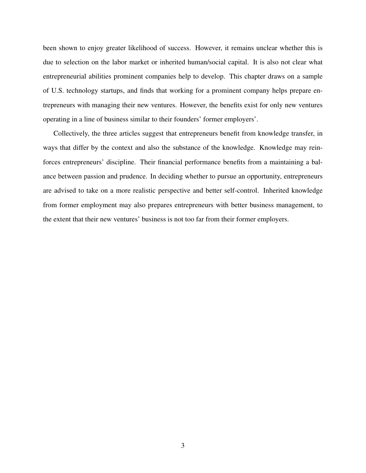been shown to enjoy greater likelihood of success. However, it remains unclear whether this is due to selection on the labor market or inherited human/social capital. It is also not clear what entrepreneurial abilities prominent companies help to develop. This chapter draws on a sample of U.S. technology startups, and finds that working for a prominent company helps prepare entrepreneurs with managing their new ventures. However, the benefits exist for only new ventures operating in a line of business similar to their founders' former employers'.

Collectively, the three articles suggest that entrepreneurs benefit from knowledge transfer, in ways that differ by the context and also the substance of the knowledge. Knowledge may reinforces entrepreneurs' discipline. Their financial performance benefits from a maintaining a balance between passion and prudence. In deciding whether to pursue an opportunity, entrepreneurs are advised to take on a more realistic perspective and better self-control. Inherited knowledge from former employment may also prepares entrepreneurs with better business management, to the extent that their new ventures' business is not too far from their former employers.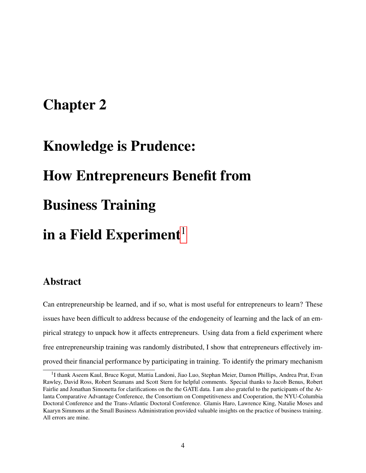# <span id="page-9-0"></span>Chapter 2

# Knowledge is Prudence: How Entrepreneurs Benefit from Business Training in a Field Experiment<sup>[1](#page-9-1)</sup>

# Abstract

Can entrepreneurship be learned, and if so, what is most useful for entrepreneurs to learn? These issues have been difficult to address because of the endogeneity of learning and the lack of an empirical strategy to unpack how it affects entrepreneurs. Using data from a field experiment where free entrepreneurship training was randomly distributed, I show that entrepreneurs effectively improved their financial performance by participating in training. To identify the primary mechanism

<span id="page-9-1"></span><sup>&</sup>lt;sup>1</sup>I thank Aseem Kaul, Bruce Kogut, Mattia Landoni, Jiao Luo, Stephan Meier, Damon Phillips, Andrea Prat, Evan Rawley, David Ross, Robert Seamans and Scott Stern for helpful comments. Special thanks to Jacob Benus, Robert Fairlie and Jonathan Simonetta for clarifications on the the GATE data. I am also grateful to the participants of the Atlanta Comparative Advantage Conference, the Consortium on Competitiveness and Cooperation, the NYU-Columbia Doctoral Conference and the Trans-Atlantic Doctoral Conference. Glamis Haro, Lawrence King, Natalie Moses and Kaaryn Simmons at the Small Business Administration provided valuable insights on the practice of business training. All errors are mine.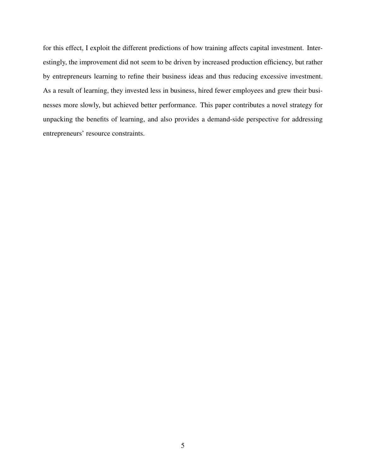for this effect, I exploit the different predictions of how training affects capital investment. Interestingly, the improvement did not seem to be driven by increased production efficiency, but rather by entrepreneurs learning to refine their business ideas and thus reducing excessive investment. As a result of learning, they invested less in business, hired fewer employees and grew their businesses more slowly, but achieved better performance. This paper contributes a novel strategy for unpacking the benefits of learning, and also provides a demand-side perspective for addressing entrepreneurs' resource constraints.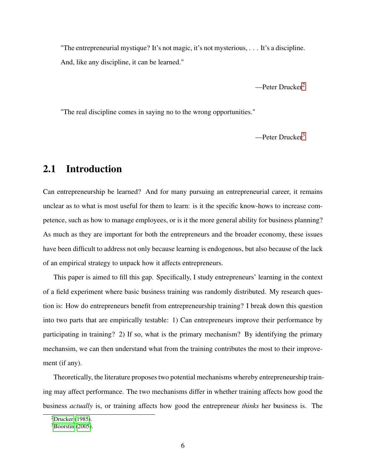"The entrepreneurial mystique? It's not magic, it's not mysterious, . . . It's a discipline. And, like any discipline, it can be learned."

—Peter Drucker[2](#page-11-1)

"The real discipline comes in saying no to the wrong opportunities."

—Peter Drucker[3](#page-11-2)

# <span id="page-11-0"></span>2.1 Introduction

Can entrepreneurship be learned? And for many pursuing an entrepreneurial career, it remains unclear as to what is most useful for them to learn: is it the specific know-hows to increase competence, such as how to manage employees, or is it the more general ability for business planning? As much as they are important for both the entrepreneurs and the broader economy, these issues have been difficult to address not only because learning is endogenous, but also because of the lack of an empirical strategy to unpack how it affects entrepreneurs.

This paper is aimed to fill this gap. Specifically, I study entrepreneurs' learning in the context of a field experiment where basic business training was randomly distributed. My research question is: How do entrepreneurs benefit from entrepreneurship training? I break down this question into two parts that are empirically testable: 1) Can entrepreneurs improve their performance by participating in training? 2) If so, what is the primary mechanism? By identifying the primary mechansim, we can then understand what from the training contributes the most to their improvement (if any).

Theoretically, the literature proposes two potential mechanisms whereby entrepreneurship training may affect performance. The two mechanisms differ in whether training affects how good the business *actually* is, or training affects how good the entrepreneur *thinks* her business is. The

<span id="page-11-1"></span><sup>2</sup>[Drucker](#page-106-0) [\(1985\)](#page-106-0).

<span id="page-11-2"></span> $3$ [Boorstin](#page-104-0) [\(2005\)](#page-104-0).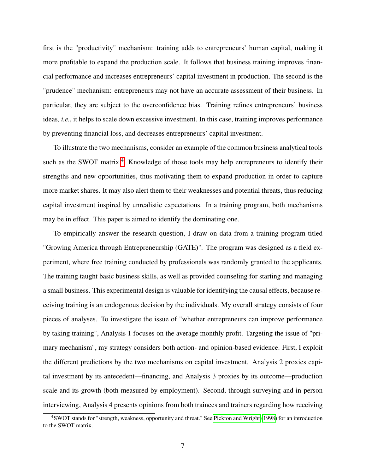first is the "productivity" mechanism: training adds to entrepreneurs' human capital, making it more profitable to expand the production scale. It follows that business training improves financial performance and increases entrepreneurs' capital investment in production. The second is the "prudence" mechanism: entrepreneurs may not have an accurate assessment of their business. In particular, they are subject to the overconfidence bias. Training refines entrepreneurs' business ideas*, i.e.*, it helps to scale down excessive investment. In this case, training improves performance by preventing financial loss, and decreases entrepreneurs' capital investment.

To illustrate the two mechanisms, consider an example of the common business analytical tools such as the SWOT matrix.<sup>[4](#page-12-0)</sup> Knowledge of those tools may help entrepreneurs to identify their strengths and new opportunities, thus motivating them to expand production in order to capture more market shares. It may also alert them to their weaknesses and potential threats, thus reducing capital investment inspired by unrealistic expectations. In a training program, both mechanisms may be in effect. This paper is aimed to identify the dominating one.

To empirically answer the research question, I draw on data from a training program titled "Growing America through Entrepreneurship (GATE)". The program was designed as a field experiment, where free training conducted by professionals was randomly granted to the applicants. The training taught basic business skills, as well as provided counseling for starting and managing a small business. This experimental design is valuable for identifying the causal effects, because receiving training is an endogenous decision by the individuals. My overall strategy consists of four pieces of analyses. To investigate the issue of "whether entrepreneurs can improve performance by taking training", Analysis 1 focuses on the average monthly profit. Targeting the issue of "primary mechanism", my strategy considers both action- and opinion-based evidence. First, I exploit the different predictions by the two mechanisms on capital investment. Analysis 2 proxies capital investment by its antecedent—financing, and Analysis 3 proxies by its outcome—production scale and its growth (both measured by employment). Second, through surveying and in-person interviewing, Analysis 4 presents opinions from both trainees and trainers regarding how receiving

<span id="page-12-0"></span><sup>4</sup>SWOT stands for "strength, weakness, opportunity and threat." See [Pickton and Wright](#page-111-0) [\(1998\)](#page-111-0) for an introduction to the SWOT matrix.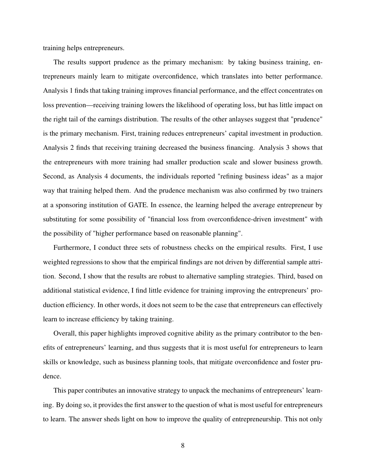training helps entrepreneurs.

The results support prudence as the primary mechanism: by taking business training, entrepreneurs mainly learn to mitigate overconfidence, which translates into better performance. Analysis 1 finds that taking training improves financial performance, and the effect concentrates on loss prevention—receiving training lowers the likelihood of operating loss, but has little impact on the right tail of the earnings distribution. The results of the other anlayses suggest that "prudence" is the primary mechanism. First, training reduces entrepreneurs' capital investment in production. Analysis 2 finds that receiving training decreased the business financing. Analysis 3 shows that the entrepreneurs with more training had smaller production scale and slower business growth. Second, as Analysis 4 documents, the individuals reported "refining business ideas" as a major way that training helped them. And the prudence mechanism was also confirmed by two trainers at a sponsoring institution of GATE. In essence, the learning helped the average entrepreneur by substituting for some possibility of "financial loss from overconfidence-driven investment" with the possibility of "higher performance based on reasonable planning".

Furthermore, I conduct three sets of robustness checks on the empirical results. First, I use weighted regressions to show that the empirical findings are not driven by differential sample attrition. Second, I show that the results are robust to alternative sampling strategies. Third, based on additional statistical evidence, I find little evidence for training improving the entrepreneurs' production efficiency. In other words, it does not seem to be the case that entrepreneurs can effectively learn to increase efficiency by taking training.

Overall, this paper highlights improved cognitive ability as the primary contributor to the benefits of entrepreneurs' learning, and thus suggests that it is most useful for entrepreneurs to learn skills or knowledge, such as business planning tools, that mitigate overconfidence and foster prudence.

This paper contributes an innovative strategy to unpack the mechanims of entrepreneurs' learning. By doing so, it provides the first answer to the question of what is most useful for entrepreneurs to learn. The answer sheds light on how to improve the quality of entrepreneurship. This not only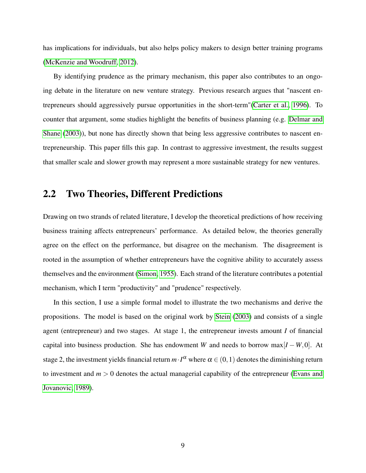has implications for individuals, but also helps policy makers to design better training programs [\(McKenzie and Woodruff, 2012\)](#page-110-0).

By identifying prudence as the primary mechanism, this paper also contributes to an ongoing debate in the literature on new venture strategy. Previous research argues that "nascent entrepreneurs should aggressively pursue opportunities in the short-term"[\(Carter et al., 1996\)](#page-105-0). To counter that argument, some studies highlight the benefits of business planning (e.g. [Delmar and](#page-106-1) [Shane](#page-106-1) [\(2003\)](#page-106-1)), but none has directly shown that being less aggressive contributes to nascent entrepreneurship. This paper fills this gap. In contrast to aggressive investment, the results suggest that smaller scale and slower growth may represent a more sustainable strategy for new ventures.

#### <span id="page-14-0"></span>2.2 Two Theories, Different Predictions

Drawing on two strands of related literature, I develop the theoretical predictions of how receiving business training affects entrepreneurs' performance. As detailed below, the theories generally agree on the effect on the performance, but disagree on the mechanism. The disagreement is rooted in the assumption of whether entrepreneurs have the cognitive ability to accurately assess themselves and the environment [\(Simon, 1955\)](#page-112-0). Each strand of the literature contributes a potential mechanism, which I term "productivity" and "prudence" respectively.

In this section, I use a simple formal model to illustrate the two mechanisms and derive the propositions. The model is based on the original work by [Stein](#page-112-1) [\(2003\)](#page-112-1) and consists of a single agent (entrepreneur) and two stages. At stage 1, the entrepreneur invests amount *I* of financial capital into business production. She has endowment *W* and needs to borrow max $[I - W, 0]$ . At stage 2, the investment yields financial return  $m \cdot I^\alpha$  where  $\alpha \in (0,1)$  denotes the diminishing return to investment and  $m > 0$  denotes the actual managerial capability of the entrepreneur [\(Evans and](#page-107-0) [Jovanovic, 1989\)](#page-107-0).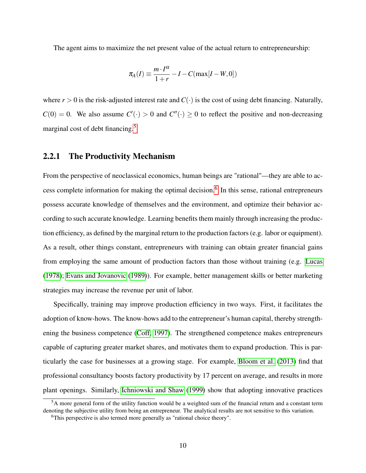The agent aims to maximize the net present value of the actual return to entrepreneurship:

$$
\pi_A(I) \equiv \frac{m \cdot I^{\alpha}}{1+r} - I - C(\max[I - W, 0])
$$

where  $r > 0$  is the risk-adjusted interest rate and  $C(\cdot)$  is the cost of using debt financing. Naturally,  $C(0) = 0$ . We also assume  $C'(\cdot) > 0$  and  $C''(\cdot) \ge 0$  to reflect the positive and non-decreasing marginal cost of debt financing.<sup>[5](#page-15-1)</sup>

#### <span id="page-15-0"></span>2.2.1 The Productivity Mechanism

From the perspective of neoclassical economics, human beings are "rational"—they are able to ac-cess complete information for making the optimal decision.<sup>[6](#page-15-2)</sup> In this sense, rational entrepreneurs possess accurate knowledge of themselves and the environment, and optimize their behavior according to such accurate knowledge. Learning benefits them mainly through increasing the production efficiency, as defined by the marginal return to the production factors (e.g. labor or equipment). As a result, other things constant, entrepreneurs with training can obtain greater financial gains from employing the same amount of production factors than those without training (e.g. [Lucas](#page-110-1) [\(1978\)](#page-110-1); [Evans and Jovanovic](#page-107-0) [\(1989\)](#page-107-0)). For example, better management skills or better marketing strategies may increase the revenue per unit of labor.

Specifically, training may improve production efficiency in two ways. First, it facilitates the adoption of know-hows. The know-hows add to the entrepreneur's human capital, thereby strengthening the business competence [\(Coff, 1997\)](#page-106-2). The strengthened competence makes entrepreneurs capable of capturing greater market shares, and motivates them to expand production. This is particularly the case for businesses at a growing stage. For example, [Bloom et al.](#page-104-1) [\(2013\)](#page-104-1) find that professional consultancy boosts factory productivity by 17 percent on average, and results in more plant openings. Similarly, [Ichniowski and Shaw](#page-109-0) [\(1999\)](#page-109-0) show that adopting innovative practices

<span id="page-15-1"></span><sup>&</sup>lt;sup>5</sup>A more general form of the utility function would be a weighted sum of the financial return and a constant term denoting the subjective utility from being an entrepreneur. The analytical results are not sensitive to this variation.

<span id="page-15-2"></span><sup>&</sup>lt;sup>6</sup>This perspective is also termed more generally as "rational choice theory".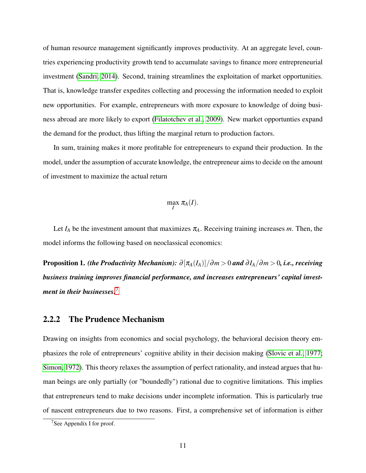of human resource management significantly improves productivity. At an aggregate level, countries experiencing productivity growth tend to accumulate savings to finance more entrepreneurial investment [\(Sandri, 2014\)](#page-112-2). Second, training streamlines the exploitation of market opportunities. That is, knowledge transfer expedites collecting and processing the information needed to exploit new opportunities. For example, entrepreneurs with more exposure to knowledge of doing business abroad are more likely to export [\(Filatotchev et al., 2009\)](#page-107-1). New market opportunties expand the demand for the product, thus lifting the marginal return to production factors.

In sum, training makes it more profitable for entrepreneurs to expand their production. In the model, under the assumption of accurate knowledge, the entrepreneur aims to decide on the amount of investment to maximize the actual return

$$
\max_{I} \pi_A(I).
$$

Let  $I_A$  be the investment amount that maximizes  $\pi_A$ . Receiving training increases *m*. Then, the model informs the following based on neoclassical economics:

Proposition 1. *(the Productivity Mechanism):*  $\partial [\pi_A(I_A)]/\partial m > 0$  and  $\partial I_A/\partial m > 0$ , *i.e., receiving business training improves financial performance, and increases entrepreneurs' capital investment in their businesses.*[7](#page-16-1)

#### <span id="page-16-0"></span>2.2.2 The Prudence Mechanism

Drawing on insights from economics and social psychology, the behavioral decision theory emphasizes the role of entrepreneurs' cognitive ability in their decision making [\(Slovic et al., 1977;](#page-112-3) [Simon, 1972\)](#page-112-4). This theory relaxes the assumption of perfect rationality, and instead argues that human beings are only partially (or "boundedly") rational due to cognitive limitations. This implies that entrepreneurs tend to make decisions under incomplete information. This is particularly true of nascent entrepreneurs due to two reasons. First, a comprehensive set of information is either

<span id="page-16-1"></span><sup>7</sup>See Appendix I for proof.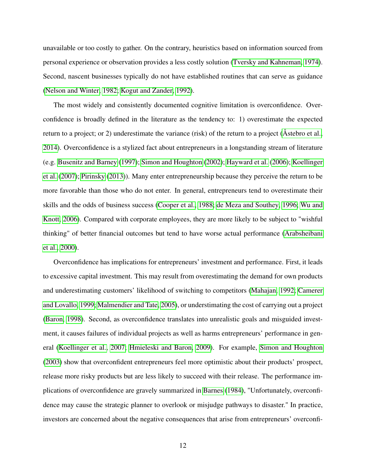unavailable or too costly to gather. On the contrary, heuristics based on information sourced from personal experience or observation provides a less costly solution [\(Tversky and Kahneman, 1974\)](#page-113-1). Second, nascent businesses typically do not have established routines that can serve as guidance [\(Nelson and Winter, 1982;](#page-111-1) [Kogut and Zander, 1992\)](#page-110-2).

The most widely and consistently documented cognitive limitation is overconfidence. Overconfidence is broadly defined in the literature as the tendency to: 1) overestimate the expected return to a project; or 2) underestimate the variance (risk) of the return to a project (Astebro et al., [2014\)](#page-103-0). Overconfidence is a stylized fact about entrepreneurs in a longstanding stream of literature (e.g. [Busenitz and Barney](#page-105-1) [\(1997\)](#page-105-1); [Simon and Houghton](#page-112-5) [\(2002\)](#page-112-5); [Hayward et al.](#page-108-0) [\(2006\)](#page-108-0); [Koellinger](#page-109-1) [et al.](#page-109-1) [\(2007\)](#page-109-1); [Pirinsky](#page-111-2) [\(2013\)](#page-111-2)). Many enter entrepreneurship because they perceive the return to be more favorable than those who do not enter. In general, entrepreneurs tend to overestimate their skills and the odds of business success [\(Cooper et al., 1988;](#page-106-3) [de Meza and Southey, 1996;](#page-106-4) [Wu and](#page-113-2) [Knott, 2006\)](#page-113-2). Compared with corporate employees, they are more likely to be subject to "wishful thinking" of better financial outcomes but tend to have worse actual performance [\(Arabsheibani](#page-103-1) [et al., 2000\)](#page-103-1).

Overconfidence has implications for entrepreneurs' investment and performance. First, it leads to excessive capital investment. This may result from overestimating the demand for own products and underestimating customers' likelihood of switching to competitors [\(Mahajan, 1992;](#page-110-3) [Camerer](#page-105-2) [and Lovallo, 1999;](#page-105-2) [Malmendier and Tate, 2005\)](#page-110-4), or understimating the cost of carrying out a project [\(Baron, 1998\)](#page-104-2). Second, as overconfidence translates into unrealistic goals and misguided investment, it causes failures of individual projects as well as harms entrepreneurs' performance in general [\(Koellinger et al., 2007;](#page-109-1) [Hmieleski and Baron, 2009\)](#page-108-1). For example, [Simon and Houghton](#page-112-6) [\(2003\)](#page-112-6) show that overconfident entrepreneurs feel more optimistic about their products' prospect, release more risky products but are less likely to succeed with their release. The performance implications of overconfidence are gravely summarized in [Barnes](#page-103-2) [\(1984\)](#page-103-2), "Unfortunately, overconfidence may cause the strategic planner to overlook or misjudge pathways to disaster." In practice, investors are concerned about the negative consequences that arise from entrepreneurs' overconfi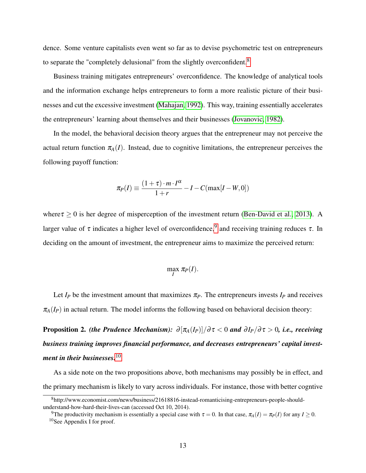dence. Some venture capitalists even went so far as to devise psychometric test on entrepreneurs to separate the "completely delusional" from the slightly overconfident.<sup>[8](#page-18-0)</sup>

Business training mitigates entrepreneurs' overconfidence. The knowledge of analytical tools and the information exchange helps entrepreneurs to form a more realistic picture of their businesses and cut the excessive investment [\(Mahajan, 1992\)](#page-110-3). This way, training essentially accelerates the entrepreneurs' learning about themselves and their businesses [\(Jovanovic, 1982\)](#page-109-2).

In the model, the behavioral decision theory argues that the entrepreneur may not perceive the actual return function  $\pi_A(I)$ . Instead, due to cognitive limitations, the entrepreneur perceives the following payoff function:

$$
\pi_P(I) \equiv \frac{(1+\tau) \cdot m \cdot I^{\alpha}}{1+r} - I - C(\max[I-W,0])
$$

where  $\tau > 0$  is her degree of misperception of the investment return [\(Ben-David et al., 2013\)](#page-104-3). A larger value of  $\tau$  indicates a higher level of overconfidence,  $9$  and receiving training reduces  $\tau$ . In deciding on the amount of investment, the entrepreneur aims to maximize the perceived return:

$$
\max_{I} \pi_{P}(I).
$$

Let  $I_P$  be the investment amount that maximizes  $\pi_P$ . The entrepreneurs invests  $I_P$  and receives  $\pi_A(I_P)$  in actual return. The model informs the following based on behavioral decision theory:

**Proposition 2.** *(the Prudence Mechanism):*  $\partial [\pi_A(I_P)]/\partial \tau < 0$  *and*  $\partial I_P/\partial \tau > 0$ *, i.e., receiving business training improves financial performance, and decreases entrepreneurs' capital investment in their businesses.*[10](#page-18-2)

As a side note on the two propositions above, both mechanisms may possibly be in effect, and the primary mechanism is likely to vary across individuals. For instance, those with better cogntive

<span id="page-18-0"></span><sup>8</sup>http://www.economist.com/news/business/21618816-instead-romanticising-entrepreneurs-people-shouldunderstand-how-hard-their-lives-can (accessed Oct 10, 2014).

<span id="page-18-2"></span><span id="page-18-1"></span><sup>&</sup>lt;sup>9</sup>The productivity mechanism is essentially a special case with  $\tau = 0$ . In that case,  $\pi_A(I) = \pi_P(I)$  for any  $I \ge 0$ . <sup>10</sup>See Appendix I for proof.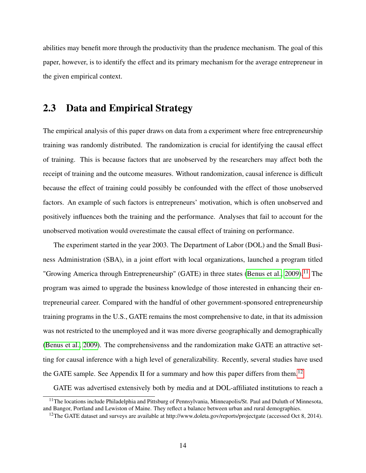abilities may benefit more through the productivity than the prudence mechanism. The goal of this paper, however, is to identify the effect and its primary mechanism for the average entrepreneur in the given empirical context.

#### <span id="page-19-0"></span>2.3 Data and Empirical Strategy

The empirical analysis of this paper draws on data from a experiment where free entrepreneurship training was randomly distributed. The randomization is crucial for identifying the causal effect of training. This is because factors that are unobserved by the researchers may affect both the receipt of training and the outcome measures. Without randomization, causal inference is difficult because the effect of training could possibly be confounded with the effect of those unobserved factors. An example of such factors is entrepreneurs' motivation, which is often unobserved and positively influences both the training and the performance. Analyses that fail to account for the unobserved motivation would overestimate the causal effect of training on performance.

The experiment started in the year 2003. The Department of Labor (DOL) and the Small Business Administration (SBA), in a joint effort with local organizations, launched a program titled "Growing America through Entrepreneurship" (GATE) in three states [\(Benus et al., 2009\)](#page-104-4).<sup>[11](#page-19-1)</sup> The program was aimed to upgrade the business knowledge of those interested in enhancing their entrepreneurial career. Compared with the handful of other government-sponsored entrepreneurship training programs in the U.S., GATE remains the most comprehensive to date, in that its admission was not restricted to the unemployed and it was more diverse geographically and demographically [\(Benus et al., 2009\)](#page-104-4). The comprehensivenss and the randomization make GATE an attractive setting for causal inference with a high level of generalizability. Recently, several studies have used the GATE sample. See Appendix II for a summary and how this paper differs from them.<sup>[12](#page-19-2)</sup>

GATE was advertised extensively both by media and at DOL-affiliated institutions to reach a

<span id="page-19-1"></span><sup>&</sup>lt;sup>11</sup>The locations include Philadelphia and Pittsburg of Pennsylvania, Minneapolis/St. Paul and Duluth of Minnesota, and Bangor, Portland and Lewiston of Maine. They reflect a balance between urban and rural demographies.

<span id="page-19-2"></span><sup>&</sup>lt;sup>12</sup>The GATE dataset and surveys are available at http://www.doleta.gov/reports/projectgate (accessed Oct 8, 2014).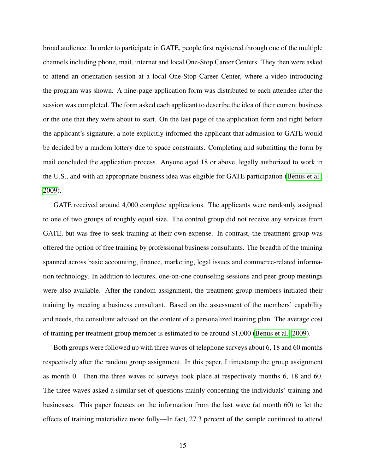broad audience. In order to participate in GATE, people first registered through one of the multiple channels including phone, mail, internet and local One-Stop Career Centers. They then were asked to attend an orientation session at a local One-Stop Career Center, where a video introducing the program was shown. A nine-page application form was distributed to each attendee after the session was completed. The form asked each applicant to describe the idea of their current business or the one that they were about to start. On the last page of the application form and right before the applicant's signature, a note explicitly informed the applicant that admission to GATE would be decided by a random lottery due to space constraints. Completing and submitting the form by mail concluded the application process. Anyone aged 18 or above, legally authorized to work in the U.S., and with an appropriate business idea was eligible for GATE participation [\(Benus et al.,](#page-104-4) [2009\)](#page-104-4).

GATE received around 4,000 complete applications. The applicants were randomly assigned to one of two groups of roughly equal size. The control group did not receive any services from GATE, but was free to seek training at their own expense. In contrast, the treatment group was offered the option of free training by professional business consultants. The breadth of the training spanned across basic accounting, finance, marketing, legal issues and commerce-related information technology. In addition to lectures, one-on-one counseling sessions and peer group meetings were also available. After the random assignment, the treatment group members initiated their training by meeting a business consultant. Based on the assessment of the members' capability and needs, the consultant advised on the content of a personalized training plan. The average cost of training per treatment group member is estimated to be around \$1,000 [\(Benus et al., 2009\)](#page-104-4).

Both groups were followed up with three waves of telephone surveys about 6, 18 and 60 months respectively after the random group assignment. In this paper, I timestamp the group assignment as month 0. Then the three waves of surveys took place at respectively months 6, 18 and 60. The three waves asked a similar set of questions mainly concerning the individuals' training and businesses. This paper focuses on the information from the last wave (at month 60) to let the effects of training materialize more fully—In fact, 27.3 percent of the sample continued to attend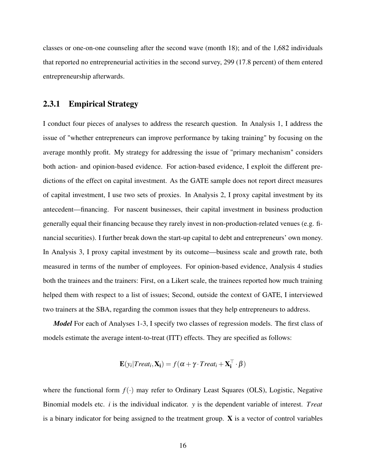classes or one-on-one counseling after the second wave (month 18); and of the 1,682 individuals that reported no entrepreneurial activities in the second survey, 299 (17.8 percent) of them entered entrepreneurship afterwards.

#### <span id="page-21-0"></span>2.3.1 Empirical Strategy

I conduct four pieces of analyses to address the research question. In Analysis 1, I address the issue of "whether entrepreneurs can improve performance by taking training" by focusing on the average monthly profit. My strategy for addressing the issue of "primary mechanism" considers both action- and opinion-based evidence. For action-based evidence, I exploit the different predictions of the effect on capital investment. As the GATE sample does not report direct measures of capital investment, I use two sets of proxies. In Analysis 2, I proxy capital investment by its antecedent—financing. For nascent businesses, their capital investment in business production generally equal their financing because they rarely invest in non-production-related venues (e.g. financial securities). I further break down the start-up capital to debt and entrepreneurs' own money. In Analysis 3, I proxy capital investment by its outcome—business scale and growth rate, both measured in terms of the number of employees. For opinion-based evidence, Analysis 4 studies both the trainees and the trainers: First, on a Likert scale, the trainees reported how much training helped them with respect to a list of issues; Second, outside the context of GATE, I interviewed two trainers at the SBA, regarding the common issues that they help entrepreneurs to address.

*Model* For each of Analyses 1-3, I specify two classes of regression models. The first class of models estimate the average intent-to-treat (ITT) effects. They are specified as follows:

$$
\mathbf{E}(y_i | \text{Treat}_i, \mathbf{X_i}) = f(\boldsymbol{\alpha} + \boldsymbol{\gamma} \cdot \text{Treat}_i + \mathbf{X_i^{\top}} \cdot \boldsymbol{\beta})
$$

where the functional form  $f(\cdot)$  may refer to Ordinary Least Squares (OLS), Logistic, Negative Binomial models etc. *i* is the individual indicator. *y* is the dependent variable of interest. *Treat* is a binary indicator for being assigned to the treatment group. X is a vector of control variables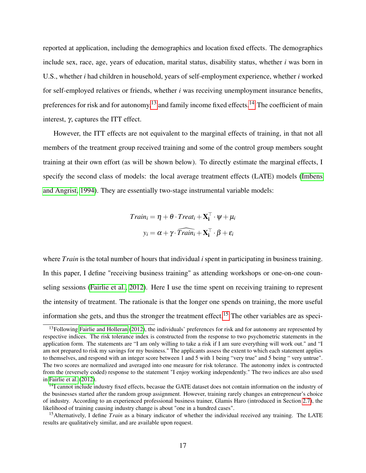reported at application, including the demographics and location fixed effects. The demographics include sex, race, age, years of education, marital status, disability status, whether *i* was born in U.S., whether *i* had children in household, years of self-employment experience, whether *i* worked for self-employed relatives or friends, whether *i* was receiving unemployment insurance benefits, preferences for risk and for autonomy,<sup>[13](#page-22-0)</sup> and family income fixed effects.<sup>[14](#page-22-1)</sup> The coefficient of main interest, γ, captures the ITT effect.

However, the ITT effects are not equivalent to the marginal effects of training, in that not all members of the treatment group received training and some of the control group members sought training at their own effort (as will be shown below). To directly estimate the marginal effects, I specify the second class of models: the local average treatment effects (LATE) models [\(Imbens](#page-109-3) [and Angrist, 1994\)](#page-109-3). They are essentially two-stage instrumental variable models:

$$
Train_i = \eta + \theta \cdot Treat_i + \mathbf{X_i^{\top}} \cdot \psi + \mu_i
$$

$$
y_i = \alpha + \gamma \cdot \widehat{Train_i} + \mathbf{X_i^{\top}} \cdot \beta + \varepsilon_i
$$

where *Train* is the total number of hours that individual *i* spent in participating in business training. In this paper, I define "receiving business training" as attending workshops or one-on-one counseling sessions [\(Fairlie et al., 2012\)](#page-107-2). Here I use the time spent on receiving training to represent the intensity of treatment. The rationale is that the longer one spends on training, the more useful information she gets, and thus the stronger the treatment effect.<sup>[15](#page-22-2)</sup> The other variables are as speci-

<span id="page-22-0"></span> $13$ Following [Fairlie and Holleran](#page-107-3) [\(2012\)](#page-107-3), the individuals' preferences for risk and for autonomy are represented by respective indices. The risk tolerance index is constructed from the response to two psychometric statements in the application form. The statements are "I am only willing to take a risk if I am sure everything will work out." and "I am not prepared to risk my savings for my business." The applicants assess the extent to which each statement applies to themselves, and respond with an integer score between 1 and 5 with 1 being "very true" and 5 being " very untrue". The two scores are normalized and averaged into one measure for risk tolerance. The autonomy index is contructed from the (reversely coded) response to the statement "I enjoy working independently." The two indices are also used in [Fairlie et al.](#page-107-2) [\(2012\)](#page-107-2).

<span id="page-22-1"></span><sup>&</sup>lt;sup>14</sup>I cannot include industry fixed effects, becasue the GATE dataset does not contain information on the industry of the businesses started after the random group assignment. However, training rarely changes an entrepreneur's choice of industry. According to an experienced professional business trainer, Glamis Haro (introduced in Section [2.7\)](#page-40-0), the likelihood of training causing industry change is about "one in a hundred cases".

<span id="page-22-2"></span><sup>&</sup>lt;sup>15</sup>Alternatively, I define *Train* as a binary indicator of whether the individual received any training. The LATE results are qualitatively similar, and are available upon request.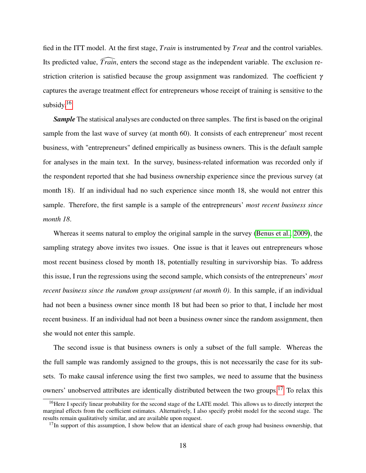fied in the ITT model. At the first stage, *Train* is instrumented by *Treat* and the control variables. Its predicted value,  $\widehat{Train}$ , enters the second stage as the independent variable. The exclusion restriction criterion is satisfied because the group assignment was randomized. The coefficient  $\gamma$ captures the average treatment effect for entrepreneurs whose receipt of training is sensitive to the subsidy. $16$ 

**Sample** The statisical analyses are conducted on three samples. The first is based on the original sample from the last wave of survey (at month 60). It consists of each entrepreneur' most recent business, with "entrepreneurs" defined empirically as business owners. This is the default sample for analyses in the main text. In the survey, business-related information was recorded only if the respondent reported that she had business ownership experience since the previous survey (at month 18). If an individual had no such experience since month 18, she would not entrer this sample. Therefore, the first sample is a sample of the entrepreneurs' *most recent business since month 18*.

Whereas it seems natural to employ the original sample in the survey [\(Benus et al., 2009\)](#page-104-4), the sampling strategy above invites two issues. One issue is that it leaves out entrepreneurs whose most recent business closed by month 18, potentially resulting in survivorship bias. To address this issue, I run the regressions using the second sample, which consists of the entrepreneurs' *most recent business since the random group assignment (at month 0)*. In this sample, if an individual had not been a business owner since month 18 but had been so prior to that, I include her most recent business. If an individual had not been a business owner since the random assignment, then she would not enter this sample.

The second issue is that business owners is only a subset of the full sample. Whereas the the full sample was randomly assigned to the groups, this is not necessarily the case for its subsets. To make causal inference using the first two samples, we need to assume that the business owners' unobserved attributes are identically distributed between the two groups.[17](#page-23-1) To relax this

<span id="page-23-0"></span><sup>&</sup>lt;sup>16</sup>Here I specify linear probability for the second stage of the LATE model. This allows us to directly interpret the marginal effects from the coefficient estimates. Alternatively, I also specify probit model for the second stage. The results remain qualitatively similar, and are available upon request.

<span id="page-23-1"></span> $17$ In support of this assumption, I show below that an identical share of each group had business ownership, that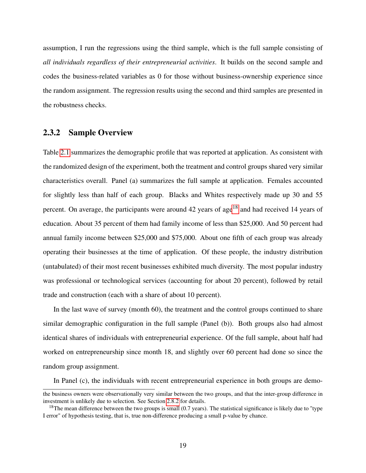assumption, I run the regressions using the third sample, which is the full sample consisting of *all individuals regardless of their entrepreneurial activities*. It builds on the second sample and codes the business-related variables as 0 for those without business-ownership experience since the random assignment. The regression results using the second and third samples are presented in the robustness checks.

#### <span id="page-24-0"></span>2.3.2 Sample Overview

Table [2.1](#page-26-0) summarizes the demographic profile that was reported at application. As consistent with the randomized design of the experiment, both the treatment and control groups shared very similar characteristics overall. Panel (a) summarizes the full sample at application. Females accounted for slightly less than half of each group. Blacks and Whites respectively made up 30 and 55 percent. On average, the participants were around 42 years of age<sup>[18](#page-24-1)</sup> and had received 14 years of education. About 35 percent of them had family income of less than \$25,000. And 50 percent had annual family income between \$25,000 and \$75,000. About one fifth of each group was already operating their businesses at the time of application. Of these people, the industry distribution (untabulated) of their most recent businesses exhibited much diversity. The most popular industry was professional or technological services (accounting for about 20 percent), followed by retail trade and construction (each with a share of about 10 percent).

In the last wave of survey (month 60), the treatment and the control groups continued to share similar demographic configuration in the full sample (Panel (b)). Both groups also had almost identical shares of individuals with entrepreneurial experience. Of the full sample, about half had worked on entrepreneurship since month 18, and slightly over 60 percent had done so since the random group assignment.

In Panel (c), the individuals with recent entrepreneurial experience in both groups are demo-

the business owners were observationally very similar between the two groups, and that the inter-group difference in investment is unlikely due to selection. See Section [2.8.2](#page-45-1) for details.

<span id="page-24-1"></span><sup>&</sup>lt;sup>18</sup>The mean difference between the two groups is small  $(0.7 \text{ years})$ . The statistical significance is likely due to "type" I error" of hypothesis testing, that is, true non-difference producing a small p-value by chance.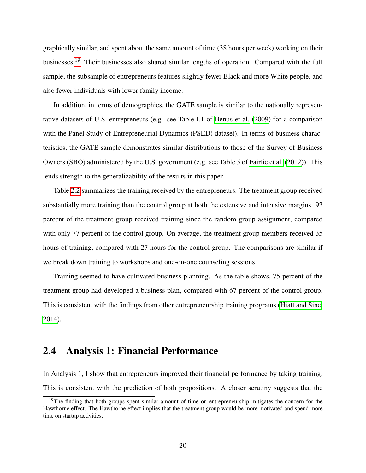graphically similar, and spent about the same amount of time (38 hours per week) working on their businesses.<sup>[19](#page-25-1)</sup> Their businesses also shared similar lengths of operation. Compared with the full sample, the subsample of entrepreneurs features slightly fewer Black and more White people, and also fewer individuals with lower family income.

In addition, in terms of demographics, the GATE sample is similar to the nationally representative datasets of U.S. entrepreneurs (e.g. see Table I.1 of [Benus et al.](#page-104-4) [\(2009\)](#page-104-4) for a comparison with the Panel Study of Entrepreneurial Dynamics (PSED) dataset). In terms of business characteristics, the GATE sample demonstrates similar distributions to those of the Survey of Business Owners (SBO) administered by the U.S. government (e.g. see Table 5 of [Fairlie et al.](#page-107-2) [\(2012\)](#page-107-2)). This lends strength to the generalizability of the results in this paper.

Table [2.2](#page-27-0) summarizes the training received by the entrepreneurs. The treatment group received substantially more training than the control group at both the extensive and intensive margins. 93 percent of the treatment group received training since the random group assignment, compared with only 77 percent of the control group. On average, the treatment group members received 35 hours of training, compared with 27 hours for the control group. The comparisons are similar if we break down training to workshops and one-on-one counseling sessions.

Training seemed to have cultivated business planning. As the table shows, 75 percent of the treatment group had developed a business plan, compared with 67 percent of the control group. This is consistent with the findings from other entrepreneurship training programs [\(Hiatt and Sine,](#page-108-2) [2014\)](#page-108-2).

## <span id="page-25-0"></span>2.4 Analysis 1: Financial Performance

In Analysis 1, I show that entrepreneurs improved their financial performance by taking training. This is consistent with the prediction of both propositions. A closer scrutiny suggests that the

<span id="page-25-1"></span><sup>&</sup>lt;sup>19</sup>The finding that both groups spent similar amount of time on entrepreneurship mitigates the concern for the Hawthorne effect. The Hawthorne effect implies that the treatment group would be more motivated and spend more time on startup activities.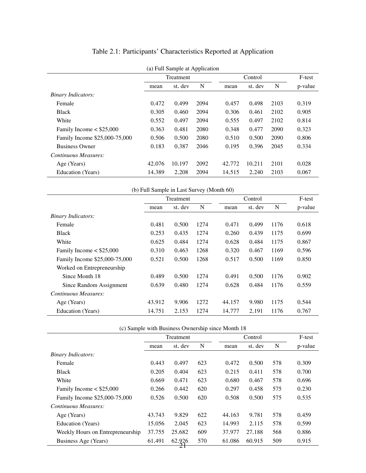| (a) Full Sample at Application |        |                  |      |        |         |      |         |
|--------------------------------|--------|------------------|------|--------|---------|------|---------|
|                                |        | <b>Treatment</b> |      |        | Control |      |         |
|                                | mean   | st. dev          | N    | mean   | st. dev | N    | p-value |
| <b>Binary Indicators:</b>      |        |                  |      |        |         |      |         |
| Female                         | 0.472  | 0.499            | 2094 | 0.457  | 0.498   | 2103 | 0.319   |
| <b>Black</b>                   | 0.305  | 0.460            | 2094 | 0.306  | 0.461   | 2102 | 0.905   |
| White                          | 0.552  | 0.497            | 2094 | 0.555  | 0.497   | 2102 | 0.814   |
| Family Income $<$ \$25,000     | 0.363  | 0.481            | 2080 | 0.348  | 0.477   | 2090 | 0.323   |
| Family Income \$25,000-75,000  | 0.506  | 0.500            | 2080 | 0.510  | 0.500   | 2090 | 0.806   |
| <b>Business Owner</b>          | 0.183  | 0.387            | 2046 | 0.195  | 0.396   | 2045 | 0.334   |
| Continuous Measures:           |        |                  |      |        |         |      |         |
| Age (Years)                    | 42,076 | 10.197           | 2092 | 42.772 | 10.211  | 2101 | 0.028   |
| Education (Years)              | 14.389 | 2.208            | 2094 | 14.515 | 2.240   | 2103 | 0.067   |

# <span id="page-26-0"></span>Table 2.1: Participants' Characteristics Reported at Application

|                               | (b) Full Sample in Last Survey (Month 60) |           |      |        |         |      |         |
|-------------------------------|-------------------------------------------|-----------|------|--------|---------|------|---------|
|                               |                                           | Treatment |      |        | Control |      |         |
|                               | mean                                      | st. dev   | N    | mean   | st. dev | N    | p-value |
| <b>Binary Indicators:</b>     |                                           |           |      |        |         |      |         |
| Female                        | 0.481                                     | 0.500     | 1274 | 0.471  | 0.499   | 1176 | 0.618   |
| <b>Black</b>                  | 0.253                                     | 0.435     | 1274 | 0.260  | 0.439   | 1175 | 0.699   |
| White                         | 0.625                                     | 0.484     | 1274 | 0.628  | 0.484   | 1175 | 0.867   |
| Family Income $\le$ \$25,000  | 0.310                                     | 0.463     | 1268 | 0.320  | 0.467   | 1169 | 0.596   |
| Family Income \$25,000-75,000 | 0.521                                     | 0.500     | 1268 | 0.517  | 0.500   | 1169 | 0.850   |
| Worked on Entrepreneurship    |                                           |           |      |        |         |      |         |
| Since Month 18                | 0.489                                     | 0.500     | 1274 | 0.491  | 0.500   | 1176 | 0.902   |
| Since Random Assignment       | 0.639                                     | 0.480     | 1274 | 0.628  | 0.484   | 1176 | 0.559   |
| Continuous Measures:          |                                           |           |      |        |         |      |         |
| Age (Years)                   | 43.912                                    | 9.906     | 1272 | 44.157 | 9.980   | 1175 | 0.544   |
| Education (Years)             | 14.751                                    | 2.153     | 1274 | 14.777 | 2.191   | 1176 | 0.767   |

|                                  |        |           |     | (c) Sample with Business Ownership since Month 18 |         |     |         |
|----------------------------------|--------|-----------|-----|---------------------------------------------------|---------|-----|---------|
|                                  |        | Treatment |     |                                                   | Control |     |         |
|                                  | mean   | st. dev   | N   | mean                                              | st. dev | N   | p-value |
| <b>Binary Indicators:</b>        |        |           |     |                                                   |         |     |         |
| Female                           | 0.443  | 0.497     | 623 | 0.472                                             | 0.500   | 578 | 0.309   |
| <b>Black</b>                     | 0.205  | 0.404     | 623 | 0.215                                             | 0.411   | 578 | 0.700   |
| White                            | 0.669  | 0.471     | 623 | 0.680                                             | 0.467   | 578 | 0.696   |
| Family Income $<$ \$25,000       | 0.266  | 0.442     | 620 | 0.297                                             | 0.458   | 575 | 0.230   |
| Family Income \$25,000-75,000    | 0.526  | 0.500     | 620 | 0.508                                             | 0.500   | 575 | 0.535   |
| Continuous Measures:             |        |           |     |                                                   |         |     |         |
| Age (Years)                      | 43.743 | 9.829     | 622 | 44.163                                            | 9.781   | 578 | 0.459   |
| Education (Years)                | 15.056 | 2.045     | 623 | 14.993                                            | 2.115   | 578 | 0.599   |
| Weekly Hours on Entrepreneurship | 37.755 | 25.682    | 609 | 37.977                                            | 27.188  | 568 | 0.886   |
| Business Age (Years)             | 61.491 | 62.926    | 570 | 61.086                                            | 60.915  | 509 | 0.915   |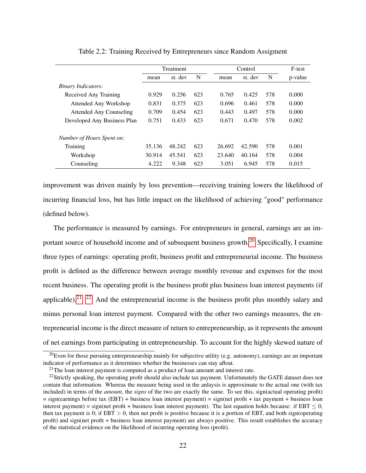|                                | Treatment |         |     | Control |         |     | F-test  |
|--------------------------------|-----------|---------|-----|---------|---------|-----|---------|
|                                | mean      | st. dev | N   | mean    | st. dev | N   | p-value |
| <i>Binary Indicators:</i>      |           |         |     |         |         |     |         |
| Received Any Training          | 0.929     | 0.256   | 623 | 0.765   | 0.425   | 578 | 0.000   |
| Attended Any Workshop          | 0.831     | 0.375   | 623 | 0.696   | 0.461   | 578 | 0.000   |
| <b>Attended Any Counseling</b> | 0.709     | 0.454   | 623 | 0.443   | 0.497   | 578 | 0.000   |
| Developed Any Business Plan    | 0.751     | 0.433   | 623 | 0.671   | 0.470   | 578 | 0.002   |
|                                |           |         |     |         |         |     |         |
| Number of Hours Spent on:      |           |         |     |         |         |     |         |
| Training                       | 35.136    | 48.242  | 623 | 26.692  | 42.590  | 578 | 0.001   |
| Workshop                       | 30.914    | 45.541  | 623 | 23.640  | 40.164  | 578 | 0.004   |
| Counseling                     | 4.222     | 9.348   | 623 | 3.051   | 6.945   | 578 | 0.015   |

#### <span id="page-27-0"></span>Table 2.2: Training Received by Entrepreneurs since Random Assigment

improvement was driven mainly by loss prevention—receiving training lowers the likelihood of incurring financial loss, but has little impact on the likelihood of achieving "good" performance (defined below).

The performance is measured by earnings. For entrepreneurs in general, earnings are an im-portant source of household income and of subsequent business growth.<sup>[20](#page-27-1)</sup> Specifically, I examine three types of earnings: operating profit, business profit and entrepreneurial income. The business profit is defined as the difference between average monthly revenue and expenses for the most recent business. The operating profit is the business profit plus business loan interest payments (if applicable).<sup>[21](#page-27-2) [22](#page-27-3)</sup> And the entrepreneurial income is the business profit plus monthly salary and minus personal loan interest payment. Compared with the other two earnings measures, the entrepreneurial income is the direct measure of return to entrepreneurship, as it represents the amount of net earnings from participating in entrepreneurship. To account for the highly skewed nature of

<span id="page-27-1"></span> $20$ Even for those pursuing entrepreneurship mainly for subjective utility (e.g. autonomy), earnings are an important indicator of performance as it determines whether the businesses can stay afloat.

<span id="page-27-3"></span><span id="page-27-2"></span> $21$ The loan interest payment is computed as a product of loan amount and interest rate.

 $^{22}$ Strictly speaking, the operating profit should also include tax payment. Unfortunately the GATE dataset does not contain that information. Whereas the measure being used in the anlaysis is approximate to the actual one (with tax included) in terms of the *amount*, the *signs* of the two are exactly the same. To see this, sign(actual operating profit)  $=$  sign(earnings before tax (EBT) + business loan interest payment) = sign(net profit + tax payment + business loan interest payment) = sign(net profit + business loan interest payment). The last equation holds because: if  $EBT \leq 0$ , then tax payment is 0; if  $EBT > 0$ , then net profit is positive because it is a portion of  $EBT$ , and both sign(operating profit) and sign(net profit + business loan interest payment) are always positive. This result establishes the accuracy of the statistical evidence on the likelihood of incurring operating loss (profit).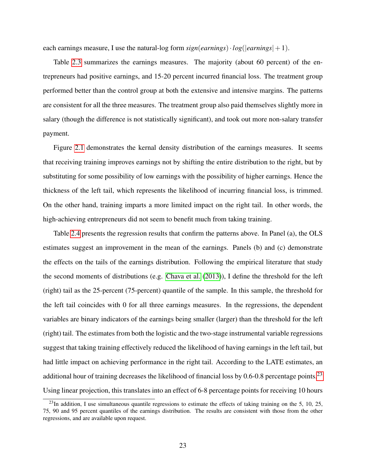each earnings measure, I use the natural-log form  $sign(earnings) \cdot log( |earnings| + 1)$ .

Table [2.3](#page-29-1) summarizes the earnings measures. The majority (about 60 percent) of the entrepreneurs had positive earnings, and 15-20 percent incurred financial loss. The treatment group performed better than the control group at both the extensive and intensive margins. The patterns are consistent for all the three measures. The treatment group also paid themselves slightly more in salary (though the difference is not statistically significant), and took out more non-salary transfer payment.

Figure [2.1](#page-30-0) demonstrates the kernal density distribution of the earnings measures. It seems that receiving training improves earnings not by shifting the entire distribution to the right, but by substituting for some possibility of low earnings with the possibility of higher earnings. Hence the thickness of the left tail, which represents the likelihood of incurring financial loss, is trimmed. On the other hand, training imparts a more limited impact on the right tail. In other words, the high-achieving entrepreneurs did not seem to benefit much from taking training.

Table [2.4](#page-31-0) presents the regression results that confirm the patterns above. In Panel (a), the OLS estimates suggest an improvement in the mean of the earnings. Panels (b) and (c) demonstrate the effects on the tails of the earnings distribution. Following the empirical literature that study the second moments of distributions (e.g. [Chava et al.](#page-105-3) [\(2013\)](#page-105-3)), I define the threshold for the left (right) tail as the 25-percent (75-percent) quantile of the sample. In this sample, the threshold for the left tail coincides with 0 for all three earnings measures. In the regressions, the dependent variables are binary indicators of the earnings being smaller (larger) than the threshold for the left (right) tail. The estimates from both the logistic and the two-stage instrumental variable regressions suggest that taking training effectively reduced the likelihood of having earnings in the left tail, but had little impact on achieving performance in the right tail. According to the LATE estimates, an additional hour of training decreases the likelihood of financial loss by  $0.6$ -0.8 percentage points.<sup>[23](#page-28-0)</sup> Using linear projection, this translates into an effect of 6-8 percentage points for receiving 10 hours

<span id="page-28-0"></span> $^{23}$ In addition. I use simultaneous quantile regressions to estimate the effects of taking training on the 5, 10, 25, 75, 90 and 95 percent quantiles of the earnings distribution. The results are consistent with those from the other regressions, and are available upon request.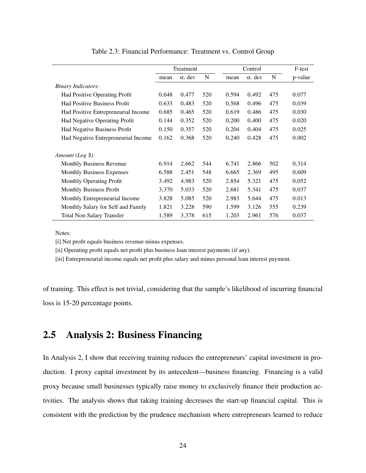|                                      | Treatment |         |     |       | Control |     |         |
|--------------------------------------|-----------|---------|-----|-------|---------|-----|---------|
|                                      | mean      | st. dev | N   | mean  | st. dev | N   | p-value |
| <b>Binary Indicators:</b>            |           |         |     |       |         |     |         |
| Had Positive Operating Profit        | 0.648     | 0.477   | 520 | 0.594 | 0.492   | 475 | 0.077   |
| <b>Had Positive Business Profit</b>  | 0.633     | 0.483   | 520 | 0.568 | 0.496   | 475 | 0.039   |
| Had Positive Entrepreneurial Income  | 0.685     | 0.465   | 520 | 0.619 | 0.486   | 475 | 0.030   |
| <b>Had Negative Operating Profit</b> | 0.144     | 0.352   | 520 | 0.200 | 0.400   | 475 | 0.020   |
| <b>Had Negative Business Profit</b>  | 0.150     | 0.357   | 520 | 0.204 | 0.404   | 475 | 0.025   |
| Had Negative Entrepreneurial Income  | 0.162     | 0.368   | 520 | 0.240 | 0.428   | 475 | 0.002   |
| Amount $(Log $):$                    |           |         |     |       |         |     |         |
| Monthly Business Revenue             | 6.914     | 2.662   | 544 | 6.741 | 2.866   | 502 | 0.314   |
| <b>Monthly Business Expenses</b>     | 6.588     | 2.451   | 548 | 6.665 | 2.369   | 495 | 0.609   |
| Monthly Operating Profit             | 3.492     | 4.983   | 520 | 2.854 | 5.321   | 475 | 0.052   |
| <b>Monthly Business Profit</b>       | 3.370     | 5.033   | 520 | 2.681 | 5.341   | 475 | 0.037   |
| Monthly Entrepreneurial Income       | 3.828     | 5.085   | 520 | 2.983 | 5.644   | 475 | 0.013   |
| Monthly Salary for Self and Family   | 1.821     | 3.228   | 590 | 1.599 | 3.126   | 555 | 0.239   |
| <b>Total Non-Salary Transfer</b>     | 1.589     | 3.378   | 615 | 1.203 | 2.961   | 576 | 0.037   |

<span id="page-29-1"></span>Table 2.3: Financial Performance: Treatment vs. Control Group

Notes:

[i] Net profit equals business revenue minus expenses.

[ii] Operating profit equals net profit plus business loan interest payments (if any).

[iii] Entrepreneurial income equals net profit plus salary and minus personal loan interest payment.

of training. This effect is not trivial, considering that the sample's likelihood of incurring financial loss is 15-20 percentage points.

## <span id="page-29-0"></span>2.5 Analysis 2: Business Financing

In Analysis 2, I show that receiving training reduces the entrepreneurs' capital investment in production. I proxy capital investment by its antecedent—business financing. Financing is a valid proxy because small businesses typically raise money to exclusively finance their production activities. The analysis shows that taking training decreases the start-up financial capital. This is consistent with the prediction by the prudence mechanism where entrepreneurs learned to reduce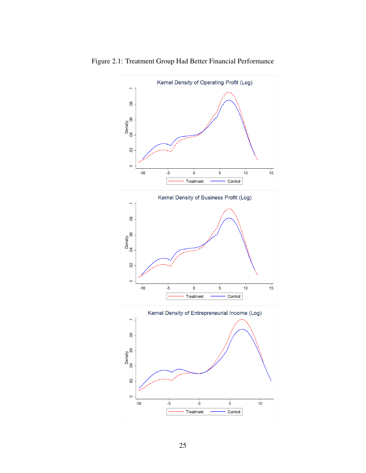<span id="page-30-0"></span>

Figure 2.1: Treatment Group Had Better Financial Performance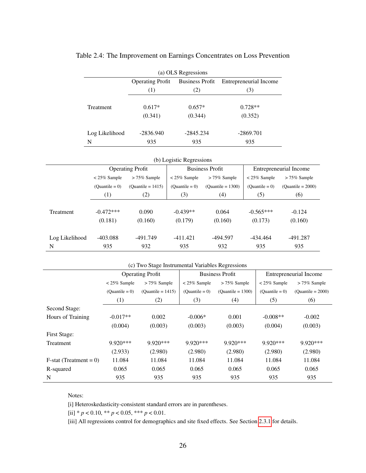<span id="page-31-0"></span>

| (a) OLS Regressions                                                         |             |             |             |  |  |  |  |  |
|-----------------------------------------------------------------------------|-------------|-------------|-------------|--|--|--|--|--|
| <b>Operating Profit</b><br><b>Business Profit</b><br>Entrepreneurial Income |             |             |             |  |  |  |  |  |
|                                                                             | (1)         | (2)         | (3)         |  |  |  |  |  |
| <b>Treatment</b>                                                            | $0.617*$    | $0.657*$    | $0.728**$   |  |  |  |  |  |
|                                                                             | (0.341)     | (0.344)     | (0.352)     |  |  |  |  |  |
| Log Likelihood                                                              | $-2836.940$ | $-2845.234$ | $-2869.701$ |  |  |  |  |  |
| N                                                                           | 935         | 935         | 935         |  |  |  |  |  |

#### Table 2.4: The Improvement on Earnings Concentrates on Loss Prevention

|                | (b) Logistic Regressions |                         |                  |                        |                        |                     |  |  |
|----------------|--------------------------|-------------------------|------------------|------------------------|------------------------|---------------------|--|--|
|                |                          | <b>Operating Profit</b> |                  | <b>Business Profit</b> | Entrepreneurial Income |                     |  |  |
|                | $< 25\%$ Sample          | $> 75\%$ Sample         |                  | $> 75\%$ Sample        | $< 25\%$ Sample        | $> 75\%$ Sample     |  |  |
|                | $(Quantile = 0)$         | $(Quantile = 1415)$     | $(Quantile = 0)$ | $(Quantile = 1300)$    | $(Quantile = 0)$       | $(Quantile = 2000)$ |  |  |
|                | (1)                      | (2)                     | (3)              | (4)                    | (5)                    | (6)                 |  |  |
|                |                          |                         |                  |                        |                        |                     |  |  |
| Treatment      | $-0.472***$              | 0.090                   | $-0.439**$       | 0.064                  | $-0.565***$            | $-0.124$            |  |  |
|                | (0.181)                  | (0.160)                 | (0.179)          | (0.160)                | (0.173)                | (0.160)             |  |  |
|                | $-403.088$               | -491.749                | $-411.421$       | -494.597               | -434.464               | -491.287            |  |  |
| Log Likelihood |                          |                         |                  |                        |                        |                     |  |  |
| N              | 935                      | 932                     | 935              | 932                    | 935                    | 935                 |  |  |

|  | (c) Two Stage Instrumental Variables Regressions |  |  |  |
|--|--------------------------------------------------|--|--|--|
|--|--------------------------------------------------|--|--|--|

|                          |                  | <b>Operating Profit</b> |                  | <b>Business Profit</b> | Entrepreneurial Income |                     |  |
|--------------------------|------------------|-------------------------|------------------|------------------------|------------------------|---------------------|--|
|                          | $< 25\%$ Sample  | $> 75\%$ Sample         |                  | $> 75\%$ Sample        | $< 25\%$ Sample        | $> 75\%$ Sample     |  |
|                          | $(Quantile = 0)$ | $(Quantile = 1415)$     | $(Quantile = 0)$ | $(Quantile = 1300)$    | $(Quantile = 0)$       | $(Quantile = 2000)$ |  |
|                          | (1)              | (2)                     | (3)              | (4)                    | (5)                    | (6)                 |  |
| Second Stage:            |                  |                         |                  |                        |                        |                     |  |
| Hours of Training        | $-0.017**$       | 0.002                   | $-0.006*$        | 0.001                  | $-0.008**$             | $-0.002$            |  |
|                          | (0.004)          | (0.003)                 | (0.003)          | (0.003)                | (0.004)                | (0.003)             |  |
| <b>First Stage:</b>      |                  |                         |                  |                        |                        |                     |  |
| Treatment                | $9.920***$       | $9.920***$              | $9.920***$       | $9.920***$             | 9.920***               | $9.920***$          |  |
|                          | (2.933)          | (2.980)                 | (2.980)          | (2.980)                | (2.980)                | (2.980)             |  |
| $F-stat$ (Treatment = 0) | 11.084           | 11.084                  | 11.084           | 11.084                 | 11.084                 | 11.084              |  |
| R-squared                | 0.065            | 0.065                   | 0.065            | 0.065                  | 0.065                  | 0.065               |  |
| N                        | 935              | 935                     | 935              | 935                    | 935                    | 935                 |  |

Notes:

[i] Heteroskedasticity-consistent standard errors are in parentheses.

[ii] \* *p* < 0.10, \*\* *p* < 0.05, \*\*\* *p* < 0.01.

[iii] All regressions control for demographics and site fixed effects. See Section [2.3.1](#page-21-0) for details.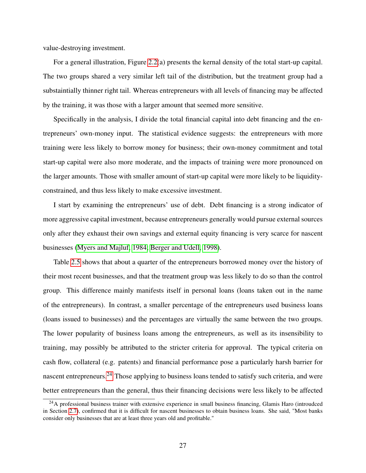value-destroying investment.

For a general illustration, Figure [2.2\(](#page-33-0)a) presents the kernal density of the total start-up capital. The two groups shared a very similar left tail of the distribution, but the treatment group had a substaintially thinner right tail. Whereas entrepreneurs with all levels of financing may be affected by the training, it was those with a larger amount that seemed more sensitive.

Specifically in the analysis, I divide the total financial capital into debt financing and the entrepreneurs' own-money input. The statistical evidence suggests: the entrepreneurs with more training were less likely to borrow money for business; their own-money commitment and total start-up capital were also more moderate, and the impacts of training were more pronounced on the larger amounts. Those with smaller amount of start-up capital were more likely to be liquidityconstrained, and thus less likely to make excessive investment.

I start by examining the entrepreneurs' use of debt. Debt financing is a strong indicator of more aggressive capital investment, because entrepreneurs generally would pursue external sources only after they exhaust their own savings and external equity financing is very scarce for nascent businesses [\(Myers and Majluf, 1984;](#page-111-3) [Berger and Udell, 1998\)](#page-104-5).

Table [2.5](#page-36-0) shows that about a quarter of the entrepreneurs borrowed money over the history of their most recent businesses, and that the treatment group was less likely to do so than the control group. This difference mainly manifests itself in personal loans (loans taken out in the name of the entrepreneurs). In contrast, a smaller percentage of the entrepreneurs used business loans (loans issued to businesses) and the percentages are virtually the same between the two groups. The lower popularity of business loans among the entrepreneurs, as well as its insensibility to training, may possibly be attributed to the stricter criteria for approval. The typical criteria on cash flow, collateral (e.g. patents) and financial performance pose a particularly harsh barrier for nascent entrepreneurs.<sup>[24](#page-32-0)</sup> Those applying to business loans tended to satisfy such criteria, and were better entrepreneurs than the general, thus their financing decisions were less likely to be affected

<span id="page-32-0"></span><sup>&</sup>lt;sup>24</sup>A professional business trainer with extensive experience in small business financing, Glamis Haro (introudced in Section [2.7\)](#page-40-0), confirmed that it is difficult for nascent businesses to obtain business loans. She said, "Most banks consider only businesses that are at least three years old and profitable."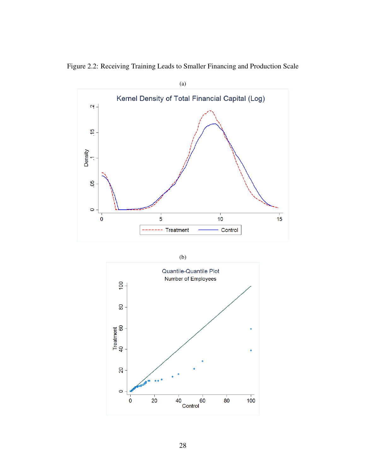

<span id="page-33-0"></span>

| ٥<br>× | I<br>I<br>۰.<br>×<br>۰.<br>۰.<br>۹ |
|--------|------------------------------------|

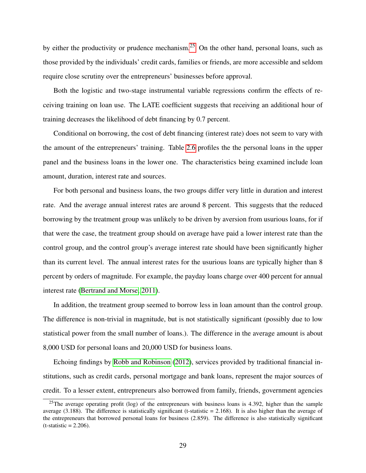by either the productivity or prudence mechanism.<sup>[25](#page-34-0)</sup> On the other hand, personal loans, such as those provided by the individuals' credit cards, families or friends, are more accessible and seldom require close scrutiny over the entrepreneurs' businesses before approval.

Both the logistic and two-stage instrumental variable regressions confirm the effects of receiving training on loan use. The LATE coefficient suggests that receiving an additional hour of training decreases the likelihood of debt financing by 0.7 percent.

Conditional on borrowing, the cost of debt financing (interest rate) does not seem to vary with the amount of the entrepreneurs' training. Table [2.6](#page-37-0) profiles the the personal loans in the upper panel and the business loans in the lower one. The characteristics being examined include loan amount, duration, interest rate and sources.

For both personal and business loans, the two groups differ very little in duration and interest rate. And the average annual interest rates are around 8 percent. This suggests that the reduced borrowing by the treatment group was unlikely to be driven by aversion from usurious loans, for if that were the case, the treatment group should on average have paid a lower interest rate than the control group, and the control group's average interest rate should have been significantly higher than its current level. The annual interest rates for the usurious loans are typically higher than 8 percent by orders of magnitude. For example, the payday loans charge over 400 percent for annual interest rate [\(Bertrand and Morse, 2011\)](#page-104-6).

In addition, the treatment group seemed to borrow less in loan amount than the control group. The difference is non-trivial in magnitude, but is not statistically significant (possibly due to low statistical power from the small number of loans.). The difference in the average amount is about 8,000 USD for personal loans and 20,000 USD for business loans.

Echoing findings by [Robb and Robinson](#page-112-7) [\(2012\)](#page-112-7), services provided by traditional financial institutions, such as credit cards, personal mortgage and bank loans, represent the major sources of credit. To a lesser extent, entrepreneurs also borrowed from family, friends, government agencies

<span id="page-34-0"></span><sup>&</sup>lt;sup>25</sup>The average operating profit (log) of the entrepreneurs with business loans is 4.392, higher than the sample average (3.188). The difference is statistically significant (t-statistic  $= 2.168$ ). It is also higher than the average of the entrepreneurs that borrowed personal loans for business (2.859). The difference is also statistically significant  $(t-statistic = 2.206)$ .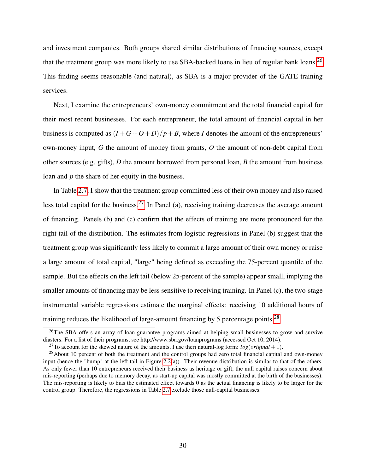and investment companies. Both groups shared similar distributions of financing sources, except that the treatment group was more likely to use SBA-backed loans in lieu of regular bank loans.<sup>[26](#page-35-0)</sup> This finding seems reasonable (and natural), as SBA is a major provider of the GATE training services.

Next, I examine the entrepreneurs' own-money commitment and the total financial capital for their most recent businesses. For each entrepreneur, the total amount of financial capital in her business is computed as  $(I+G+O+D)/p+B$ , where *I* denotes the amount of the entrepreneurs' own-money input, *G* the amount of money from grants, *O* the amount of non-debt capital from other sources (e.g. gifts), *D* the amount borrowed from personal loan, *B* the amount from business loan and *p* the share of her equity in the business.

In Table [2.7,](#page-38-0) I show that the treatment group committed less of their own money and also raised less total capital for the business.[27](#page-35-1) In Panel (a), receiving training decreases the average amount of financing. Panels (b) and (c) confirm that the effects of training are more pronounced for the right tail of the distribution. The estimates from logistic regressions in Panel (b) suggest that the treatment group was significantly less likely to commit a large amount of their own money or raise a large amount of total capital, "large" being defined as exceeding the 75-percent quantile of the sample. But the effects on the left tail (below 25-percent of the sample) appear small, implying the smaller amounts of financing may be less sensitive to receiving training. In Panel (c), the two-stage instrumental variable regressions estimate the marginal effects: receiving 10 additional hours of training reduces the likelihood of large-amount financing by 5 percentage points.<sup>[28](#page-35-2)</sup>

<span id="page-35-0"></span><sup>&</sup>lt;sup>26</sup>The SBA offers an array of loan-guarantee programs aimed at helping small businesses to grow and survive diasters. For a list of their programs, see http://www.sba.gov/loanprograms (accessed Oct 10, 2014).

<span id="page-35-2"></span><span id="page-35-1"></span><sup>&</sup>lt;sup>27</sup>To account for the skewed nature of the amounts, I use theri natural-log form:  $log(original + 1)$ .

<sup>&</sup>lt;sup>28</sup>About 10 percent of both the treatment and the control groups had zero total financial capital and own-money input (hence the "hump" at the left tail in Figure [2.2\(](#page-33-0)a)). Their revenue distribution is similar to that of the others. As only fewer than 10 entrepreneurs received their business as heritage or gift, the null capital raises concern about mis-reporting (perhaps due to memory decay, as start-up capital was mostly committed at the birth of the businesses). The mis-reporting is likely to bias the estimated effect towards 0 as the actual financing is likely to be larger for the control group. Therefore, the regressions in Table [2.7](#page-38-0) exclude those null-capital businesses.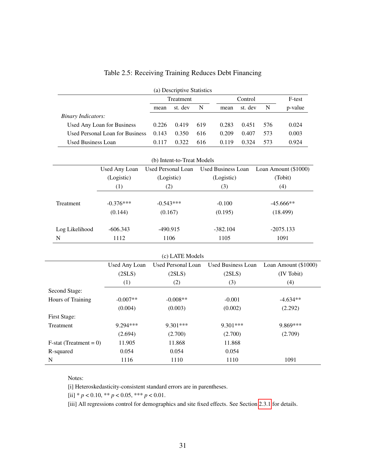|                           |                                        |             | (a) Descriptive Statistics |             |                           |         |             |                      |
|---------------------------|----------------------------------------|-------------|----------------------------|-------------|---------------------------|---------|-------------|----------------------|
|                           |                                        | Treatment   |                            |             |                           | Control |             | F-test               |
|                           |                                        | mean        | st. dev                    | $\mathbf N$ | mean                      | st. dev | $\mathbf N$ | p-value              |
| <b>Binary Indicators:</b> |                                        |             |                            |             |                           |         |             |                      |
|                           | Used Any Loan for Business             | 0.226       | 0.419                      | 619         | 0.283                     | 0.451   | 576         | 0.024                |
|                           | <b>Used Personal Loan for Business</b> | 0.143       | 0.350                      | 616         | 0.209                     | 0.407   | 573         | 0.003                |
| <b>Used Business Loan</b> |                                        | 0.117       | 0.322                      | 616         | 0.119                     | 0.324   | 573         | 0.924                |
|                           |                                        |             |                            |             |                           |         |             |                      |
|                           |                                        |             | (b) Intent-to-Treat Models |             |                           |         |             |                      |
|                           | Used Any Loan                          |             | <b>Used Personal Loan</b>  |             | <b>Used Business Loan</b> |         |             | Loan Amount (\$1000) |
|                           | (Logistic)                             | (Logistic)  |                            |             | (Logistic)                |         |             | (Tobit)              |
|                           | (1)                                    | (2)         |                            |             | (3)                       |         |             | (4)                  |
| Treatment                 | $-0.376***$                            | $-0.543***$ |                            |             | $-0.100$                  |         |             | $-45.666**$          |
|                           | (0.144)                                | (0.167)     |                            |             | (0.195)                   |         |             | (18.499)             |
| Log Likelihood            | $-606.343$                             | $-490.915$  |                            |             | $-382.104$                |         |             | $-2075.133$          |
| $\mathbf N$               | 1112                                   | 1106        |                            |             | 1105                      |         |             | 1091                 |
|                           |                                        |             | (c) LATE Models            |             |                           |         |             |                      |
|                           | Used Any Loan                          |             | <b>Used Personal Loan</b>  |             | <b>Used Business Loan</b> |         |             | Loan Amount (\$1000) |
|                           | (2SLS)                                 |             | (2SLS)                     |             | (2SLS)                    |         |             | (IV Tobit)           |
|                           | (1)                                    |             | (2)                        |             | (3)                       |         |             | (4)                  |
| Second Stage:             |                                        |             |                            |             |                           |         |             |                      |
| Hours of Training         | $-0.007**$                             |             | $-0.008**$                 |             | $-0.001$                  |         |             | $-4.634**$           |
|                           | (0.004)                                |             | (0.003)                    |             | (0.002)                   |         |             | (2.292)              |
| First Stage:              |                                        |             |                            |             |                           |         |             |                      |
| Treatment                 | 9.294***                               |             | 9.301***                   |             | 9.301***                  |         |             | 9.869***             |
|                           | (2.694)                                |             | (2.700)                    |             | (2.700)                   |         |             | (2.709)              |
| $F-stat (Treatment = 0)$  | 11.905                                 |             | 11.868                     |             | 11.868                    |         |             |                      |
| R-squared                 | 0.054                                  |             | 0.054                      |             | 0.054                     |         |             |                      |
| $\mathbf N$               | 1116                                   |             | 1110                       |             | 1110                      |         |             | 1091                 |

## Table 2.5: Receiving Training Reduces Debt Financing

Notes:

[i] Heteroskedasticity-consistent standard errors are in parentheses.

[ii]  $* p < 0.10, ** p < 0.05, ** p < 0.01$ .

[iii] All regressions control for demographics and site fixed effects. See Section [2.3.1](#page-21-0) for details.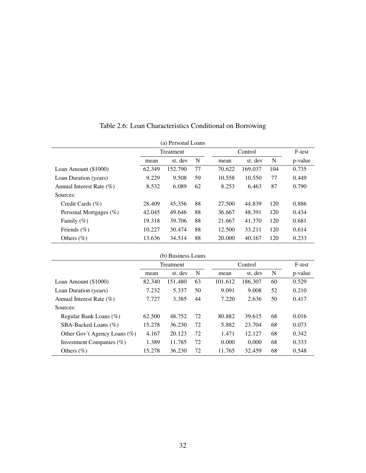| (a) Personal Loans           |        |                  |    |        |         |     |         |
|------------------------------|--------|------------------|----|--------|---------|-----|---------|
|                              |        | <b>Treatment</b> |    |        | Control |     | F-test  |
|                              | mean   | st. dev          | N  | mean   | st. dev | N   | p-value |
| Loan Amount (\$1000)         | 62.349 | 152.790          | 77 | 70.622 | 169.037 | 104 | 0.735   |
| Loan Duration (years)        | 9.229  | 9.508            | 59 | 10.558 | 10.550  | 77  | 0.449   |
| Annual Interest Rate $(\% )$ | 8.532  | 6.089            | 62 | 8.253  | 6.463   | 87  | 0.790   |
| Sources:                     |        |                  |    |        |         |     |         |
| Credit Cards $(\% )$         | 28.409 | 45.356           | 88 | 27.500 | 44.839  | 120 | 0.886   |
| Personal Mortgages $(\%)$    | 42.045 | 49.646           | 88 | 36.667 | 48.391  | 120 | 0.434   |
| Family $(\%)$                | 19.318 | 39.706           | 88 | 21.667 | 41.370  | 120 | 0.681   |
| Friends $(\% )$              | 10.227 | 30.474           | 88 | 12.500 | 33.211  | 120 | 0.614   |
| Others $(\% )$               | 13.636 | 34.514           | 88 | 20,000 | 40.167  | 120 | 0.233   |

| Table 2.6: Loan Characteristics Conditional on Borrowing |  |  |
|----------------------------------------------------------|--|--|
|----------------------------------------------------------|--|--|

|                                 |           | (b) Business Loans |    |         |         |        |         |
|---------------------------------|-----------|--------------------|----|---------|---------|--------|---------|
|                                 | Treatment |                    |    | Control |         | F-test |         |
|                                 | mean      | st. dev            | N  | mean    | st. dev | N      | p-value |
| Loan Amount (\$1000)            | 82.340    | 151.480            | 63 | 101.612 | 186.307 | 60     | 0.529   |
| Loan Duration (years)           | 7.232     | 5.337              | 50 | 9.091   | 9.008   | 52     | 0.210   |
| Annual Interest Rate $(\%)$     | 7.727     | 3.385              | 44 | 7.220   | 2.636   | 50     | 0.417   |
| Sources:                        |           |                    |    |         |         |        |         |
| Regular Bank Loans $(\%)$       | 62.500    | 48.752             | 72 | 80.882  | 39.615  | 68     | 0.016   |
| SBA-Backed Loans $(\%)$         | 15.278    | 36.230             | 72 | 5.882   | 23.704  | 68     | 0.073   |
| Other Gov't Agency Loans $(\%)$ | 4.167     | 20.123             | 72 | 1.471   | 12.127  | 68     | 0.342   |
| Investment Companies (%)        | 1.389     | 11.785             | 72 | 0.000   | 0.000   | 68     | 0.333   |
| Others $(\%)$                   | 15.278    | 36.230             | 72 | 11.765  | 32.459  | 68     | 0.548   |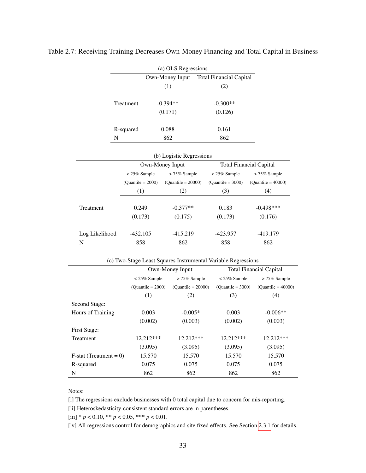|           | (a) OLS Regressions |                         |  |  |  |
|-----------|---------------------|-------------------------|--|--|--|
|           | Own-Money Input     | Total Financial Capital |  |  |  |
|           | (1)                 | (2)                     |  |  |  |
| Treatment | $-0.394**$          | $-0.300**$              |  |  |  |
|           | (0.171)             | (0.126)                 |  |  |  |
| R-squared | 0.088               | 0.161                   |  |  |  |
| N         | 862                 | 862                     |  |  |  |

Table 2.7: Receiving Training Decreases Own-Money Financing and Total Capital in Business

|                | (b) Logistic Regressions |                      |                     |                                |  |  |  |
|----------------|--------------------------|----------------------|---------------------|--------------------------------|--|--|--|
|                |                          | Own-Money Input      |                     | <b>Total Financial Capital</b> |  |  |  |
|                | $< 25\%$ Sample          | $>75\%$ Sample       | $< 25\%$ Sample     | $> 75\%$ Sample                |  |  |  |
|                | $(Quantile = 2000)$      | $(Quantile = 20000)$ | $(Quantile = 3000)$ | $(Quantile = 40000)$           |  |  |  |
|                | (1)                      | (2)                  | (3)                 | (4)                            |  |  |  |
|                |                          |                      |                     |                                |  |  |  |
| Treatment      | 0.249                    | $-0.377**$           | 0.183               | $-0.498***$                    |  |  |  |
|                | (0.173)                  | (0.175)              | (0.173)             | (0.176)                        |  |  |  |
| Log Likelihood | $-432.105$               | $-415.219$           | $-423.957$          | $-419.179$                     |  |  |  |
| N              | 858                      | 862                  | 858                 | 862                            |  |  |  |

| (c) Two-Stage Least Squares Instrumental Variable Regressions |  |
|---------------------------------------------------------------|--|
|---------------------------------------------------------------|--|

|                           |                     | Own-Money Input      |                     | <b>Total Financial Capital</b> |
|---------------------------|---------------------|----------------------|---------------------|--------------------------------|
|                           | $< 25\%$ Sample     | $> 75\%$ Sample      | $< 25\%$ Sample     | $> 75\%$ Sample                |
|                           | $(Quantile = 2000)$ | $(Quantile = 20000)$ | $(Quantile = 3000)$ | $(Quantile = 40000)$           |
|                           | (1)                 | (2)                  | (3)                 | (4)                            |
| Second Stage:             |                     |                      |                     |                                |
| Hours of Training         | 0.003               | $-0.005*$            | 0.003               | $-0.006**$                     |
|                           | (0.002)             | (0.003)              | (0.002)             | (0.003)                        |
| First Stage:              |                     |                      |                     |                                |
| <b>Treatment</b>          | 12.212***           | 12.212***            | 12.212***           | 12.212***                      |
|                           | (3.095)             | (3.095)              | (3.095)             | (3.095)                        |
| $F$ -stat (Treatment = 0) | 15.570              | 15.570               | 15.570              | 15.570                         |
| R-squared                 | 0.075               | 0.075                | 0.075               | 0.075                          |
| N                         | 862                 | 862                  | 862                 | 862                            |

#### Notes:

[i] The regressions exclude businesses with 0 total capital due to concern for mis-reporting.

[ii] Heteroskedasticity-consistent standard errors are in parentheses.

[iii] \* *p* < 0.10, \*\* *p* < 0.05, \*\*\* *p* < 0.01.

[iv] All regressions control for demographics and site fixed effects. See Section [2.3.1](#page-21-0) for details.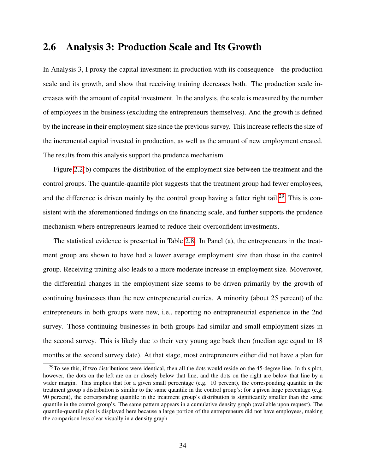## 2.6 Analysis 3: Production Scale and Its Growth

In Analysis 3, I proxy the capital investment in production with its consequence—the production scale and its growth, and show that receiving training decreases both. The production scale increases with the amount of capital investment. In the analysis, the scale is measured by the number of employees in the business (excluding the entrepreneurs themselves). And the growth is defined by the increase in their employment size since the previous survey. This increase reflects the size of the incremental capital invested in production, as well as the amount of new employment created. The results from this analysis support the prudence mechanism.

Figure [2.2\(](#page-33-0)b) compares the distribution of the employment size between the treatment and the control groups. The quantile-quantile plot suggests that the treatment group had fewer employees, and the difference is driven mainly by the control group having a fatter right tail.<sup>[29](#page-39-0)</sup> This is consistent with the aforementioned findings on the financing scale, and further supports the prudence mechanism where entrepreneurs learned to reduce their overconfident investments.

The statistical evidence is presented in Table [2.8.](#page-41-0) In Panel (a), the entrepreneurs in the treatment group are shown to have had a lower average employment size than those in the control group. Receiving training also leads to a more moderate increase in employment size. Moverover, the differential changes in the employment size seems to be driven primarily by the growth of continuing businesses than the new entrepreneurial entries. A minority (about 25 percent) of the entrepreneurs in both groups were new, i.e., reporting no entrepreneurial experience in the 2nd survey. Those continuing businesses in both groups had similar and small employment sizes in the second survey. This is likely due to their very young age back then (median age equal to 18 months at the second survey date). At that stage, most entrepreneurs either did not have a plan for

<span id="page-39-0"></span><sup>&</sup>lt;sup>29</sup>To see this, if two distributions were identical, then all the dots would reside on the 45-degree line. In this plot, however, the dots on the left are on or closely below that line, and the dots on the right are below that line by a wider margin. This implies that for a given small percentage (e.g. 10 percent), the corresponding quantile in the treatment group's distribution is similar to the same quantile in the control group's; for a given large percentage (e.g. 90 percent), the corresponding quantile in the treatment group's distribution is significantly smaller than the same quantile in the control group's. The same pattern appears in a cumulative density graph (available upon request). The quantile-quantile plot is displayed here because a large portion of the entrepreneurs did not have employees, making the comparison less clear visually in a density graph.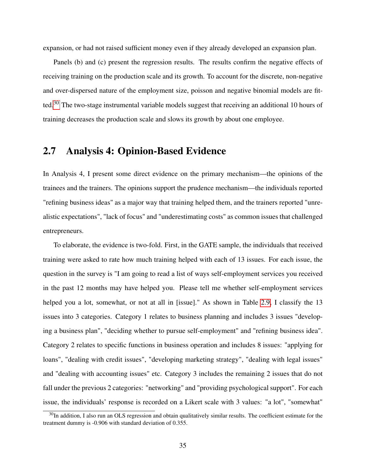expansion, or had not raised sufficient money even if they already developed an expansion plan.

Panels (b) and (c) present the regression results. The results confirm the negative effects of receiving training on the production scale and its growth. To account for the discrete, non-negative and over-dispersed nature of the employment size, poisson and negative binomial models are fit-ted.<sup>[30](#page-40-0)</sup> The two-stage instrumental variable models suggest that receiving an additional 10 hours of training decreases the production scale and slows its growth by about one employee.

## 2.7 Analysis 4: Opinion-Based Evidence

In Analysis 4, I present some direct evidence on the primary mechanism—the opinions of the trainees and the trainers. The opinions support the prudence mechanism—the individuals reported "refining business ideas" as a major way that training helped them, and the trainers reported "unrealistic expectations", "lack of focus" and "underestimating costs" as common issues that challenged entrepreneurs.

To elaborate, the evidence is two-fold. First, in the GATE sample, the individuals that received training were asked to rate how much training helped with each of 13 issues. For each issue, the question in the survey is "I am going to read a list of ways self-employment services you received in the past 12 months may have helped you. Please tell me whether self-employment services helped you a lot, somewhat, or not at all in [issue]." As shown in Table [2.9,](#page-43-0) I classify the 13 issues into 3 categories. Category 1 relates to business planning and includes 3 issues "developing a business plan", "deciding whether to pursue self-employment" and "refining business idea". Category 2 relates to specific functions in business operation and includes 8 issues: "applying for loans", "dealing with credit issues", "developing marketing strategy", "dealing with legal issues" and "dealing with accounting issues" etc. Category 3 includes the remaining 2 issues that do not fall under the previous 2 categories: "networking" and "providing psychological support". For each issue, the individuals' response is recorded on a Likert scale with 3 values: "a lot", "somewhat"

<span id="page-40-0"></span> $30$ In addition, I also run an OLS regression and obtain qualitatively similar results. The coefficient estimate for the treatment dummy is -0.906 with standard deviation of 0.355.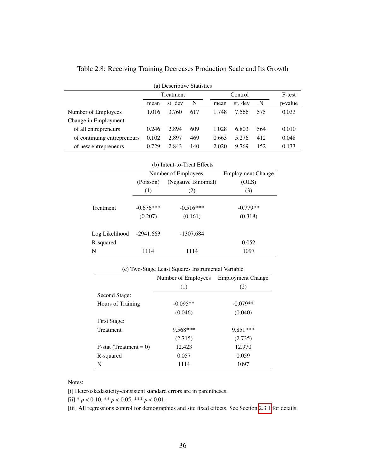| (a) Descriptive Statistics  |           |         |     |  |         |         |     |         |
|-----------------------------|-----------|---------|-----|--|---------|---------|-----|---------|
|                             | Treatment |         |     |  | Control |         |     | F-test  |
|                             | mean      | st. dev | N   |  | mean    | st. dev | N   | p-value |
| Number of Employees         | 1.016     | 3.760   | 617 |  | 1.748   | 7.566   | 575 | 0.033   |
| Change in Employment        |           |         |     |  |         |         |     |         |
| of all entrepreneurs        | 0.246     | 2.894   | 609 |  | 1.028   | 6.803   | 564 | 0.010   |
| of continuing entrepreneurs | 0.102     | 2.897   | 469 |  | 0.663   | 5.276   | 412 | 0.048   |
| of new entrepreneurs        | 0.729     | 2.843   | 140 |  | 2.020   | 9.769   | 152 | 0.133   |

<span id="page-41-0"></span>Table 2.8: Receiving Training Decreases Production Scale and Its Growth

| (b) Intent-to-Treat Effects |             |                     |                          |  |  |
|-----------------------------|-------------|---------------------|--------------------------|--|--|
|                             |             | Number of Employees | <b>Employment Change</b> |  |  |
|                             | (Poisson)   | (Negative Binomial) | (OLS)                    |  |  |
|                             | (1)         | (2)                 | (3)                      |  |  |
| Treatment                   | $-0.676***$ | $-0.516***$         | $-0.779**$               |  |  |
|                             | (0.207)     | (0.161)             | (0.318)                  |  |  |
| Log Likelihood              | -2941.663   | $-1307.684$         |                          |  |  |
| R-squared                   |             |                     | 0.052                    |  |  |
| N                           | 1114        | 1114                | 1097                     |  |  |

| (c) Two-Stage Least Squares Instrumental Variable |                                       |            |  |  |  |
|---------------------------------------------------|---------------------------------------|------------|--|--|--|
|                                                   | Number of Employees Employment Change |            |  |  |  |
|                                                   | (1)                                   | (2)        |  |  |  |
| Second Stage:                                     |                                       |            |  |  |  |
| Hours of Training                                 | $-0.095**$                            | $-0.079**$ |  |  |  |
|                                                   | (0.046)                               | (0.040)    |  |  |  |
| First Stage:                                      |                                       |            |  |  |  |
| Treatment                                         | $9.568***$                            | 9.851***   |  |  |  |
|                                                   | (2.715)                               | (2.735)    |  |  |  |
| $F-stat$ (Treatment = 0)                          | 12.423                                | 12.970     |  |  |  |
| R-squared                                         | 0.057                                 | 0.059      |  |  |  |
| N                                                 | 1114                                  | 1097       |  |  |  |

Notes:

[i] Heteroskedasticity-consistent standard errors are in parentheses.

[ii]  $* p < 0.10, ** p < 0.05, ** p < 0.01$ .

[iii] All regressions control for demographics and site fixed effects. See Section [2.3.1](#page-21-0) for details.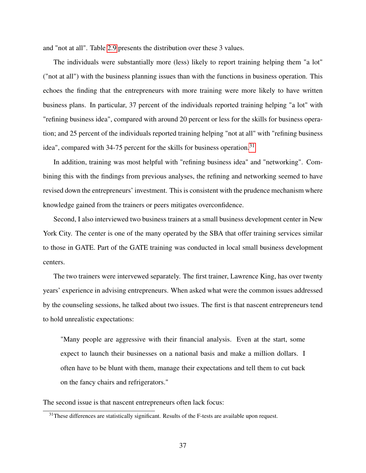and "not at all". Table [2.9](#page-43-0) presents the distribution over these 3 values.

The individuals were substantially more (less) likely to report training helping them "a lot" ("not at all") with the business planning issues than with the functions in business operation. This echoes the finding that the entrepreneurs with more training were more likely to have written business plans. In particular, 37 percent of the individuals reported training helping "a lot" with "refining business idea", compared with around 20 percent or less for the skills for business operation; and 25 percent of the individuals reported training helping "not at all" with "refining business idea", compared with 34-75 percent for the skills for business operation.<sup>[31](#page-42-0)</sup>

In addition, training was most helpful with "refining business idea" and "networking". Combining this with the findings from previous analyses, the refining and networking seemed to have revised down the entrepreneurs' investment. This is consistent with the prudence mechanism where knowledge gained from the trainers or peers mitigates overconfidence.

Second, I also interviewed two business trainers at a small business development center in New York City. The center is one of the many operated by the SBA that offer training services similar to those in GATE. Part of the GATE training was conducted in local small business development centers.

The two trainers were intervewed separately. The first trainer, Lawrence King, has over twenty years' experience in advising entrepreneurs. When asked what were the common issues addressed by the counseling sessions, he talked about two issues. The first is that nascent entrepreneurs tend to hold unrealistic expectations:

"Many people are aggressive with their financial analysis. Even at the start, some expect to launch their businesses on a national basis and make a million dollars. I often have to be blunt with them, manage their expectations and tell them to cut back on the fancy chairs and refrigerators."

The second issue is that nascent entrepreneurs often lack focus:

<span id="page-42-0"></span><sup>&</sup>lt;sup>31</sup>These differences are statistically significant. Results of the F-tests are available upon request.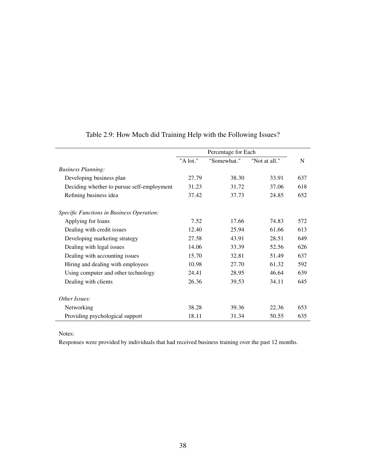|                                            |          | Percentage for Each |               |     |
|--------------------------------------------|----------|---------------------|---------------|-----|
|                                            | "A lot." | "Somewhat."         | "Not at all." | N   |
| <b>Business Planning:</b>                  |          |                     |               |     |
| Developing business plan                   | 27.79    | 38.30               | 33.91         | 637 |
| Deciding whether to pursue self-employment | 31.23    | 31.72               | 37.06         | 618 |
| Refining business idea                     | 37.42    | 37.73               | 24.85         | 652 |
| Specific Functions in Business Operation:  |          |                     |               |     |
| Applying for loans                         | 7.52     | 17.66               | 74.83         | 572 |
| Dealing with credit issues                 | 12.40    | 25.94               | 61.66         | 613 |
| Developing marketing strategy              | 27.58    | 43.91               | 28.51         | 649 |
| Dealing with legal issues                  | 14.06    | 33.39               | 52.56         | 626 |
| Dealing with accounting issues             | 15.70    | 32.81               | 51.49         | 637 |
| Hiring and dealing with employees          | 10.98    | 27.70               | 61.32         | 592 |
| Using computer and other technology        | 24.41    | 28.95               | 46.64         | 639 |
| Dealing with clients                       | 26.36    | 39.53               | 34.11         | 645 |
| Other Issues:                              |          |                     |               |     |
| Networking                                 | 38.28    | 39.36               | 22.36         | 653 |
| Providing psychological support            | 18.11    | 31.34               | 50.55         | 635 |

## <span id="page-43-0"></span>Table 2.9: How Much did Training Help with the Following Issues?

Notes:

Responses were provided by individuals that had received business training over the past 12 months.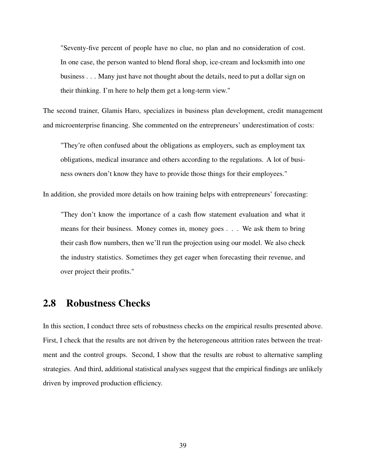"Seventy-five percent of people have no clue, no plan and no consideration of cost. In one case, the person wanted to blend floral shop, ice-cream and locksmith into one business . . . Many just have not thought about the details, need to put a dollar sign on their thinking. I'm here to help them get a long-term view."

The second trainer, Glamis Haro, specializes in business plan development, credit management and microenterprise financing. She commented on the entrepreneurs' underestimation of costs:

"They're often confused about the obligations as employers, such as employment tax obligations, medical insurance and others according to the regulations. A lot of business owners don't know they have to provide those things for their employees."

In addition, she provided more details on how training helps with entrepreneurs' forecasting:

"They don't know the importance of a cash flow statement evaluation and what it means for their business. Money comes in, money goes . . . We ask them to bring their cash flow numbers, then we'll run the projection using our model. We also check the industry statistics. Sometimes they get eager when forecasting their revenue, and over project their profits."

## 2.8 Robustness Checks

In this section, I conduct three sets of robustness checks on the empirical results presented above. First, I check that the results are not driven by the heterogeneous attrition rates between the treatment and the control groups. Second, I show that the results are robust to alternative sampling strategies. And third, additional statistical analyses suggest that the empirical findings are unlikely driven by improved production efficiency.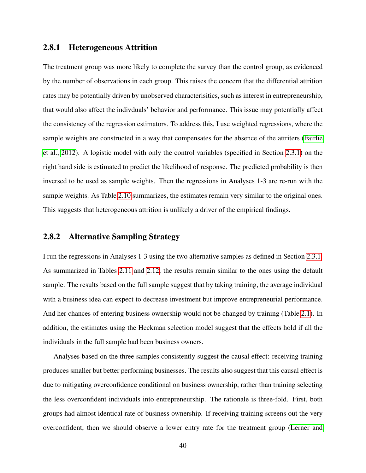#### <span id="page-45-0"></span>2.8.1 Heterogeneous Attrition

The treatment group was more likely to complete the survey than the control group, as evidenced by the number of observations in each group. This raises the concern that the differential attrition rates may be potentially driven by unobserved characterisitics, such as interest in entrepreneurship, that would also affect the indivduals' behavior and performance. This issue may potentially affect the consistency of the regression estimators. To address this, I use weighted regressions, where the sample weights are constructed in a way that compensates for the absence of the attriters [\(Fairlie](#page-107-0) [et al., 2012\)](#page-107-0). A logistic model with only the control variables (specified in Section [2.3.1\)](#page-21-0) on the right hand side is estimated to predict the likelihood of response. The predicted probability is then inversed to be used as sample weights. Then the regressions in Analyses 1-3 are re-run with the sample weights. As Table [2.10](#page-46-0) summarizes, the estimates remain very similar to the original ones. This suggests that heterogeneous attrition is unlikely a driver of the empirical findings.

### 2.8.2 Alternative Sampling Strategy

I run the regressions in Analyses 1-3 using the two alternative samples as defined in Section [2.3.1.](#page-21-0) As summarized in Tables [2.11](#page-47-0) and [2.12,](#page-48-0) the results remain similar to the ones using the default sample. The results based on the full sample suggest that by taking training, the average individual with a business idea can expect to decrease investment but improve entrepreneurial performance. And her chances of entering business ownership would not be changed by training (Table [2.1\)](#page-26-0). In addition, the estimates using the Heckman selection model suggest that the effects hold if all the individuals in the full sample had been business owners.

Analyses based on the three samples consistently suggest the causal effect: receiving training produces smaller but better performing businesses. The results also suggest that this causal effect is due to mitigating overconfidence conditional on business ownership, rather than training selecting the less overconfident individuals into entrepreneurship. The rationale is three-fold. First, both groups had almost identical rate of business ownership. If receiving training screens out the very overconfident, then we should observe a lower entry rate for the treatment group [\(Lerner and](#page-110-0)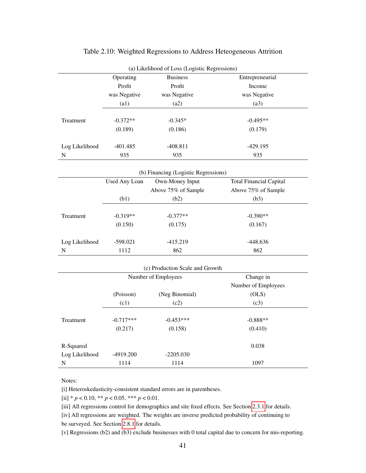| (a) Likelihood of Loss (Logistic Regressions) |                      |                                      |                                |  |
|-----------------------------------------------|----------------------|--------------------------------------|--------------------------------|--|
|                                               | Operating            | <b>Business</b>                      | Entrepreneurial                |  |
|                                               | Profit               | Profit                               | Income                         |  |
|                                               | was Negative         | was Negative                         | was Negative                   |  |
|                                               | (a1)                 | (a2)                                 | (a3)                           |  |
|                                               |                      |                                      |                                |  |
| Treatment                                     | $-0.372**$           | $-0.345*$                            | $-0.495**$                     |  |
|                                               | (0.189)              | (0.186)                              | (0.179)                        |  |
| Log Likelihood                                | $-401.485$           | $-408.811$                           | $-429.195$                     |  |
| ${\bf N}$                                     | 935                  | 935                                  | 935                            |  |
|                                               |                      |                                      |                                |  |
|                                               |                      | (b) Financing (Logistic Regressions) |                                |  |
|                                               | <b>Used Any Loan</b> | Own-Money Input                      | <b>Total Financial Capital</b> |  |
|                                               |                      | Above 75% of Sample                  | Above 75% of Sample            |  |
|                                               | (b1)                 | (b2)                                 | (b3)                           |  |
|                                               |                      |                                      |                                |  |
| Treatment                                     | $-0.319**$           | $-0.377**$                           | $-0.390**$                     |  |
|                                               | (0.150)              | (0.175)                              | (0.167)                        |  |
|                                               |                      |                                      |                                |  |
| Log Likelihood                                | $-598.021$           | $-415.219$                           | $-448.636$                     |  |
| ${\bf N}$                                     | 1112                 | 862                                  | 862                            |  |
|                                               |                      |                                      |                                |  |
|                                               |                      | (c) Production Scale and Growth      |                                |  |
|                                               |                      | Number of Employees                  | Change in                      |  |
|                                               |                      |                                      | Number of Employees            |  |
|                                               | (Poisson)            | (Neg Binomial)                       | (OLS)                          |  |
|                                               | (c1)                 | (c2)                                 | (c3)                           |  |
|                                               |                      |                                      |                                |  |
| Treatment                                     | $-0.717***$          | $-0.453***$                          | $-0.888**$                     |  |
|                                               | (0.217)              | (0.158)                              | (0.410)                        |  |
| R-Squared                                     |                      |                                      | 0.038                          |  |
| Log Likelihood                                | -4919.200            | $-2205.030$                          |                                |  |
| N                                             | 1114                 | 1114                                 | 1097                           |  |
|                                               |                      |                                      |                                |  |

### <span id="page-46-0"></span>Table 2.10: Weighted Regressions to Address Heteogeneous Attrition

#### Notes:

[i] Heteroskedasticity-consistent standard errors are in parentheses.

 $[i]$  \*  $p < 0.10$ , \*\*  $p < 0.05$ , \*\*\*  $p < 0.01$ .

[iii] All regressions control for demographics and site fixed effects. See Section [2.3.1](#page-21-0) for details.

[iv] All regressions are weighted. The weights are inverse predicted probability of continuing to be surveyed. See Section [2.8.1](#page-45-0) for details.

[v] Regressions (b2) and (b3) exclude businesses with 0 total capital due to concern for mis-reporting.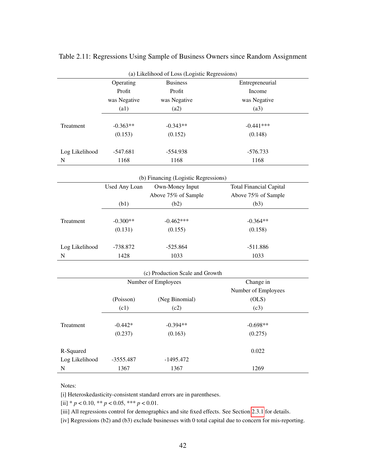|                |                      | (a) Likelihood of Loss (Logistic Regressions) |                                |
|----------------|----------------------|-----------------------------------------------|--------------------------------|
|                | Operating            | <b>Business</b>                               | Entrepreneurial                |
|                | Profit               | Profit                                        | Income                         |
|                | was Negative         | was Negative                                  | was Negative                   |
|                | (a1)                 | (a2)                                          | (a3)                           |
| Treatment      | $-0.363**$           | $-0.343**$                                    | $-0.441***$                    |
|                | (0.153)              | (0.152)                                       | (0.148)                        |
|                |                      |                                               |                                |
| Log Likelihood | $-547.681$           | $-554.938$                                    | $-576.733$                     |
| N              | 1168                 | 1168                                          | 1168                           |
|                |                      | (b) Financing (Logistic Regressions)          |                                |
|                | <b>Used Any Loan</b> | Own-Money Input                               | <b>Total Financial Capital</b> |
|                |                      | Above 75% of Sample                           | Above 75% of Sample            |
|                | (b1)                 | (b2)                                          | (b3)                           |
|                |                      |                                               |                                |
| Treatment      | $-0.300**$           | $-0.462***$                                   | $-0.364**$                     |
|                | (0.131)              | (0.155)                                       | (0.158)                        |
| Log Likelihood | $-738.872$           | $-525.864$                                    | $-511.886$                     |
| ${\bf N}$      | 1428                 | 1033                                          | 1033                           |
|                |                      |                                               |                                |
|                |                      | (c) Production Scale and Growth               |                                |
|                |                      | Number of Employees                           | Change in                      |
|                |                      |                                               | Number of Employees            |
|                | (Poisson)            | (Neg Binomial)                                | (OLS)                          |
|                | (c1)                 | (c2)                                          | (c3)                           |
| Treatment      | $-0.442*$            | $-0.394**$                                    | $-0.698**$                     |
|                | (0.237)              | (0.163)                                       | (0.275)                        |
|                |                      |                                               |                                |
| R-Squared      |                      |                                               | 0.022                          |
| Log Likelihood | -3555.487            | $-1495.472$                                   |                                |
| $\mathbf N$    | 1367                 | 1367                                          | 1269                           |

<span id="page-47-0"></span>Table 2.11: Regressions Using Sample of Business Owners since Random Assignment

#### Notes:

[i] Heteroskedasticity-consistent standard errors are in parentheses.

[ii] \* *p* < 0.10, \*\* *p* < 0.05, \*\*\* *p* < 0.01.

[iii] All regressions control for demographics and site fixed effects. See Section [2.3.1](#page-21-0) for details.

[iv] Regressions (b2) and (b3) exclude businesses with 0 total capital due to concern for mis-reporting.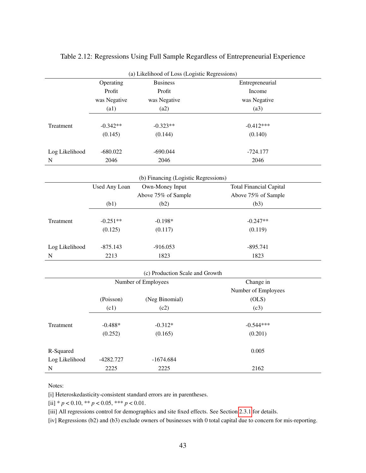| Operating<br><b>Business</b><br>Entrepreneurial<br>Profit<br>Profit<br>Income<br>was Negative<br>was Negative<br>was Negative<br>(a3)<br>(a1)<br>(a2)<br>$-0.342**$<br>$-0.323**$<br>$-0.412***$<br>Treatment<br>(0.144)<br>(0.140)<br>(0.145)<br>$-680.022$<br>$-690.044$<br>$-724.177$<br>Log Likelihood<br>2046<br>2046<br>2046<br>${\bf N}$<br>(b) Financing (Logistic Regressions)<br>Own-Money Input<br><b>Total Financial Capital</b><br><b>Used Any Loan</b><br>Above 75% of Sample<br>Above 75% of Sample<br>(b1)<br>(b2)<br>(b3)<br>$-0.247**$<br>Treatment<br>$-0.251**$<br>$-0.198*$<br>(0.125)<br>(0.117)<br>(0.119)<br>$-875.143$<br>$-916.053$<br>$-895.741$<br>Log Likelihood<br>2213<br>1823<br>1823<br>${\bf N}$<br>(c) Production Scale and Growth<br>Change in<br>Number of Employees<br>Number of Employees<br>(Poisson)<br>(Neg Binomial)<br>(OLS)<br>(c1)<br>(c3)<br>(c2)<br>$-0.544***$<br>Treatment<br>$-0.488*$<br>$-0.312*$<br>(0.252)<br>(0.165)<br>(0.201)<br>R-Squared<br>0.005<br>Log Likelihood<br>-4282.727<br>$-1674.684$<br>${\bf N}$<br>2225<br>2225<br>2162 |  | (a) Likelihood of Loss (Logistic Regressions) |  |
|--------------------------------------------------------------------------------------------------------------------------------------------------------------------------------------------------------------------------------------------------------------------------------------------------------------------------------------------------------------------------------------------------------------------------------------------------------------------------------------------------------------------------------------------------------------------------------------------------------------------------------------------------------------------------------------------------------------------------------------------------------------------------------------------------------------------------------------------------------------------------------------------------------------------------------------------------------------------------------------------------------------------------------------------------------------------------------------------------|--|-----------------------------------------------|--|
|                                                                                                                                                                                                                                                                                                                                                                                                                                                                                                                                                                                                                                                                                                                                                                                                                                                                                                                                                                                                                                                                                                  |  |                                               |  |
|                                                                                                                                                                                                                                                                                                                                                                                                                                                                                                                                                                                                                                                                                                                                                                                                                                                                                                                                                                                                                                                                                                  |  |                                               |  |
|                                                                                                                                                                                                                                                                                                                                                                                                                                                                                                                                                                                                                                                                                                                                                                                                                                                                                                                                                                                                                                                                                                  |  |                                               |  |
|                                                                                                                                                                                                                                                                                                                                                                                                                                                                                                                                                                                                                                                                                                                                                                                                                                                                                                                                                                                                                                                                                                  |  |                                               |  |
|                                                                                                                                                                                                                                                                                                                                                                                                                                                                                                                                                                                                                                                                                                                                                                                                                                                                                                                                                                                                                                                                                                  |  |                                               |  |
|                                                                                                                                                                                                                                                                                                                                                                                                                                                                                                                                                                                                                                                                                                                                                                                                                                                                                                                                                                                                                                                                                                  |  |                                               |  |
|                                                                                                                                                                                                                                                                                                                                                                                                                                                                                                                                                                                                                                                                                                                                                                                                                                                                                                                                                                                                                                                                                                  |  |                                               |  |
|                                                                                                                                                                                                                                                                                                                                                                                                                                                                                                                                                                                                                                                                                                                                                                                                                                                                                                                                                                                                                                                                                                  |  |                                               |  |
|                                                                                                                                                                                                                                                                                                                                                                                                                                                                                                                                                                                                                                                                                                                                                                                                                                                                                                                                                                                                                                                                                                  |  |                                               |  |
|                                                                                                                                                                                                                                                                                                                                                                                                                                                                                                                                                                                                                                                                                                                                                                                                                                                                                                                                                                                                                                                                                                  |  |                                               |  |
|                                                                                                                                                                                                                                                                                                                                                                                                                                                                                                                                                                                                                                                                                                                                                                                                                                                                                                                                                                                                                                                                                                  |  |                                               |  |
|                                                                                                                                                                                                                                                                                                                                                                                                                                                                                                                                                                                                                                                                                                                                                                                                                                                                                                                                                                                                                                                                                                  |  |                                               |  |
|                                                                                                                                                                                                                                                                                                                                                                                                                                                                                                                                                                                                                                                                                                                                                                                                                                                                                                                                                                                                                                                                                                  |  |                                               |  |
|                                                                                                                                                                                                                                                                                                                                                                                                                                                                                                                                                                                                                                                                                                                                                                                                                                                                                                                                                                                                                                                                                                  |  |                                               |  |
|                                                                                                                                                                                                                                                                                                                                                                                                                                                                                                                                                                                                                                                                                                                                                                                                                                                                                                                                                                                                                                                                                                  |  |                                               |  |
|                                                                                                                                                                                                                                                                                                                                                                                                                                                                                                                                                                                                                                                                                                                                                                                                                                                                                                                                                                                                                                                                                                  |  |                                               |  |
|                                                                                                                                                                                                                                                                                                                                                                                                                                                                                                                                                                                                                                                                                                                                                                                                                                                                                                                                                                                                                                                                                                  |  |                                               |  |
|                                                                                                                                                                                                                                                                                                                                                                                                                                                                                                                                                                                                                                                                                                                                                                                                                                                                                                                                                                                                                                                                                                  |  |                                               |  |
|                                                                                                                                                                                                                                                                                                                                                                                                                                                                                                                                                                                                                                                                                                                                                                                                                                                                                                                                                                                                                                                                                                  |  |                                               |  |
|                                                                                                                                                                                                                                                                                                                                                                                                                                                                                                                                                                                                                                                                                                                                                                                                                                                                                                                                                                                                                                                                                                  |  |                                               |  |
|                                                                                                                                                                                                                                                                                                                                                                                                                                                                                                                                                                                                                                                                                                                                                                                                                                                                                                                                                                                                                                                                                                  |  |                                               |  |
|                                                                                                                                                                                                                                                                                                                                                                                                                                                                                                                                                                                                                                                                                                                                                                                                                                                                                                                                                                                                                                                                                                  |  |                                               |  |
|                                                                                                                                                                                                                                                                                                                                                                                                                                                                                                                                                                                                                                                                                                                                                                                                                                                                                                                                                                                                                                                                                                  |  |                                               |  |
|                                                                                                                                                                                                                                                                                                                                                                                                                                                                                                                                                                                                                                                                                                                                                                                                                                                                                                                                                                                                                                                                                                  |  |                                               |  |
|                                                                                                                                                                                                                                                                                                                                                                                                                                                                                                                                                                                                                                                                                                                                                                                                                                                                                                                                                                                                                                                                                                  |  |                                               |  |
|                                                                                                                                                                                                                                                                                                                                                                                                                                                                                                                                                                                                                                                                                                                                                                                                                                                                                                                                                                                                                                                                                                  |  |                                               |  |
|                                                                                                                                                                                                                                                                                                                                                                                                                                                                                                                                                                                                                                                                                                                                                                                                                                                                                                                                                                                                                                                                                                  |  |                                               |  |
|                                                                                                                                                                                                                                                                                                                                                                                                                                                                                                                                                                                                                                                                                                                                                                                                                                                                                                                                                                                                                                                                                                  |  |                                               |  |
|                                                                                                                                                                                                                                                                                                                                                                                                                                                                                                                                                                                                                                                                                                                                                                                                                                                                                                                                                                                                                                                                                                  |  |                                               |  |
|                                                                                                                                                                                                                                                                                                                                                                                                                                                                                                                                                                                                                                                                                                                                                                                                                                                                                                                                                                                                                                                                                                  |  |                                               |  |
|                                                                                                                                                                                                                                                                                                                                                                                                                                                                                                                                                                                                                                                                                                                                                                                                                                                                                                                                                                                                                                                                                                  |  |                                               |  |

## <span id="page-48-0"></span>Table 2.12: Regressions Using Full Sample Regardless of Entrepreneurial Experience

#### Notes:

[i] Heteroskedasticity-consistent standard errors are in parentheses.

[ii] \* *p* < 0.10, \*\* *p* < 0.05, \*\*\* *p* < 0.01.

[iii] All regressions control for demographics and site fixed effects. See Section [2.3.1](#page-21-0) for details.

[iv] Regressions (b2) and (b3) exclude owners of businesses with 0 total capital due to concern for mis-reporting.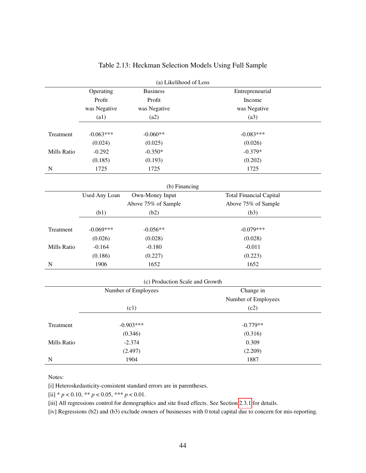|             |                      | (a) Likelihood of Loss          |                                |  |
|-------------|----------------------|---------------------------------|--------------------------------|--|
|             | Operating            | <b>Business</b>                 | Entrepreneurial                |  |
|             | Profit               | Profit                          | Income                         |  |
|             | was Negative         | was Negative                    | was Negative                   |  |
|             | (a1)                 | (a2)                            | (a3)                           |  |
| Treatment   | $-0.063***$          | $-0.060**$                      | $-0.083***$                    |  |
|             | (0.024)              | (0.025)                         | (0.026)                        |  |
| Mills Ratio | $-0.292$             | $-0.350*$                       | $-0.379*$                      |  |
|             | (0.185)              | (0.193)                         | (0.202)                        |  |
| $\mathbf N$ | 1725                 | 1725                            | 1725                           |  |
|             |                      | (b) Financing                   |                                |  |
|             | <b>Used Any Loan</b> | Own-Money Input                 | <b>Total Financial Capital</b> |  |
|             |                      | Above 75% of Sample             | Above 75% of Sample            |  |
|             | (b1)                 | (b2)                            | (b3)                           |  |
| Treatment   | $-0.069***$          | $-0.056**$                      | $-0.079***$                    |  |
|             | (0.026)              | (0.028)                         | (0.028)                        |  |
| Mills Ratio | $-0.164$             | $-0.180$                        | $-0.011$                       |  |
|             | (0.186)              | (0.227)                         | (0.223)                        |  |
| $\mathbf N$ | 1906                 | 1652                            | 1652                           |  |
|             |                      | (c) Production Scale and Growth |                                |  |
|             |                      | Number of Employees             | Change in                      |  |
|             |                      |                                 | Number of Employees            |  |
|             |                      | (c1)                            | (c2)                           |  |
|             |                      |                                 |                                |  |
| Treatment   |                      | $-0.903***$                     | $-0.779**$                     |  |
|             |                      | (0.346)                         | (0.316)                        |  |
| Mills Ratio |                      | $-2.374$                        | 0.309                          |  |
|             |                      | (2.497)                         | (2.209)                        |  |
| $\mathbf N$ |                      | 1904                            | 1887                           |  |

### Table 2.13: Heckman Selection Models Using Full Sample

Notes:

[i] Heteroskedasticity-consistent standard errors are in parentheses.

[ii]  $* p < 0.10, ** p < 0.05, ** p < 0.01$ .

[iii] All regressions control for demographics and site fixed effects. See Section [2.3.1](#page-21-0) for details.

[iv] Regressions (b2) and (b3) exclude owners of businesses with 0 total capital due to concern for mis-reporting.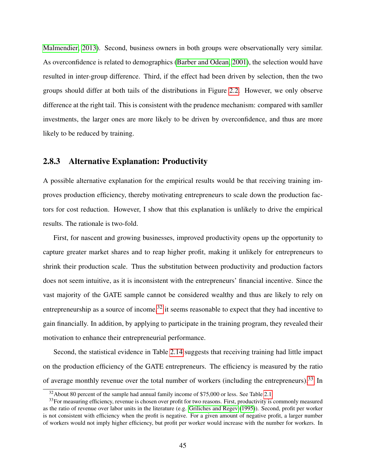[Malmendier, 2013\)](#page-110-0). Second, business owners in both groups were observationally very similar. As overconfidence is related to demographics [\(Barber and Odean, 2001\)](#page-103-0), the selection would have resulted in inter-group difference. Third, if the effect had been driven by selection, then the two groups should differ at both tails of the distributions in Figure [2.2.](#page-33-0) However, we only observe difference at the right tail. This is consistent with the prudence mechanism: compared with samller investments, the larger ones are more likely to be driven by overconfidence, and thus are more likely to be reduced by training.

## 2.8.3 Alternative Explanation: Productivity

A possible alternative explanation for the empirical results would be that receiving training improves production efficiency, thereby motivating entrepreneurs to scale down the production factors for cost reduction. However, I show that this explanation is unlikely to drive the empirical results. The rationale is two-fold.

First, for nascent and growing businesses, improved productivity opens up the opportunity to capture greater market shares and to reap higher profit, making it unlikely for entrepreneurs to shrink their production scale. Thus the substitution between productivity and production factors does not seem intuitive, as it is inconsistent with the entrepreneurs' financial incentive. Since the vast majority of the GATE sample cannot be considered wealthy and thus are likely to rely on entrepreneurship as a source of income,  $32$  it seems reasonable to expect that they had incentive to gain financially. In addition, by applying to participate in the training program, they revealed their motivation to enhance their entrepreneurial performance.

Second, the statistical evidence in Table [2.14](#page-52-0) suggests that receiving training had little impact on the production efficiency of the GATE entrepreneurs. The efficiency is measured by the ratio of average monthly revenue over the total number of workers (including the entrepreneurs).<sup>[33](#page-50-1)</sup> In

<span id="page-50-1"></span><span id="page-50-0"></span> $32$ About 80 percent of the sample had annual family income of \$75,000 or less. See Table [2.1.](#page-26-0)

 $33$ For measuring efficiency, revenue is chosen over profit for two reasons. First, productivity is commonly measured as the ratio of revenue over labor units in the literature (e.g. [Griliches and Regev](#page-108-0) [\(1995\)](#page-108-0)). Second, profit per worker is not consistent with efficiency when the profit is negative. For a given amount of negative profit, a larger number of workers would not imply higher efficiency, but profit per worker would increase with the number for workers. In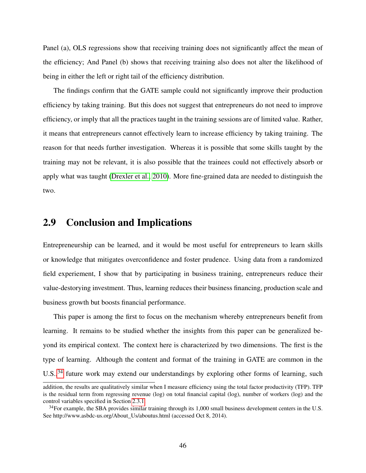Panel (a), OLS regressions show that receiving training does not significantly affect the mean of the efficiency; And Panel (b) shows that receiving training also does not alter the likelihood of being in either the left or right tail of the efficiency distribution.

The findings confirm that the GATE sample could not significantly improve their production efficiency by taking training. But this does not suggest that entrepreneurs do not need to improve efficiency, or imply that all the practices taught in the training sessions are of limited value. Rather, it means that entrepreneurs cannot effectively learn to increase efficiency by taking training. The reason for that needs further investigation. Whereas it is possible that some skills taught by the training may not be relevant, it is also possible that the trainees could not effectively absorb or apply what was taught [\(Drexler et al., 2010\)](#page-106-0). More fine-grained data are needed to distinguish the two.

## 2.9 Conclusion and Implications

Entrepreneurship can be learned, and it would be most useful for entrepreneurs to learn skills or knowledge that mitigates overconfidence and foster prudence. Using data from a randomized field experiement, I show that by participating in business training, entrepreneurs reduce their value-destorying investment. Thus, learning reduces their business financing, production scale and business growth but boosts financial performance.

This paper is among the first to focus on the mechanism whereby entrepreneurs benefit from learning. It remains to be studied whether the insights from this paper can be generalized beyond its empirical context. The context here is characterized by two dimensions. The first is the type of learning. Although the content and format of the training in GATE are common in the U.S.,<sup>[34](#page-51-0)</sup> future work may extend our understandings by exploring other forms of learning, such

addition, the results are qualitatively similar when I measure efficiency using the total factor productivity (TFP). TFP is the residual term from regressing revenue (log) on total financial capital (log), number of workers (log) and the control variables specified in Section [2.3.1.](#page-21-0)

<span id="page-51-0"></span> $34$ For example, the SBA provides similar training through its 1,000 small business development centers in the U.S. See http://www.asbdc-us.org/About\_Us/aboutus.html (accessed Oct 8, 2014).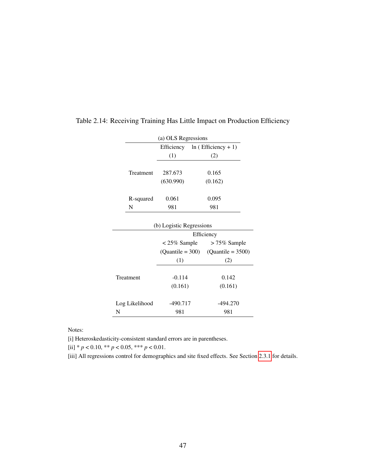<span id="page-52-0"></span>

|                                        | (a) OLS Regressions |                       |  |  |
|----------------------------------------|---------------------|-----------------------|--|--|
|                                        | Efficiency          | $ln (Efficiency + 1)$ |  |  |
|                                        | (1)                 | (2)                   |  |  |
|                                        |                     |                       |  |  |
| Treatment                              | 287.673             | 0.165                 |  |  |
|                                        | (630.990)           | (0.162)               |  |  |
| R-squared                              | 0.061               | 0.095                 |  |  |
| N                                      | 981                 | 981                   |  |  |
| (b) Logistic Regressions<br>Efficiency |                     |                       |  |  |
|                                        | $<$ 25% Sample      | $> 75\%$ Sample       |  |  |
|                                        | $(Quantile = 300)$  | $(Quantile = 3500)$   |  |  |
|                                        | (1)                 | (2)                   |  |  |
|                                        |                     |                       |  |  |
| Treatment                              | $-0.114$            | 0.142                 |  |  |
|                                        | (0.161)             | (0.161)               |  |  |
| Log Likelihood                         | $-490.717$          | -494.270              |  |  |
| N                                      | 981                 | 981                   |  |  |

### Table 2.14: Receiving Training Has Little Impact on Production Efficiency

Notes:

[i] Heteroskedasticity-consistent standard errors are in parentheses.

[ii]  $* p < 0.10, ** p < 0.05, ** p < 0.01$ .

[iii] All regressions control for demographics and site fixed effects. See Section [2.3.1](#page-21-0) for details.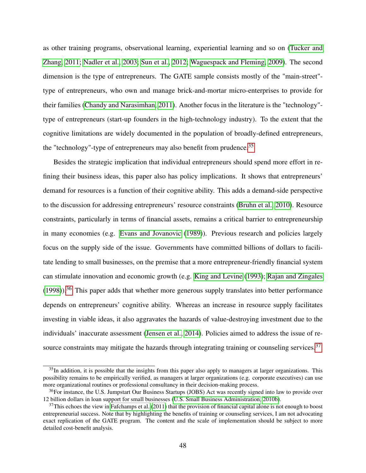as other training programs, observational learning, experiential learning and so on [\(Tucker and](#page-113-0) [Zhang, 2011;](#page-113-0) [Nadler et al., 2003;](#page-111-0) [Sun et al., 2012;](#page-113-1) [Waguespack and Fleming, 2009\)](#page-113-2). The second dimension is the type of entrepreneurs. The GATE sample consists mostly of the "main-street" type of entrepreneurs, who own and manage brick-and-mortar micro-enterprises to provide for their families [\(Chandy and Narasimhan, 2011\)](#page-105-0). Another focus in the literature is the "technology" type of entrepreneurs (start-up founders in the high-technology industry). To the extent that the cognitive limitations are widely documented in the population of broadly-defined entrepreneurs, the "technology"-type of entrepreneurs may also benefit from prudence.[35](#page-53-0)

Besides the strategic implication that individual entrepreneurs should spend more effort in refining their business ideas, this paper also has policy implications. It shows that entrepreneurs' demand for resources is a function of their cognitive ability. This adds a demand-side perspective to the discussion for addressing entrepreneurs' resource constraints [\(Bruhn et al., 2010\)](#page-105-1). Resource constraints, particularly in terms of financial assets, remains a critical barrier to entrepreneurship in many economies (e.g. [Evans and Jovanovic](#page-107-1) [\(1989\)](#page-107-1)). Previous research and policies largely focus on the supply side of the issue. Governments have committed billions of dollars to facilitate lending to small businesses, on the premise that a more entrepreneur-friendly financial system can stimulate innovation and economic growth (e.g. [King and Levine](#page-109-0) [\(1993\)](#page-109-0); [Rajan and Zingales](#page-111-1)  $(1998)$ .<sup>[36](#page-53-1)</sup> This paper adds that whether more generous supply translates into better performance depends on entrepreneurs' cognitive ability. Whereas an increase in resource supply facilitates investing in viable ideas, it also aggravates the hazards of value-destroying investment due to the individuals' inaccurate assessment [\(Jensen et al., 2014\)](#page-109-1). Policies aimed to address the issue of re-source constraints may mitigate the hazards through integrating training or counseling services.<sup>[37](#page-53-2)</sup>

<span id="page-53-0"></span> $35$ In addition, it is possible that the insights from this paper also apply to managers at larger organizations. This possibility remains to be empirically verified, as managers at larger organizations (e.g. corporate executives) can use more organizational routines or professional consultancy in their decision-making process.

<span id="page-53-1"></span><sup>&</sup>lt;sup>36</sup>For instance, the U.S. Jumpstart Our Business Startups (JOBS) Act was recently signed into law to provide over 12 billion dollars in loan support for small businesses [\(U.S. Small Business Administration, 2010b\)](#page-113-3).

<span id="page-53-2"></span> $37$ This echoes the view in [Fafchamps et al.](#page-107-2) [\(2011\)](#page-107-2) that the provision of financial capital alone is not enough to boost entrepreneurial success. Note that by highlighting the benefits of training or counseling services, I am not advocating exact replication of the GATE program. The content and the scale of implementation should be subject to more detailed cost-benefit analysis.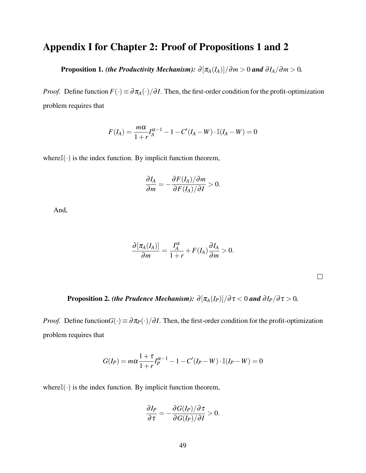# Appendix I for Chapter 2: Proof of Propositions 1 and 2

Proposition 1. *(the Productivity Mechanism):*  $\partial [\pi_A(I_A)]/\partial m > 0$  *and*  $\partial I_A/\partial m > 0$ .

*Proof.* Define function  $F(\cdot) \equiv \partial \pi_A(\cdot) / \partial I$ . Then, the first-order condition for the profit-optimization problem requires that

$$
F(I_A) = \frac{m\alpha}{1+r}I_A^{\alpha-1} - 1 - C'(I_A - W) \cdot \mathbb{I}(I_A - W) = 0
$$

where $\mathbb{I}(\cdot)$  is the index function. By implicit function theorem,

$$
\frac{\partial I_A}{\partial m} = -\frac{\partial F(I_A)/\partial m}{\partial F(I_A)/\partial I} > 0.
$$

And,

$$
\frac{\partial \left[\pi_A(I_A)\right]}{\partial m} = \frac{I_A^{\alpha}}{1+r} + F(I_A) \frac{\partial I_A}{\partial m} > 0.
$$

**Proposition 2.** *(the Prudence Mechanism):*  $\partial [\pi_A(I_P)]/\partial \tau < 0$  *and*  $\partial I_P/\partial \tau > 0$ *.* 

*Proof.* Define function $G(\cdot) \equiv \partial \pi_P(\cdot) / \partial I$ . Then, the first-order condition for the profit-optimization problem requires that

$$
G(I_P) = m\alpha \frac{1+\tau}{1+r} I_P^{\alpha-1} - 1 - C'(I_P - W) \cdot \mathbb{I}(I_P - W) = 0
$$

where $\mathbb{I}(\cdot)$  is the index function. By implicit function theorem,

$$
\frac{\partial I_P}{\partial \tau} = -\frac{\partial G(I_P)/\partial \tau}{\partial G(I_P)/\partial I} > 0.
$$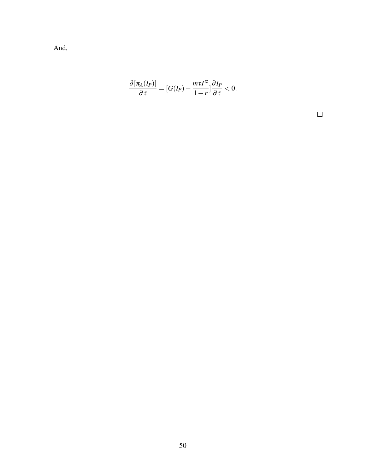And,

$$
\frac{\partial \left[\pi_A(I_P)\right]}{\partial \tau} = [G(I_P) - \frac{m\tau I^{\alpha}}{1+r}] \frac{\partial I_P}{\partial \tau} < 0.
$$

 $\Box$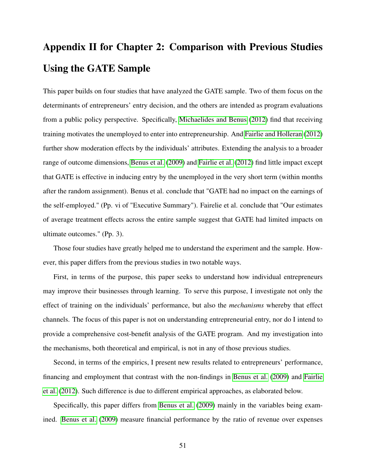# Appendix II for Chapter 2: Comparison with Previous Studies Using the GATE Sample

This paper builds on four studies that have analyzed the GATE sample. Two of them focus on the determinants of entrepreneurs' entry decision, and the others are intended as program evaluations from a public policy perspective. Specifically, [Michaelides and Benus](#page-110-1) [\(2012\)](#page-110-1) find that receiving training motivates the unemployed to enter into entrepreneurship. And [Fairlie and Holleran](#page-107-3) [\(2012\)](#page-107-3) further show moderation effects by the individuals' attributes. Extending the analysis to a broader range of outcome dimensions, [Benus et al.](#page-104-0) [\(2009\)](#page-104-0) and [Fairlie et al.](#page-107-0) [\(2012\)](#page-107-0) find little impact except that GATE is effective in inducing entry by the unemployed in the very short term (within months after the random assignment). Benus et al. conclude that "GATE had no impact on the earnings of the self-employed." (Pp. vi of "Executive Summary"). Fairelie et al. conclude that "Our estimates of average treatment effects across the entire sample suggest that GATE had limited impacts on ultimate outcomes." (Pp. 3).

Those four studies have greatly helped me to understand the experiment and the sample. However, this paper differs from the previous studies in two notable ways.

First, in terms of the purpose, this paper seeks to understand how individual entrepreneurs may improve their businesses through learning. To serve this purpose, I investigate not only the effect of training on the individuals' performance, but also the *mechanisms* whereby that effect channels. The focus of this paper is not on understanding entrepreneurial entry, nor do I intend to provide a comprehensive cost-benefit analysis of the GATE program. And my investigation into the mechanisms, both theoretical and empirical, is not in any of those previous studies.

Second, in terms of the empirics, I present new results related to entrepreneurs' performance, financing and employment that contrast with the non-findings in [Benus et al.](#page-104-0) [\(2009\)](#page-104-0) and [Fairlie](#page-107-0) [et al.](#page-107-0) [\(2012\)](#page-107-0). Such difference is due to different empirical approaches, as elaborated below.

Specifically, this paper differs from [Benus et al.](#page-104-0) [\(2009\)](#page-104-0) mainly in the variables being examined. [Benus et al.](#page-104-0) [\(2009\)](#page-104-0) measure financial performance by the ratio of revenue over expenses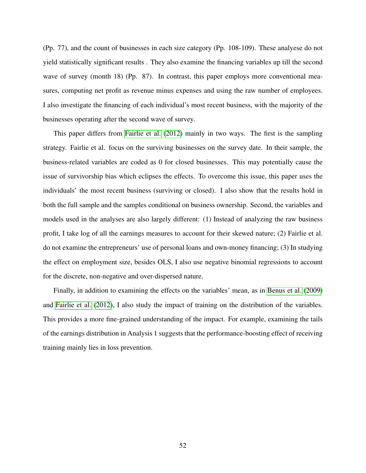(Pp. 77), and the count of businesses in each size category (Pp. 108-109). These analyese do not yield statistically significant results . They also examine the financing variables up till the second wave of survey (month 18) (Pp. 87). In contrast, this paper employs more conventional measures, computing net profit as revenue minus expenses and using the raw number of employees. I also investigate the financing of each individual's most recent business, with the majority of the businesses operating after the second wave of survey.

This paper differs from [Fairlie et al.](#page-107-0) [\(2012\)](#page-107-0) mainly in two ways. The first is the sampling strategy. Fairlie et al. focus on the surviving businesses on the survey date. In their sample, the business-related variables are coded as 0 for closed businesses. This may potentially cause the issue of survivorship bias which eclipses the effects. To overcome this issue, this paper uses the individuals' the most recent business (surviving or closed). I also show that the results hold in both the full sample and the samples conditional on business ownership. Second, the variables and models used in the analyses are also largely different: (1) Instead of analyzing the raw business profit, I take log of all the earnings measures to account for their skewed nature; (2) Fairlie et al. do not examine the entrepreneurs' use of personal loans and own-money financing; (3) In studying the effect on employment size, besides OLS, I also use negative binomial regressions to account for the discrete, non-negative and over-dispersed nature.

Finally, in addition to examining the effects on the variables' mean, as in [Benus et al.](#page-104-0) [\(2009\)](#page-104-0) and [Fairlie et al.](#page-107-0) [\(2012\)](#page-107-0), I also study the impact of training on the distribution of the variables. This provides a more fine-grained understanding of the impact. For example, examining the tails of the earnings distribution in Analysis 1 suggests that the performance-boosting effect of receiving training mainly lies in loss prevention.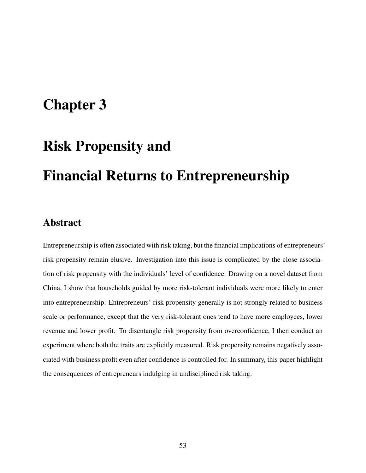# Chapter 3

# Risk Propensity and

# Financial Returns to Entrepreneurship

## Abstract

Entrepreneurship is often associated with risk taking, but the financial implications of entrepreneurs' risk propensity remain elusive. Investigation into this issue is complicated by the close association of risk propensity with the individuals' level of confidence. Drawing on a novel dataset from China, I show that households guided by more risk-tolerant individuals were more likely to enter into entrepreneurship. Entrepreneurs' risk propensity generally is not strongly related to business scale or performance, except that the very risk-tolerant ones tend to have more employees, lower revenue and lower profit. To disentangle risk propensity from overconfidence, I then conduct an experiment where both the traits are explicitly measured. Risk propensity remains negatively associated with business profit even after confidence is controlled for. In summary, this paper highlight the consequences of entrepreneurs indulging in undisciplined risk taking.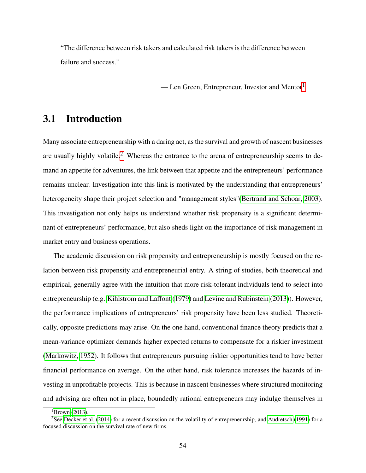"The difference between risk takers and calculated risk takers is the difference between failure and success."

— Len Green, Entrepreneur, Investor and Mentor<sup>[1](#page-59-0)</sup>

## 3.1 Introduction

Many associate entrepreneurship with a daring act, as the survival and growth of nascent businesses are usually highly volatile.<sup>[2](#page-59-1)</sup> Whereas the entrance to the arena of entrepreneurship seems to demand an appetite for adventures, the link between that appetite and the entrepreneurs' performance remains unclear. Investigation into this link is motivated by the understanding that entrepreneurs' heterogeneity shape their project selection and "management styles"[\(Bertrand and Schoar, 2003\)](#page-104-1). This investigation not only helps us understand whether risk propensity is a significant determinant of entrepreneurs' performance, but also sheds light on the importance of risk management in market entry and business operations.

The academic discussion on risk propensity and entrepreneurship is mostly focused on the relation between risk propensity and entrepreneurial entry. A string of studies, both theoretical and empirical, generally agree with the intuition that more risk-tolerant individuals tend to select into entrepreneurship (e.g. [Kihlstrom and Laffont](#page-109-2) [\(1979\)](#page-109-2) and [Levine and Rubinstein](#page-110-2) [\(2013\)](#page-110-2)). However, the performance implications of entrepreneurs' risk propensity have been less studied. Theoretically, opposite predictions may arise. On the one hand, conventional finance theory predicts that a mean-variance optimizer demands higher expected returns to compensate for a riskier investment [\(Markowitz, 1952\)](#page-110-3). It follows that entrepreneurs pursuing riskier opportunities tend to have better financial performance on average. On the other hand, risk tolerance increases the hazards of investing in unprofitable projects. This is because in nascent businesses where structured monitoring and advising are often not in place, boundedly rational entrepreneurs may indulge themselves in

<span id="page-59-1"></span><span id="page-59-0"></span> ${}^{1}$ [Brown](#page-104-2) [\(2013\)](#page-104-2).

<sup>&</sup>lt;sup>2</sup>See [Decker et al.](#page-106-1) [\(2014\)](#page-106-1) for a recent discussion on the volatility of entrepreneurship, and [Audretsch](#page-103-1) [\(1991\)](#page-103-1) for a focused discussion on the survival rate of new firms.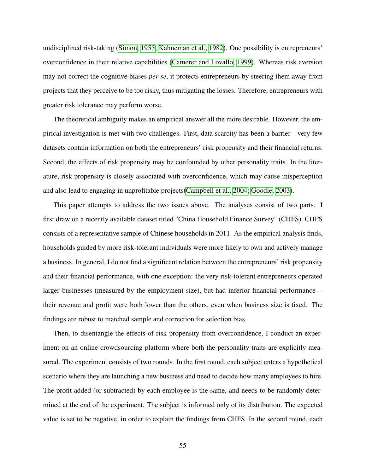undisciplined risk-taking [\(Simon, 1955;](#page-112-0) [Kahneman et al., 1982\)](#page-109-3). One possibility is entrepreneurs' overconfidence in their relative capabilities [\(Camerer and Lovallo, 1999\)](#page-105-2). Whereas risk aversion may not correct the cognitive biases *per se*, it protects entrepreneurs by steering them away from projects that they perceive to be too risky, thus mitigating the losses. Therefore, entrepreneurs with greater risk tolerance may perform worse.

The theoretical ambiguity makes an empirical answer all the more desirable. However, the empirical investigation is met with two challenges. First, data scarcity has been a barrier—very few datasets contain information on both the entrepreneurs' risk propensity and their financial returns. Second, the effects of risk propensity may be confounded by other personality traits. In the literature, risk propensity is closely associated with overconfidence, which may cause misperception and also lead to engaging in unprofitable projects[\(Campbell et al., 2004;](#page-105-3) [Goodie, 2003\)](#page-108-1).

This paper attempts to address the two issues above. The analyses consist of two parts. I first draw on a recently available dataset titled "China Household Finance Survey" (CHFS). CHFS consists of a representative sample of Chinese households in 2011. As the empirical analysis finds, households guided by more risk-tolerant individuals were more likely to own and actively manage a business. In general, I do not find a significant relation between the entrepreneurs' risk propensity and their financial performance, with one exception: the very risk-tolerant entrepreneurs operated larger businesses (measured by the employment size), but had inferior financial performance their revenue and profit were both lower than the others, even when business size is fixed. The findings are robust to matched sample and correction for selection bias.

Then, to disentangle the effects of risk propensity from overconfidence, I conduct an experiment on an online crowdsourcing platform where both the personality traits are explicitly measured. The experiment consists of two rounds. In the first round, each subject enters a hypothetical scenario where they are launching a new business and need to decide how many employees to hire. The profit added (or subtracted) by each employee is the same, and needs to be randomly determined at the end of the experiment. The subject is informed only of its distribution. The expected value is set to be negative, in order to explain the findings from CHFS. In the second round, each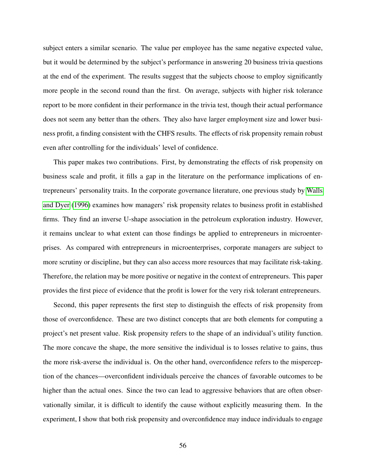subject enters a similar scenario. The value per employee has the same negative expected value, but it would be determined by the subject's performance in answering 20 business trivia questions at the end of the experiment. The results suggest that the subjects choose to employ significantly more people in the second round than the first. On average, subjects with higher risk tolerance report to be more confident in their performance in the trivia test, though their actual performance does not seem any better than the others. They also have larger employment size and lower business profit, a finding consistent with the CHFS results. The effects of risk propensity remain robust even after controlling for the individuals' level of confidence.

This paper makes two contributions. First, by demonstrating the effects of risk propensity on business scale and profit, it fills a gap in the literature on the performance implications of entrepreneurs' personality traits. In the corporate governance literature, one previous study by [Walls](#page-113-4) [and Dyer](#page-113-4) [\(1996\)](#page-113-4) examines how managers' risk propensity relates to business profit in established firms. They find an inverse U-shape association in the petroleum exploration industry. However, it remains unclear to what extent can those findings be applied to entrepreneurs in microenterprises. As compared with entrepreneurs in microenterprises, corporate managers are subject to more scrutiny or discipline, but they can also access more resources that may facilitate risk-taking. Therefore, the relation may be more positive or negative in the context of entrepreneurs. This paper provides the first piece of evidence that the profit is lower for the very risk tolerant entrepreneurs.

Second, this paper represents the first step to distinguish the effects of risk propensity from those of overconfidence. These are two distinct concepts that are both elements for computing a project's net present value. Risk propensity refers to the shape of an individual's utility function. The more concave the shape, the more sensitive the individual is to losses relative to gains, thus the more risk-averse the individual is. On the other hand, overconfidence refers to the misperception of the chances—overconfident individuals perceive the chances of favorable outcomes to be higher than the actual ones. Since the two can lead to aggressive behaviors that are often observationally similar, it is difficult to identify the cause without explicitly measuring them. In the experiment, I show that both risk propensity and overconfidence may induce individuals to engage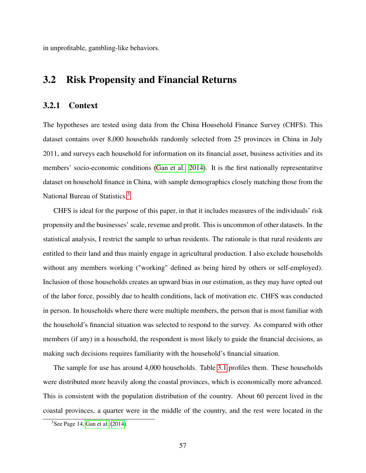in unprofitable, gambling-like behaviors.

## 3.2 Risk Propensity and Financial Returns

### 3.2.1 Context

The hypotheses are tested using data from the China Household Finance Survey (CHFS). This dataset contains over 8,000 households randomly selected from 25 provinces in China in July 2011, and surveys each household for information on its financial asset, business activities and its members' socio-economic conditions [\(Gan et al., 2014\)](#page-107-4). It is the first nationally representatitve dataset on household finance in China, with sample demographics closely matching those from the National Bureau of Statistics.<sup>[3](#page-62-0)</sup>

CHFS is ideal for the purpose of this paper, in that it includes measures of the individuals' risk propensity and the businesses' scale, revenue and profit. This is uncommon of other datasets. In the statistical analysis, I restrict the sample to urban residents. The rationale is that rural residents are entitled to their land and thus mainly engage in agricultural production. I also exclude households without any members working ("working" defined as being hired by others or self-employed). Inclusion of those households creates an upward bias in our estimation, as they may have opted out of the labor force, possibly due to health conditions, lack of motivation etc. CHFS was conducted in person. In households where there were multiple members, the person that is most familiar with the household's financial situation was selected to respond to the survey. As compared with other members (if any) in a household, the respondent is most likely to guide the financial decisions, as making such decisions requires familiarity with the household's financial situation.

The sample for use has around 4,000 households. Table [3.1](#page-65-0) profiles them. These households were distributed more heavily along the coastal provinces, which is economically more advanced. This is consistent with the population distribution of the country. About 60 percent lived in the coastal provinces, a quarter were in the middle of the country, and the rest were located in the

<span id="page-62-0"></span> $3$ See Page 14, [Gan et al.](#page-107-4) [\(2014\)](#page-107-4).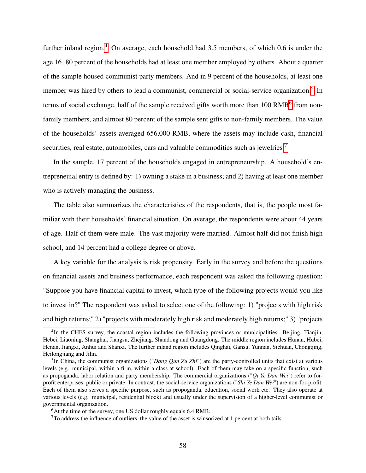further inland region.<sup>[4](#page-63-0)</sup> On average, each household had  $3.5$  members, of which 0.6 is under the age 16. 80 percent of the households had at least one member employed by others. About a quarter of the sample housed communist party members. And in 9 percent of the households, at least one member was hired by others to lead a communist, commercial or social-service organization.<sup>[5](#page-63-1)</sup> In terms of social exchange, half of the sample received gifts worth more than  $100 \text{ }\text{RMB}^6$  $100 \text{ }\text{RMB}^6$  from nonfamily members, and almost 80 percent of the sample sent gifts to non-family members. The value of the households' assets averaged 656,000 RMB, where the assets may include cash, financial securities, real estate, automobiles, cars and valuable commodities such as jewelries.<sup>[7](#page-63-3)</sup>

In the sample, 17 percent of the households engaged in entrepreneurship. A household's entrepreneuial entry is defined by: 1) owning a stake in a business; and 2) having at least one member who is actively managing the business.

The table also summarizes the characteristics of the respondents, that is, the people most familiar with their households' financial situation. On average, the respondents were about 44 years of age. Half of them were male. The vast majority were married. Almost half did not finish high school, and 14 percent had a college degree or above.

A key variable for the analysis is risk propensity. Early in the survey and before the questions on financial assets and business performance, each respondent was asked the following question: "Suppose you have financial capital to invest, which type of the following projects would you like to invest in?" The respondent was asked to select one of the following: 1) "projects with high risk and high returns;" 2) "projects with moderately high risk and moderately high returns;" 3) "projects

<span id="page-63-0"></span><sup>&</sup>lt;sup>4</sup>In the CHFS survey, the coastal region includes the following provinces or municipalities: Beijing, Tianjin, Hebei, Liaoning, Shanghai, Jiangsu, Zhejiang, Shandong and Guangdong. The middle region includes Hunan, Hubei, Henan, Jiangxi, Anhui and Shanxi. The further inland region includes Qinghai, Gansu, Yunnan, Sichuan, Chongqing, Heilongjiang and Jilin.

<span id="page-63-1"></span><sup>5</sup> In China, the communist organizations ("*Dang Qun Zu Zhi*") are the party-controlled units that exist at various levels (e.g. municipal, within a firm, within a class at school). Each of them may take on a specific function, such as propoganda, labor relation and party membership. The commercial organizations ("*Qi Ye Dan Wei*") refer to forprofit enterprises, public or private. In contrast, the social-service organizations ("*Shi Ye Dan Wei*") are non-for-profit. Each of them also serves a specific purpose, such as propoganda, education, social work etc. They also operate at various levels (e.g. municipal, residential block) and usually under the supervision of a higher-level communist or governmental organization.

<span id="page-63-2"></span> $6$ At the time of the survey, one US dollar roughly equals 6.4 RMB.

<span id="page-63-3"></span> $7$ To address the influence of outliers, the value of the asset is winsorized at 1 percent at both tails.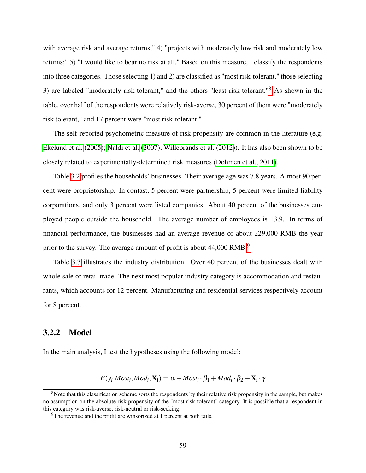with average risk and average returns;" 4) "projects with moderately low risk and moderately low returns;" 5) "I would like to bear no risk at all." Based on this measure, I classify the respondents into three categories. Those selecting 1) and 2) are classified as "most risk-tolerant," those selecting 3) are labeled "moderately risk-tolerant," and the others "least risk-tolerant."[8](#page-64-0) As shown in the table, over half of the respondents were relatively risk-averse, 30 percent of them were "moderately risk tolerant," and 17 percent were "most risk-tolerant."

The self-reported psychometric measure of risk propensity are common in the literature (e.g. [Ekelund et al.](#page-107-5) [\(2005\)](#page-107-5); [Naldi et al.](#page-111-2) [\(2007\)](#page-111-2); [Willebrands et al.](#page-113-5) [\(2012\)](#page-113-5)). It has also been shown to be closely related to experimentally-determined risk measures [\(Dohmen et al., 2011\)](#page-106-2).

Table [3.2](#page-66-0) profiles the households' businesses. Their average age was 7.8 years. Almost 90 percent were proprietorship. In contast, 5 percent were partnership, 5 percent were limited-liability corporations, and only 3 percent were listed companies. About 40 percent of the businesses employed people outside the household. The average number of employees is 13.9. In terms of financial performance, the businesses had an average revenue of about 229,000 RMB the year prior to the survey. The average amount of profit is about 44,000 RMB.<sup>[9](#page-64-1)</sup>

Table [3.3](#page-66-1) illustrates the industry distribution. Over 40 percent of the businesses dealt with whole sale or retail trade. The next most popular industry category is accommodation and restaurants, which accounts for 12 percent. Manufacturing and residential services respectively account for 8 percent.

## 3.2.2 Model

In the main analysis, I test the hypotheses using the following model:

$$
E(y_i | Most_i, Mod_i, \mathbf{X_i}) = \alpha + Most_i \cdot \beta_1 + Mod_i \cdot \beta_2 + \mathbf{X_i} \cdot \gamma
$$

<span id="page-64-0"></span><sup>&</sup>lt;sup>8</sup>Note that this classification scheme sorts the respondents by their relative risk propensity in the sample, but makes no assumption on the absolute risk propensity of the "most risk-tolerant" category. It is possible that a respondent in this category was risk-averse, risk-neutral or risk-seeking.

<span id="page-64-1"></span><sup>&</sup>lt;sup>9</sup>The revenue and the profit are winsorized at 1 percent at both tails.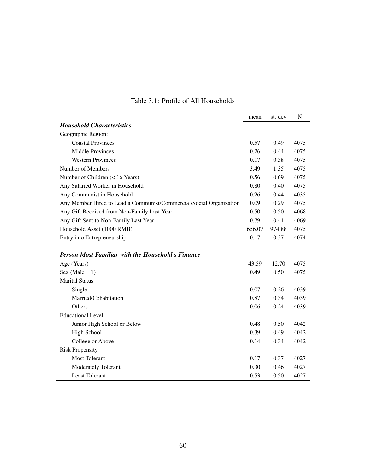|                                                                     | mean   | st. dev | N    |
|---------------------------------------------------------------------|--------|---------|------|
| <b>Household Characteristics</b>                                    |        |         |      |
| Geographic Region:                                                  |        |         |      |
| <b>Coastal Provinces</b>                                            | 0.57   | 0.49    | 4075 |
| <b>Middle Provinces</b>                                             | 0.26   | 0.44    | 4075 |
| <b>Western Provinces</b>                                            | 0.17   | 0.38    | 4075 |
| Number of Members                                                   | 3.49   | 1.35    | 4075 |
| Number of Children (< 16 Years)                                     | 0.56   | 0.69    | 4075 |
| Any Salaried Worker in Household                                    | 0.80   | 0.40    | 4075 |
| Any Communist in Household                                          | 0.26   | 0.44    | 4035 |
| Any Member Hired to Lead a Communist/Commercial/Social Organization | 0.09   | 0.29    | 4075 |
| Any Gift Received from Non-Family Last Year                         | 0.50   | 0.50    | 4068 |
| Any Gift Sent to Non-Family Last Year                               | 0.79   | 0.41    | 4069 |
| Household Asset (1000 RMB)                                          | 656.07 | 974.88  | 4075 |
| Entry into Entrepreneurship                                         | 0.17   | 0.37    | 4074 |
| <b>Person Most Familiar with the Household's Finance</b>            |        |         |      |
| Age (Years)                                                         | 43.59  | 12.70   | 4075 |
| Sex (Male = $1$ )                                                   | 0.49   | 0.50    | 4075 |
| <b>Marital Status</b>                                               |        |         |      |
| Single                                                              | 0.07   | 0.26    | 4039 |
| Married/Cohabitation                                                | 0.87   | 0.34    | 4039 |
| Others                                                              | 0.06   | 0.24    | 4039 |
| <b>Educational Level</b>                                            |        |         |      |
| Junior High School or Below                                         | 0.48   | 0.50    | 4042 |
| High School                                                         | 0.39   | 0.49    | 4042 |
| College or Above                                                    | 0.14   | 0.34    | 4042 |
| <b>Risk Propensity</b>                                              |        |         |      |
| <b>Most Tolerant</b>                                                | 0.17   | 0.37    | 4027 |
| Moderately Tolerant                                                 | 0.30   | 0.46    | 4027 |
| <b>Least Tolerant</b>                                               | 0.53   | 0.50    | 4027 |

## <span id="page-65-0"></span>Table 3.1: Profile of All Households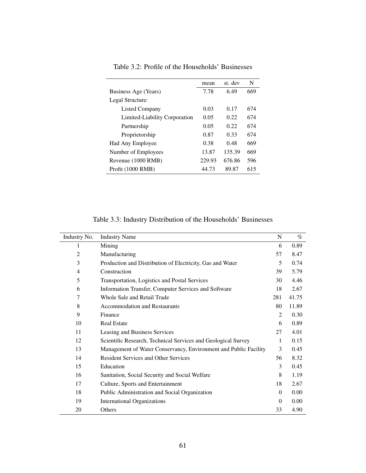|                               | mean   | st. dev | N   |
|-------------------------------|--------|---------|-----|
| Business Age (Years)          | 7.78   | 6.49    | 669 |
| Legal Structure:              |        |         |     |
| Listed Company                | 0.03   | 0.17    | 674 |
| Limited-Liability Corporation | 0.05   | 0.22    | 674 |
| Partnership                   | 0.05   | 0.22    | 674 |
| Proprietorship                | 0.87   | 0.33    | 674 |
| Had Any Employee              | 0.38   | 0.48    | 669 |
| Number of Employees           | 13.87  | 135.39  | 669 |
| Revenue (1000 RMB)            | 229.93 | 676.86  | 596 |
| Profit (1000 RMB)             | 44.73  | 89.87   | 615 |

<span id="page-66-0"></span>Table 3.2: Profile of the Households' Businesses

<span id="page-66-1"></span>Table 3.3: Industry Distribution of the Households' Businesses

| Industry No. | <b>Industry Name</b>                                             | N              | $\%$  |
|--------------|------------------------------------------------------------------|----------------|-------|
| 1            | Mining                                                           | 6              | 0.89  |
| 2            | Manufacturing                                                    | 57             | 8.47  |
| 3            | Production and Distribution of Electricity, Gas and Water        | 5              | 0.74  |
| 4            | Construction                                                     | 39             | 5.79  |
| 5            | Transportation, Logistics and Postal Services                    | 30             | 4.46  |
| 6            | Information Transfer, Computer Services and Software             | 18             | 2.67  |
| 7            | Whole Sale and Retail Trade                                      | 281            | 41.75 |
| 8            | <b>Accommodation and Restaurants</b>                             | 80             | 11.89 |
| 9            | Finance                                                          | $\overline{2}$ | 0.30  |
| 10           | <b>Real Estate</b>                                               | 6              | 0.89  |
| 11           | Leasing and Business Services                                    | 27             | 4.01  |
| 12           | Scientific Research, Technical Services and Geological Survey    | 1              | 0.15  |
| 13           | Management of Water Conservancy, Environment and Public Facility | 3              | 0.45  |
| 14           | <b>Resident Services and Other Services</b>                      | 56             | 8.32  |
| 15           | Education                                                        | 3              | 0.45  |
| 16           | Sanitation, Social Security and Social Welfare                   | 8              | 1.19  |
| 17           | Culture, Sports and Entertainment                                | 18             | 2.67  |
| 18           | Public Administration and Social Organization                    | $\Omega$       | 0.00  |
| 19           | <b>International Organizations</b>                               | $\Omega$       | 0.00  |
| 20           | Others                                                           | 33             | 4.90  |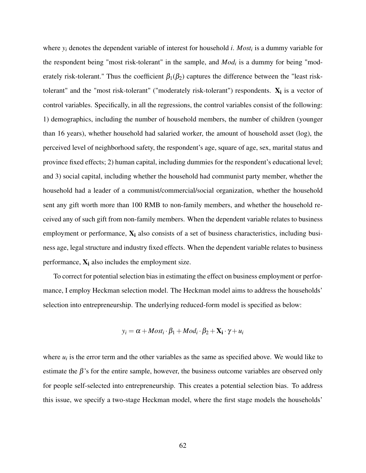where *y<sup>i</sup>* denotes the dependent variable of interest for household *i*. *Most<sup>i</sup>* is a dummy variable for the respondent being "most risk-tolerant" in the sample, and *Mod<sup>i</sup>* is a dummy for being "moderately risk-tolerant." Thus the coefficient  $\beta_1(\beta_2)$  captures the difference between the "least risktolerant" and the "most risk-tolerant" ("moderately risk-tolerant") respondents.  $X_i$  is a vector of control variables. Specifically, in all the regressions, the control variables consist of the following: 1) demographics, including the number of household members, the number of children (younger than 16 years), whether household had salaried worker, the amount of household asset (log), the perceived level of neighborhood safety, the respondent's age, square of age, sex, marital status and province fixed effects; 2) human capital, including dummies for the respondent's educational level; and 3) social capital, including whether the household had communist party member, whether the household had a leader of a communist/commercial/social organization, whether the household sent any gift worth more than 100 RMB to non-family members, and whether the household received any of such gift from non-family members. When the dependent variable relates to business employment or performance,  $X_i$  also consists of a set of business characteristics, including business age, legal structure and industry fixed effects. When the dependent variable relates to business performance,  $X_i$  also includes the employment size.

To correct for potential selection bias in estimating the effect on business employment or performance, I employ Heckman selection model. The Heckman model aims to address the households' selection into entrepreneurship. The underlying reduced-form model is specified as below:

$$
y_i = \alpha + \text{Most}_i \cdot \beta_1 + \text{Mod}_i \cdot \beta_2 + \mathbf{X_i} \cdot \gamma + u_i
$$

where  $u_i$  is the error term and the other variables as the same as specified above. We would like to estimate the  $\beta$ 's for the entire sample, however, the business outcome variables are observed only for people self-selected into entrepreneurship. This creates a potential selection bias. To address this issue, we specify a two-stage Heckman model, where the first stage models the households'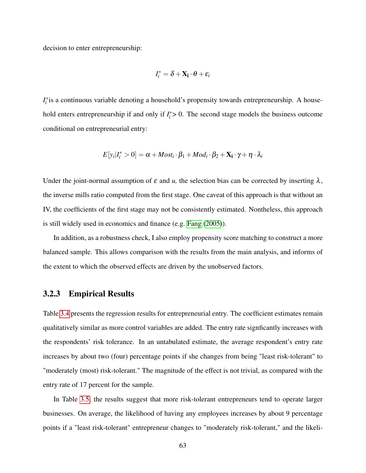decision to enter entrepreneurship:

$$
I_i^* = \delta + \mathbf{X_i} \cdot \boldsymbol{\theta} + \varepsilon_i
$$

*I*<sup>\*</sup><sub>*i*</sub> is a continuous variable denoting a household's propensity towards entrepreneurship. A household enters entrepreneurship if and only if  $I_i^* > 0$ . The second stage models the business outcome conditional on entrepreneurial entry:

$$
E[y_i|I_i^* > 0] = \alpha + \text{Most}_i \cdot \beta_1 + \text{Mod}_i \cdot \beta_2 + \mathbf{X_i} \cdot \gamma + \eta \cdot \lambda_i
$$

Under the joint-normal assumption of  $\varepsilon$  and  $u$ , the selection bias can be corrected by inserting  $\lambda$ , the inverse mills ratio computed from the first stage. One caveat of this approach is that without an IV, the coefficients of the first stage may not be consistently estimated. Nontheless, this approach is still widely used in economics and finance (e.g. [Fang](#page-107-6) [\(2005\)](#page-107-6)).

In addition, as a robustness check, I also employ propensity score matching to construct a more balanced sample. This allows comparison with the results from the main analysis, and informs of the extent to which the observed effects are driven by the unobserved factors.

#### 3.2.3 Empirical Results

Table [3.4](#page-69-0) presents the regression results for entrepreneurial entry. The coefficient estimates remain qualitatively similar as more control variables are added. The entry rate signficantly increases with the respondents' risk tolerance. In an untabulated estimate, the average respondent's entry rate increases by about two (four) percentage points if she changes from being "least risk-tolerant" to "moderately (most) risk-tolerant." The magnitude of the effect is not trivial, as compared with the entry rate of 17 percent for the sample.

In Table [3.5,](#page-70-0) the results suggest that more risk-tolerant entrepreneurs tend to operate larger businesses. On average, the likelihood of having any employees increases by about 9 percentage points if a "least risk-tolerant" entrepreneur changes to "moderately risk-tolerant," and the likeli-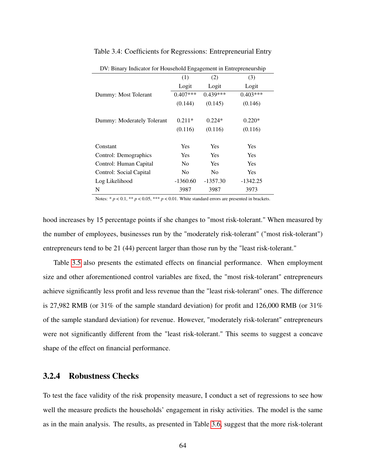| $\cdots$<br>mareator for fromotional emgagement in entrepreneuromp |                |                |            |
|--------------------------------------------------------------------|----------------|----------------|------------|
|                                                                    | (1)            | (2)            | (3)        |
|                                                                    | Logit          | Logit          | Logit      |
| Dummy: Most Tolerant                                               | $0.407***$     | $0.439***$     | $0.403***$ |
|                                                                    | (0.144)        | (0.145)        | (0.146)    |
|                                                                    |                |                |            |
| Dummy: Moderately Tolerant                                         | $0.211*$       | $0.224*$       | $0.220*$   |
|                                                                    | (0.116)        | (0.116)        | (0.116)    |
|                                                                    |                |                |            |
| Constant                                                           | <b>Yes</b>     | Yes            | <b>Yes</b> |
| Control: Demographics                                              | <b>Yes</b>     | Yes            | <b>Yes</b> |
| Control: Human Capital                                             | N <sub>0</sub> | Yes            | <b>Yes</b> |
| Control: Social Capital                                            | N <sub>0</sub> | N <sub>0</sub> | Yes        |
| Log Likelihood                                                     | $-1360.60$     | $-1357.30$     | $-1342.25$ |
| N                                                                  | 3987           | 3987           | 3973       |

#### <span id="page-69-0"></span>Table 3.4: Coefficients for Regressions: Entrepreneurial Entry

DV: Binary Indicator for Household Engagement in Entrepreneurship

Notes: \*  $p < 0.1$ , \*\*  $p < 0.05$ , \*\*\*  $p < 0.01$ . White standard errors are presented in brackets.

hood increases by 15 percentage points if she changes to "most risk-tolerant." When measured by the number of employees, businesses run by the "moderately risk-tolerant" ("most risk-tolerant") entrepreneurs tend to be 21 (44) percent larger than those run by the "least risk-tolerant."

Table [3.5](#page-70-0) also presents the estimated effects on financial performance. When employment size and other aforementioned control variables are fixed, the "most risk-tolerant" entrepreneurs achieve significantly less profit and less revenue than the "least risk-tolerant" ones. The difference is 27,982 RMB (or 31% of the sample standard deviation) for profit and 126,000 RMB (or 31% of the sample standard deviation) for revenue. However, "moderately risk-tolerant" entrepreneurs were not significantly different from the "least risk-tolerant." This seems to suggest a concave shape of the effect on financial performance.

### 3.2.4 Robustness Checks

To test the face validity of the risk propensity measure, I conduct a set of regressions to see how well the measure predicts the households' engagement in risky activities. The model is the same as in the main analysis. The results, as presented in Table [3.6,](#page-71-0) suggest that the more risk-tolerant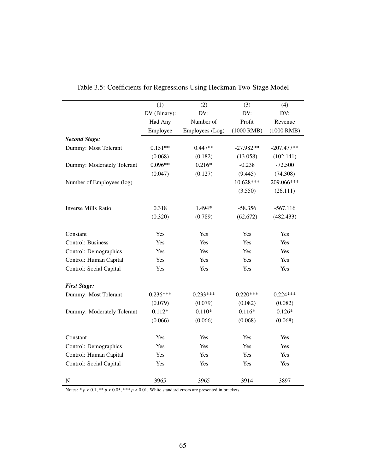|                            | (1)          | (2)             | (3)         | (4)          |
|----------------------------|--------------|-----------------|-------------|--------------|
|                            | DV (Binary): | DV:             | DV:         | DV:          |
|                            | Had Any      | Number of       | Profit      | Revenue      |
|                            | Employee     | Employees (Log) | (1000 RMB)  | $(1000$ RMB) |
| <b>Second Stage:</b>       |              |                 |             |              |
| Dummy: Most Tolerant       | $0.151**$    | $0.447**$       | $-27.982**$ | $-207.477**$ |
|                            | (0.068)      | (0.182)         | (13.058)    | (102.141)    |
| Dummy: Moderately Tolerant | $0.096**$    | $0.216*$        | $-0.238$    | $-72.500$    |
|                            | (0.047)      | (0.127)         | (9.445)     | (74.308)     |
| Number of Employees (log)  |              |                 | 10.628***   | 209.066***   |
|                            |              |                 | (3.550)     | (26.111)     |
| <b>Inverse Mills Ratio</b> | 0.318        | 1.494*          | $-58.356$   | $-567.116$   |
|                            | (0.320)      | (0.789)         | (62.672)    | (482.433)    |
| Constant                   | Yes          | Yes             | Yes         | Yes          |
| Control: Business          | Yes          | Yes             | Yes         | Yes          |
| Control: Demographics      | Yes          | Yes             | Yes         | Yes          |
| Control: Human Capital     | Yes          | Yes             | Yes         | Yes          |
| Control: Social Capital    | Yes          | Yes             | Yes         | Yes          |
| <b>First Stage:</b>        |              |                 |             |              |
| Dummy: Most Tolerant       | $0.236***$   | $0.233***$      | $0.220***$  | $0.224***$   |
|                            | (0.079)      | (0.079)         | (0.082)     | (0.082)      |
| Dummy: Moderately Tolerant | $0.112*$     | $0.110*$        | $0.116*$    | $0.126*$     |
|                            | (0.066)      | (0.066)         | (0.068)     | (0.068)      |
| Constant                   | Yes          | Yes             | Yes         | Yes          |
| Control: Demographics      | Yes          | Yes             | Yes         | Yes          |
| Control: Human Capital     | Yes          | Yes             | Yes         | Yes          |
| Control: Social Capital    | Yes          | Yes             | Yes         | Yes          |
| ${\bf N}$                  | 3965         | 3965            | 3914        | 3897         |

<span id="page-70-0"></span>

|  |  |  |  |  | Table 3.5: Coefficients for Regressions Using Heckman Two-Stage Model |  |  |
|--|--|--|--|--|-----------------------------------------------------------------------|--|--|
|--|--|--|--|--|-----------------------------------------------------------------------|--|--|

Notes:  $* p < 0.1, ** p < 0.05, *** p < 0.01$ . White standard errors are presented in brackets.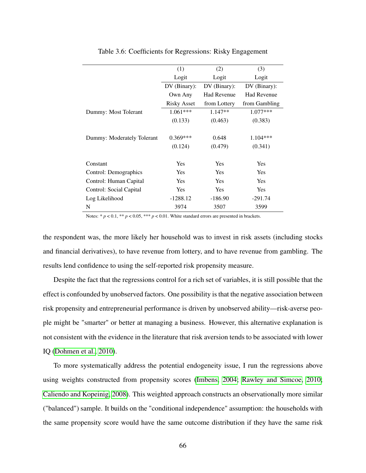|                            | (1)                | (2)                | (3)                |
|----------------------------|--------------------|--------------------|--------------------|
|                            | Logit              | Logit              | Logit              |
|                            | DV (Binary):       | DV (Binary):       | DV (Binary):       |
|                            | Own Any            | <b>Had Revenue</b> | <b>Had Revenue</b> |
|                            | <b>Risky Asset</b> | from Lottery       | from Gambling      |
| Dummy: Most Tolerant       | $1.061***$         | $1.147**$          | $1.077***$         |
|                            | (0.133)            | (0.463)            | (0.383)            |
|                            |                    |                    |                    |
| Dummy: Moderately Tolerant | $0.369***$         | 0.648              | $1.104***$         |
|                            | (0.124)            | (0.479)            | (0.341)            |
|                            |                    |                    |                    |
| Constant                   | Yes                | <b>Yes</b>         | Yes                |
| Control: Demographics      | <b>Yes</b>         | <b>Yes</b>         | <b>Yes</b>         |
| Control: Human Capital     | Yes                | Yes                | Yes                |
| Control: Social Capital    | <b>Yes</b>         | <b>Yes</b>         | Yes                |
| Log Likelihood             | $-1288.12$         | $-186.90$          | $-291.74$          |
| N                          | 3974               | 3507               | 3599               |

<span id="page-71-0"></span>Table 3.6: Coefficients for Regressions: Risky Engagement

Notes:  $* p < 0.1, ** p < 0.05, *** p < 0.01$ . White standard errors are presented in brackets.

the respondent was, the more likely her household was to invest in risk assets (including stocks and financial derivatives), to have revenue from lottery, and to have revenue from gambling. The results lend confidence to using the self-reported risk propensity measure.

Despite the fact that the regressions control for a rich set of variables, it is still possible that the effect is confounded by unobserved factors. One possibility is that the negative association between risk propensity and entrepreneurial performance is driven by unobserved ability—risk-averse people might be "smarter" or better at managing a business. However, this alternative explanation is not consistent with the evidence in the literature that risk aversion tends to be associated with lower IQ [\(Dohmen et al., 2010\)](#page-106-3).

To more systematically address the potential endogeneity issue, I run the regressions above using weights constructed from propensity scores [\(Imbens, 2004;](#page-109-4) [Rawley and Simcoe, 2010;](#page-111-3) [Caliendo and Kopeinig, 2008\)](#page-105-4). This weighted approach constructs an observationally more similar ("balanced") sample. It builds on the "conditional independence" assumption: the households with the same propensity score would have the same outcome distribution if they have the same risk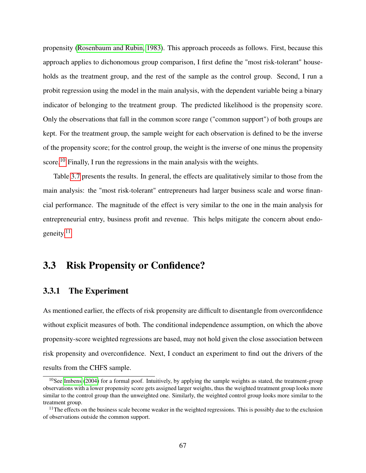propensity [\(Rosenbaum and Rubin, 1983\)](#page-112-0). This approach proceeds as follows. First, because this approach applies to dichonomous group comparison, I first define the "most risk-tolerant" households as the treatment group, and the rest of the sample as the control group. Second, I run a probit regression using the model in the main analysis, with the dependent variable being a binary indicator of belonging to the treatment group. The predicted likelihood is the propensity score. Only the observations that fall in the common score range ("common support") of both groups are kept. For the treatment group, the sample weight for each observation is defined to be the inverse of the propensity score; for the control group, the weight is the inverse of one minus the propensity score.<sup>[10](#page-72-0)</sup> Finally, I run the regressions in the main analysis with the weights.

Table [3.7](#page-73-0) presents the results. In general, the effects are qualitatively similar to those from the main analysis: the "most risk-tolerant" entrepreneurs had larger business scale and worse financial performance. The magnitude of the effect is very similar to the one in the main analysis for entrepreneurial entry, business profit and revenue. This helps mitigate the concern about endogeneity. $11$ 

## 3.3 Risk Propensity or Confidence?

#### 3.3.1 The Experiment

As mentioned earlier, the effects of risk propensity are difficult to disentangle from overconfidence without explicit measures of both. The conditional independence assumption, on which the above propensity-score weighted regressions are based, may not hold given the close association between risk propensity and overconfidence. Next, I conduct an experiment to find out the drivers of the results from the CHFS sample.

<span id="page-72-0"></span> $10$ See [Imbens](#page-109-0) [\(2004\)](#page-109-0) for a formal poof. Intuitively, by applying the sample weights as stated, the treatment-group observations with a lower propensity score gets assigned larger weights, thus the weighted treatment group looks more similar to the control group than the unweighted one. Similarly, the weighted control group looks more similar to the treatment group.

<span id="page-72-1"></span> $11$ The effects on the business scale become weaker in the weighted regressions. This is possibly due to the exclusion of observations outside the common support.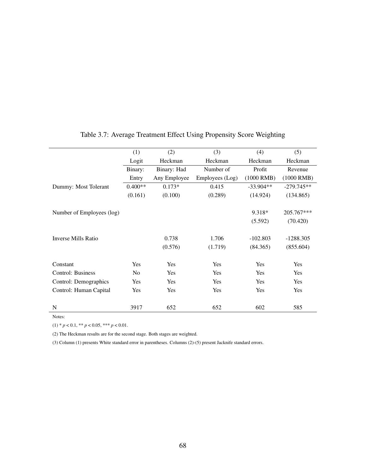|                           | (1)            | (2)          | (3)             | (4)         | (5)          |
|---------------------------|----------------|--------------|-----------------|-------------|--------------|
|                           | Logit          | Heckman      | Heckman         | Heckman     | Heckman      |
|                           | Binary:        | Binary: Had  | Number of       | Profit      | Revenue      |
|                           | Entry          | Any Employee | Employees (Log) | (1000 RMB)  | (1000 RMB)   |
| Dummy: Most Tolerant      | $0.400**$      | $0.173*$     | 0.415           | $-33.904**$ | $-279.745**$ |
|                           | (0.161)        | (0.100)      | (0.289)         | (14.924)    | (134.865)    |
|                           |                |              |                 |             |              |
| Number of Employees (log) |                |              |                 | 9.318*      | 205.767***   |
|                           |                |              |                 | (5.592)     | (70.420)     |
|                           |                |              |                 |             |              |
| Inverse Mills Ratio       |                | 0.738        | 1.706           | $-102.803$  | $-1288.305$  |
|                           |                | (0.576)      | (1.719)         | (84.365)    | (855.604)    |
|                           |                |              |                 |             |              |
| Constant                  | Yes            | Yes          | Yes             | Yes         | Yes          |
| <b>Control: Business</b>  | N <sub>0</sub> | Yes          | Yes             | Yes         | Yes          |
| Control: Demographics     | Yes            | Yes          | Yes             | <b>Yes</b>  | Yes          |
| Control: Human Capital    | <b>Yes</b>     | <b>Yes</b>   | Yes             | <b>Yes</b>  | Yes          |
|                           |                |              |                 |             |              |
| N                         | 3917           | 652          | 652             | 602         | 585          |

#### <span id="page-73-0"></span>Table 3.7: Average Treatment Effect Using Propensity Score Weighting

Notes:

 $(1) * p < 0.1, ** p < 0.05, *** p < 0.01.$ 

(2) The Heckman results are for the second stage. Both stages are weighted.

(3) Column (1) presents White standard error in parentheses. Columns (2)-(5) present Jacknife standard errors.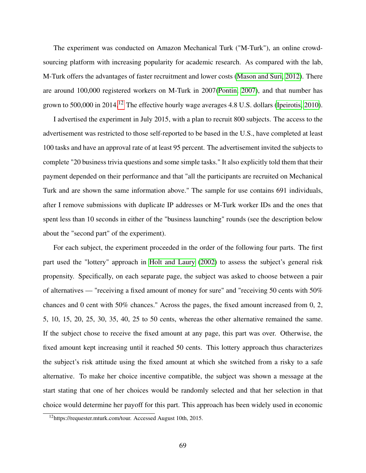The experiment was conducted on Amazon Mechanical Turk ("M-Turk"), an online crowdsourcing platform with increasing popularity for academic research. As compared with the lab, M-Turk offers the advantages of faster recruitment and lower costs [\(Mason and Suri, 2012\)](#page-110-0). There are around 100,000 registered workers on M-Turk in 2007[\(Pontin, 2007\)](#page-111-0), and that number has grown to 500,000 in 2014.<sup>[12](#page-74-0)</sup> The effective hourly wage averages 4.8 U.S. dollars [\(Ipeirotis, 2010\)](#page-109-1).

I advertised the experiment in July 2015, with a plan to recruit 800 subjects. The access to the advertisement was restricted to those self-reported to be based in the U.S., have completed at least 100 tasks and have an approval rate of at least 95 percent. The advertisement invited the subjects to complete "20 business trivia questions and some simple tasks." It also explicitly told them that their payment depended on their performance and that "all the participants are recruited on Mechanical Turk and are shown the same information above." The sample for use contains 691 individuals, after I remove submissions with duplicate IP addresses or M-Turk worker IDs and the ones that spent less than 10 seconds in either of the "business launching" rounds (see the description below about the "second part" of the experiment).

For each subject, the experiment proceeded in the order of the following four parts. The first part used the "lottery" approach in [Holt and Laury](#page-108-0) [\(2002\)](#page-108-0) to assess the subject's general risk propensity. Specifically, on each separate page, the subject was asked to choose between a pair of alternatives — "receiving a fixed amount of money for sure" and "receiving 50 cents with 50% chances and 0 cent with 50% chances." Across the pages, the fixed amount increased from 0, 2, 5, 10, 15, 20, 25, 30, 35, 40, 25 to 50 cents, whereas the other alternative remained the same. If the subject chose to receive the fixed amount at any page, this part was over. Otherwise, the fixed amount kept increasing until it reached 50 cents. This lottery approach thus characterizes the subject's risk attitude using the fixed amount at which she switched from a risky to a safe alternative. To make her choice incentive compatible, the subject was shown a message at the start stating that one of her choices would be randomly selected and that her selection in that choice would determine her payoff for this part. This approach has been widely used in economic

<span id="page-74-0"></span><sup>12</sup>https://requester.mturk.com/tour. Accessed August 10th, 2015.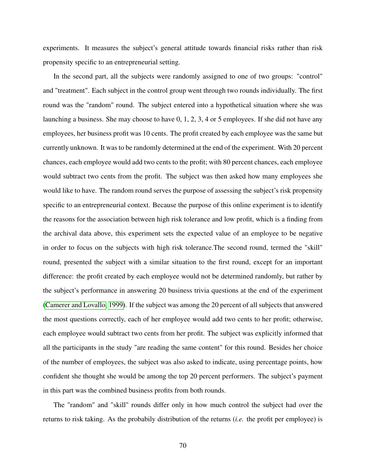experiments. It measures the subject's general attitude towards financial risks rather than risk propensity specific to an entrepreneurial setting.

In the second part, all the subjects were randomly assigned to one of two groups: "control" and "treatment". Each subject in the control group went through two rounds individually. The first round was the "random" round. The subject entered into a hypothetical situation where she was launching a business. She may choose to have 0, 1, 2, 3, 4 or 5 employees. If she did not have any employees, her business profit was 10 cents. The profit created by each employee was the same but currently unknown. It was to be randomly determined at the end of the experiment. With 20 percent chances, each employee would add two cents to the profit; with 80 percent chances, each employee would subtract two cents from the profit. The subject was then asked how many employees she would like to have. The random round serves the purpose of assessing the subject's risk propensity specific to an entrepreneurial context. Because the purpose of this online experiment is to identify the reasons for the association between high risk tolerance and low profit, which is a finding from the archival data above, this experiment sets the expected value of an employee to be negative in order to focus on the subjects with high risk tolerance.The second round, termed the "skill" round, presented the subject with a similar situation to the first round, except for an important difference: the profit created by each employee would not be determined randomly, but rather by the subject's performance in answering 20 business trivia questions at the end of the experiment [\(Camerer and Lovallo, 1999\)](#page-105-0). If the subject was among the 20 percent of all subjects that answered the most questions correctly, each of her employee would add two cents to her profit; otherwise, each employee would subtract two cents from her profit. The subject was explicitly informed that all the participants in the study "are reading the same content" for this round. Besides her choice of the number of employees, the subject was also asked to indicate, using percentage points, how confident she thought she would be among the top 20 percent performers. The subject's payment in this part was the combined business profits from both rounds.

The "random" and "skill" rounds differ only in how much control the subject had over the returns to risk taking. As the probabily distribution of the returns (*i.e.* the profit per employee) is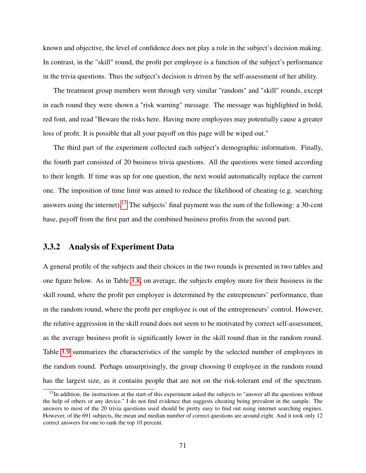known and objective, the level of confidence does not play a role in the subject's decision making. In contrast, in the "skill" round, the profit per employee is a function of the subject's performance in the trivia questions. Thus the subject's decision is driven by the self-assessment of her ability.

The treatment group members went through very similar "random" and "skill" rounds, except in each round they were shown a "risk warning" message. The message was highlighted in bold, red font, and read "Beware the risks here. Having more employees may potentially cause a greater loss of profit. It is possible that all your payoff on this page will be wiped out."

The third part of the experiment collected each subject's demographic information. Finally, the fourth part consisted of 20 business trivia questions. All the questions were timed according to their length. If time was up for one question, the next would automatically replace the current one. The imposition of time limit was aimed to reduce the likelihood of cheating (e.g. searching answers using the internet).<sup>[13](#page-76-0)</sup> The subjects' final payment was the sum of the following: a 30-cent base, payoff from the first part and the combined business profits from the second part.

#### 3.3.2 Analysis of Experiment Data

A general profile of the subjects and their choices in the two rounds is presented in two tables and one figure below. As in Table [3.8,](#page-77-0) on average, the subjects employ more for their business in the skill round, where the profit per employee is determined by the entrepreneurs' performance, than in the random round, where the profit per employee is out of the entrepreneurs' control. However, the relative aggression in the skill round does not seem to be motivated by correct self-assessment, as the average business profit is significantly lower in the skill round than in the random round. Table [3.9](#page-78-0) summarizes the characteristics of the sample by the selected number of employees in the random round. Perhaps unsurprisingly, the group choosing 0 employee in the random round has the largest size, as it contains people that are not on the risk-tolerant end of the spectrum.

<span id="page-76-0"></span> $13$ In addition, the instructions at the start of this experiment asked the subjects to "answer all the questions without the help of others or any device." I do not find evidence that suggests cheating being prevalent in the sample. The answers to most of the 20 trivia questions used should be pretty easy to find out using internet searching engines. However, of the 691 subjects, the mean and median number of correct questions are around eight. And it took only 12 correct answers for one to rank the top 10 percent.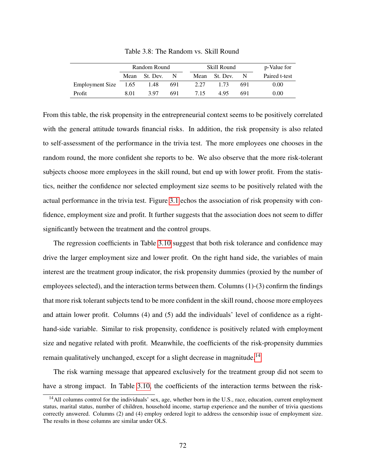|                      | Random Round |               |     |  | Skill Round | p-Value for   |     |               |
|----------------------|--------------|---------------|-----|--|-------------|---------------|-----|---------------|
|                      |              | Mean St. Dev. | -N  |  |             | Mean St. Dev. |     | Paired t-test |
| Employment Size 1.65 |              | 1.48          | 691 |  | 2.27        | 1.73          | 691 | 0.00          |
| Profit               | 8.01         | 397           | 691 |  | 715         | 495           | 691 | 0.00          |

<span id="page-77-0"></span>Table 3.8: The Random vs. Skill Round

From this table, the risk propensity in the entrepreneurial context seems to be positively correlated with the general attitude towards financial risks. In addition, the risk propensity is also related to self-assessment of the performance in the trivia test. The more employees one chooses in the random round, the more confident she reports to be. We also observe that the more risk-tolerant subjects choose more employees in the skill round, but end up with lower profit. From the statistics, neither the confidence nor selected employment size seems to be positively related with the actual performance in the trivia test. Figure [3.1](#page-79-0) echos the association of risk propensity with confidence, employment size and profit. It further suggests that the association does not seem to differ significantly between the treatment and the control groups.

The regression coefficients in Table [3.10](#page-80-0) suggest that both risk tolerance and confidence may drive the larger employment size and lower profit. On the right hand side, the variables of main interest are the treatment group indicator, the risk propensity dummies (proxied by the number of employees selected), and the interaction terms between them. Columns (1)-(3) confirm the findings that more risk tolerant subjects tend to be more confident in the skill round, choose more employees and attain lower profit. Columns (4) and (5) add the individuals' level of confidence as a righthand-side variable. Similar to risk propensity, confidence is positively related with employment size and negative related with profit. Meanwhile, the coefficients of the risk-propensity dummies remain qualitatively unchanged, except for a slight decrease in magnitude.<sup>[14](#page-77-1)</sup>

The risk warning message that appeared exclusively for the treatment group did not seem to have a strong impact. In Table [3.10,](#page-80-0) the coefficients of the interaction terms between the risk-

<span id="page-77-1"></span> $14$ All columns control for the individuals' sex, age, whether born in the U.S., race, education, current employment status, marital status, number of children, household income, startup experience and the number of trivia questions correctly answered. Columns (2) and (4) employ ordered logit to address the censorship issue of employment size. The results in those columns are similar under OLS.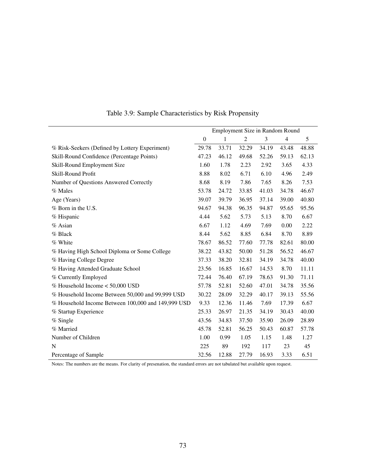|                                                    | Employment Size in Random Round |       |                |       |                |               |
|----------------------------------------------------|---------------------------------|-------|----------------|-------|----------------|---------------|
|                                                    | $\boldsymbol{0}$                | 1     | $\overline{c}$ | 3     | $\overline{4}$ | $\mathfrak s$ |
| % Risk-Seekers (Defined by Lottery Experiment)     | 29.78                           | 33.71 | 32.29          | 34.19 | 43.48          | 48.88         |
| Skill-Round Confidence (Percentage Points)         | 47.23                           | 46.12 | 49.68          | 52.26 | 59.13          | 62.13         |
| Skill-Round Employment Size                        | 1.60                            | 1.78  | 2.23           | 2.92  | 3.65           | 4.33          |
| Skill-Round Profit                                 | 8.88                            | 8.02  | 6.71           | 6.10  | 4.96           | 2.49          |
| Number of Questions Answered Correctly             | 8.68                            | 8.19  | 7.86           | 7.65  | 8.26           | 7.53          |
| % Males                                            | 53.78                           | 24.72 | 33.85          | 41.03 | 34.78          | 46.67         |
| Age (Years)                                        | 39.07                           | 39.79 | 36.95          | 37.14 | 39.00          | 40.80         |
| % Born in the U.S.                                 | 94.67                           | 94.38 | 96.35          | 94.87 | 95.65          | 95.56         |
| % Hispanic                                         | 4.44                            | 5.62  | 5.73           | 5.13  | 8.70           | 6.67          |
| % Asian                                            | 6.67                            | 1.12  | 4.69           | 7.69  | 0.00           | 2.22          |
| % Black                                            | 8.44                            | 5.62  | 8.85           | 6.84  | 8.70           | 8.89          |
| % White                                            | 78.67                           | 86.52 | 77.60          | 77.78 | 82.61          | 80.00         |
| % Having High School Diploma or Some College       | 38.22                           | 43.82 | 50.00          | 51.28 | 56.52          | 46.67         |
| % Having College Degree                            | 37.33                           | 38.20 | 32.81          | 34.19 | 34.78          | 40.00         |
| % Having Attended Graduate School                  | 23.56                           | 16.85 | 16.67          | 14.53 | 8.70           | 11.11         |
| % Currently Employed                               | 72.44                           | 76.40 | 67.19          | 78.63 | 91.30          | 71.11         |
| % Household Income < 50,000 USD                    | 57.78                           | 52.81 | 52.60          | 47.01 | 34.78          | 35.56         |
| % Household Income Between 50,000 and 99,999 USD   | 30.22                           | 28.09 | 32.29          | 40.17 | 39.13          | 55.56         |
| % Household Income Between 100,000 and 149,999 USD | 9.33                            | 12.36 | 11.46          | 7.69  | 17.39          | 6.67          |
| % Startup Experience                               | 25.33                           | 26.97 | 21.35          | 34.19 | 30.43          | 40.00         |
| % Single                                           | 43.56                           | 34.83 | 37.50          | 35.90 | 26.09          | 28.89         |
| % Married                                          | 45.78                           | 52.81 | 56.25          | 50.43 | 60.87          | 57.78         |
| Number of Children                                 | 1.00                            | 0.99  | 1.05           | 1.15  | 1.48           | 1.27          |
| N                                                  | 225                             | 89    | 192            | 117   | 23             | 45            |
| Percentage of Sample                               | 32.56                           | 12.88 | 27.79          | 16.93 | 3.33           | 6.51          |

<span id="page-78-0"></span>Table 3.9: Sample Characteristics by Risk Propensity

Notes: The numbers are the means. For clarity of presenation, the standard errors are not tabulated but available upon request.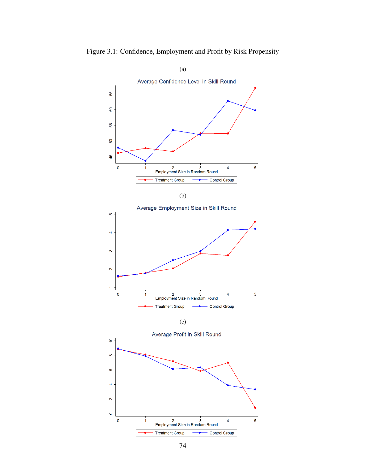

<span id="page-79-0"></span>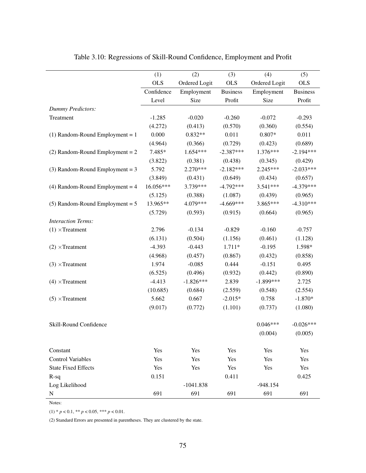|                                   | (1)        | (2)           | (3)             | (4)           | (5)             |
|-----------------------------------|------------|---------------|-----------------|---------------|-----------------|
|                                   | <b>OLS</b> | Ordered Logit | <b>OLS</b>      | Ordered Logit | <b>OLS</b>      |
|                                   | Confidence | Employment    | <b>Business</b> | Employment    | <b>Business</b> |
|                                   | Level      | Size          | Profit          | Size          | Profit          |
| <b>Dummy Predictors:</b>          |            |               |                 |               |                 |
| Treatment                         | $-1.285$   | $-0.020$      | $-0.260$        | $-0.072$      | $-0.293$        |
|                                   | (4.272)    | (0.413)       | (0.570)         | (0.360)       | (0.554)         |
| $(1)$ Random-Round Employment = 1 | 0.000      | $0.832**$     | 0.011           | $0.807*$      | 0.011           |
|                                   | (4.964)    | (0.366)       | (0.729)         | (0.423)       | (0.689)         |
| $(2)$ Random-Round Employment = 2 | 7.485*     | 1.654***      | $-2.387***$     | 1.376***      | $-2.194***$     |
|                                   | (3.822)    | (0.381)       | (0.438)         | (0.345)       | (0.429)         |
| $(3)$ Random-Round Employment = 3 | 5.792      | 2.270***      | $-2.182***$     | $2.245***$    | $-2.033***$     |
|                                   | (3.849)    | (0.431)       | (0.649)         | (0.434)       | (0.657)         |
| $(4)$ Random-Round Employment = 4 | 16.056***  | 3.739***      | $-4.792***$     | 3.541***      | $-4.379***$     |
|                                   | (5.125)    | (0.388)       | (1.087)         | (0.439)       | (0.965)         |
| $(5)$ Random-Round Employment = 5 | 13.965**   | 4.079***      | $-4.669***$     | 3.865***      | $-4.310***$     |
|                                   | (5.729)    | (0.593)       | (0.915)         | (0.664)       | (0.965)         |
| <b>Interaction Terms:</b>         |            |               |                 |               |                 |
| $(1) \times$ Treatment            | 2.796      | $-0.134$      | $-0.829$        | $-0.160$      | $-0.757$        |
|                                   | (6.131)    | (0.504)       | (1.156)         | (0.461)       | (1.128)         |
| $(2) \times$ Treatment            | $-4.393$   | $-0.443$      | $1.711*$        | $-0.195$      | 1.598*          |
|                                   | (4.968)    | (0.457)       | (0.867)         | (0.432)       | (0.858)         |
| $(3) \times$ Treatment            | 1.974      | $-0.085$      | 0.444           | $-0.151$      | 0.495           |
|                                   | (6.525)    | (0.496)       | (0.932)         | (0.442)       | (0.890)         |
| $(4) \times$ Treatment            | $-4.413$   | $-1.826***$   | 2.839           | $-1.899***$   | 2.725           |
|                                   | (10.685)   | (0.684)       | (2.559)         | (0.548)       | (2.554)         |
| $(5) \times$ Treatment            | 5.662      | 0.667         | $-2.015*$       | 0.758         | $-1.870*$       |
|                                   | (9.017)    | (0.772)       | (1.101)         | (0.737)       | (1.080)         |
|                                   |            |               |                 |               |                 |
| Skill-Round Confidence            |            |               |                 | $0.046***$    | $-0.026***$     |
|                                   |            |               |                 | (0.004)       | (0.005)         |
| Constant                          | Yes        | Yes           | Yes             | Yes           | Yes             |
| <b>Control Variables</b>          | Yes        | Yes           | Yes             | Yes           | Yes             |
| <b>State Fixed Effects</b>        | Yes        | Yes           | Yes             | Yes           | Yes             |
| $R-sq$                            | 0.151      |               | 0.411           |               | 0.425           |
| Log Likelihood                    |            | $-1041.838$   |                 | $-948.154$    |                 |
| ${\bf N}$                         | 691        | 691           | 691             | 691           | 691             |

<span id="page-80-0"></span>Table 3.10: Regressions of Skill-Round Confidence, Employment and Profit

Notes:

 $(1) * p < 0.1, ** p < 0.05, *** p < 0.01.$ 

(2) Standard Errors are presented in parentheses. They are clustered by the state.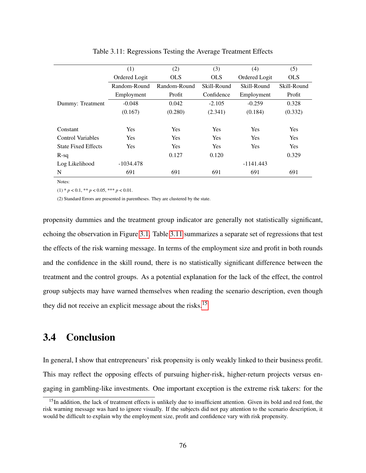|                            | (1)           | (2)          | (3)         | (4)           | (5)         |
|----------------------------|---------------|--------------|-------------|---------------|-------------|
|                            | Ordered Logit | <b>OLS</b>   | <b>OLS</b>  | Ordered Logit | <b>OLS</b>  |
|                            | Random-Round  | Random-Round | Skill-Round | Skill-Round   | Skill-Round |
|                            | Employment    | Profit       | Confidence  | Employment    | Profit      |
| Dummy: Treatment           | $-0.048$      | 0.042        | $-2.105$    | $-0.259$      | 0.328       |
|                            | (0.167)       | (0.280)      | (2.341)     | (0.184)       | (0.332)     |
|                            |               |              |             |               |             |
| Constant                   | <b>Yes</b>    | Yes          | Yes         | <b>Yes</b>    | Yes         |
| <b>Control Variables</b>   | <b>Yes</b>    | Yes          | Yes         | <b>Yes</b>    | <b>Yes</b>  |
| <b>State Fixed Effects</b> | <b>Yes</b>    | Yes          | Yes         | <b>Yes</b>    | <b>Yes</b>  |
| $R-sq$                     |               | 0.127        | 0.120       |               | 0.329       |
| Log Likelihood             | $-1034.478$   |              |             | $-1141.443$   |             |
| N                          | 691           | 691          | 691         | 691           | 691         |

<span id="page-81-0"></span>Table 3.11: Regressions Testing the Average Treatment Effects

Notes:

 $(1) * p < 0.1, ** p < 0.05, *** p < 0.01.$ 

(2) Standard Errors are presented in parentheses. They are clustered by the state.

propensity dummies and the treatment group indicator are generally not statistically significant, echoing the observation in Figure [3.1.](#page-79-0) Table [3.11](#page-81-0) summarizes a separate set of regressions that test the effects of the risk warning message. In terms of the employment size and profit in both rounds and the confidence in the skill round, there is no statistically significant difference between the treatment and the control groups. As a potential explanation for the lack of the effect, the control group subjects may have warned themselves when reading the scenario description, even though they did not receive an explicit message about the risks.[15](#page-81-1)

# 3.4 Conclusion

In general, I show that entrepreneurs' risk propensity is only weakly linked to their business profit. This may reflect the opposing effects of pursuing higher-risk, higher-return projects versus engaging in gambling-like investments. One important exception is the extreme risk takers: for the

<span id="page-81-1"></span><sup>&</sup>lt;sup>15</sup>In addition, the lack of treatment effects is unlikely due to insufficient attention. Given its bold and red font, the risk warning message was hard to ignore visually. If the subjects did not pay attention to the scenario description, it would be difficult to explain why the employment size, profit and confidence vary with risk propensity.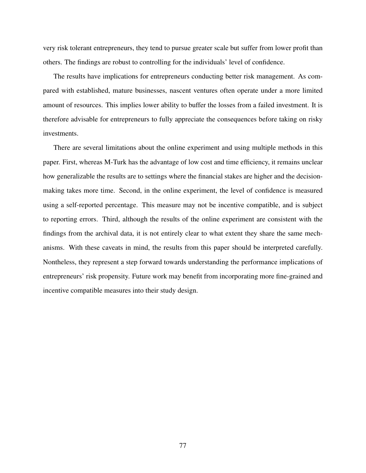very risk tolerant entrepreneurs, they tend to pursue greater scale but suffer from lower profit than others. The findings are robust to controlling for the individuals' level of confidence.

The results have implications for entrepreneurs conducting better risk management. As compared with established, mature businesses, nascent ventures often operate under a more limited amount of resources. This implies lower ability to buffer the losses from a failed investment. It is therefore advisable for entrepreneurs to fully appreciate the consequences before taking on risky investments.

There are several limitations about the online experiment and using multiple methods in this paper. First, whereas M-Turk has the advantage of low cost and time efficiency, it remains unclear how generalizable the results are to settings where the financial stakes are higher and the decisionmaking takes more time. Second, in the online experiment, the level of confidence is measured using a self-reported percentage. This measure may not be incentive compatible, and is subject to reporting errors. Third, although the results of the online experiment are consistent with the findings from the archival data, it is not entirely clear to what extent they share the same mechanisms. With these caveats in mind, the results from this paper should be interpreted carefully. Nontheless, they represent a step forward towards understanding the performance implications of entrepreneurs' risk propensity. Future work may benefit from incorporating more fine-grained and incentive compatible measures into their study design.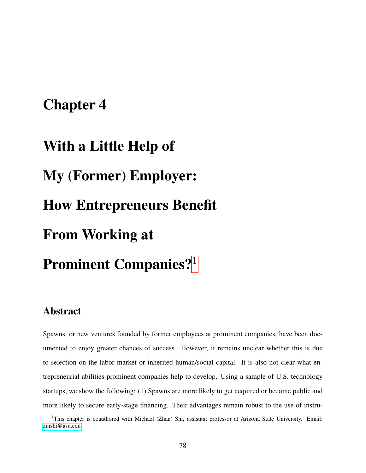# Chapter 4

# With a Little Help of My (Former) Employer: How Entrepreneurs Benefit From Working at Prominent Companies?<sup>[1](#page-83-0)</sup>

# Abstract

Spawns, or new ventures founded by former employees at prominent companies, have been documented to enjoy greater chances of success. However, it remains unclear whether this is due to selection on the labor market or inherited human/social capital. It is also not clear what entrepreneurial abilities prominent companies help to develop. Using a sample of U.S. technology startups, we show the following: (1) Spawns are more likely to get acquired or become public and more likely to secure early-stage financing. Their advantages remain robust to the use of instru-

<span id="page-83-0"></span><sup>&</sup>lt;sup>1</sup>This chapter is coauthored with Michael (Zhan) Shi, assistant professor at Arizona State University. Email: [zmshi@asu.edu.](mailto:zmshi@asu.edu)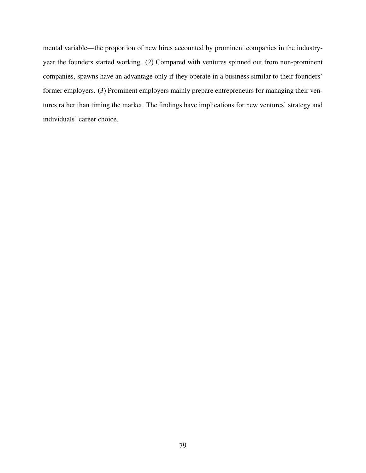mental variable—the proportion of new hires accounted by prominent companies in the industryyear the founders started working. (2) Compared with ventures spinned out from non-prominent companies, spawns have an advantage only if they operate in a business similar to their founders' former employers. (3) Prominent employers mainly prepare entrepreneurs for managing their ventures rather than timing the market. The findings have implications for new ventures' strategy and individuals' career choice.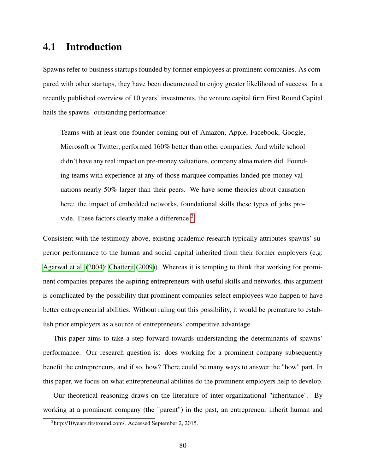### 4.1 Introduction

Spawns refer to business startups founded by former employees at prominent companies. As compared with other startups, they have been documented to enjoy greater likelihood of success. In a recently published overview of 10 years' investments, the venture capital firm First Round Capital hails the spawns' outstanding performance:

Teams with at least one founder coming out of Amazon, Apple, Facebook, Google, Microsoft or Twitter, performed 160% better than other companies. And while school didn't have any real impact on pre-money valuations, company alma maters did. Founding teams with experience at any of those marquee companies landed pre-money valuations nearly 50% larger than their peers. We have some theories about causation here: the impact of embedded networks, foundational skills these types of jobs pro-vide. These factors clearly make a difference.<sup>[2](#page-85-0)</sup>

Consistent with the testimony above, existing academic research typically attributes spawns' superior performance to the human and social capital inherited from their former employers (e.g. [Agarwal et al.](#page-103-0) [\(2004\)](#page-103-0); [Chatterji](#page-105-1) [\(2009\)](#page-105-1)). Whereas it is tempting to think that working for prominent companies prepares the aspiring entrepreneurs with useful skills and networks, this argument is complicated by the possibility that prominent companies select employees who happen to have better entrepreneurial abilities. Without ruling out this possibility, it would be premature to establish prior employers as a source of entrepreneurs' competitive advantage.

This paper aims to take a step forward towards understanding the determinants of spawns' performance. Our research question is: does working for a prominent company subsequently benefit the entrepreneurs, and if so, how? There could be many ways to answer the "how" part. In this paper, we focus on what entrepreneurial abilities do the prominent employers help to develop.

Our theoretical reasoning draws on the literature of inter-organizational "inheritance". By working at a prominent company (the "parent") in the past, an entrepreneur inherit human and

<span id="page-85-0"></span><sup>2</sup>http://10years.firstround.com/. Accessed September 2, 2015.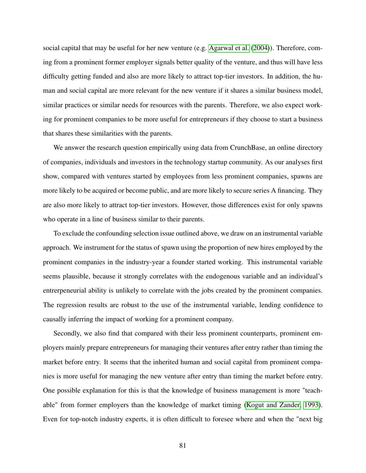social capital that may be useful for her new venture (e.g. [Agarwal et al.](#page-103-0) [\(2004\)](#page-103-0)). Therefore, coming from a prominent former employer signals better quality of the venture, and thus will have less difficulty getting funded and also are more likely to attract top-tier investors. In addition, the human and social capital are more relevant for the new venture if it shares a similar business model, similar practices or similar needs for resources with the parents. Therefore, we also expect working for prominent companies to be more useful for entrepreneurs if they choose to start a business that shares these similarities with the parents.

We answer the research question empirically using data from CrunchBase, an online directory of companies, individuals and investors in the technology startup community. As our analyses first show, compared with ventures started by employees from less prominent companies, spawns are more likely to be acquired or become public, and are more likely to secure series A financing. They are also more likely to attract top-tier investors. However, those differences exist for only spawns who operate in a line of business similar to their parents.

To exclude the confounding selection issue outlined above, we draw on an instrumental variable approach. We instrument for the status of spawn using the proportion of new hires employed by the prominent companies in the industry-year a founder started working. This instrumental variable seems plausible, because it strongly correlates with the endogenous variable and an individual's entrerpeneurial ability is unlikely to correlate with the jobs created by the prominent companies. The regression results are robust to the use of the instrumental variable, lending confidence to causally inferring the impact of working for a prominent company.

Secondly, we also find that compared with their less prominent counterparts, prominent employers mainly prepare entrepreneurs for managing their ventures after entry rather than timing the market before entry. It seems that the inherited human and social capital from prominent companies is more useful for managing the new venture after entry than timing the market before entry. One possible explanation for this is that the knowledge of business management is more "teachable" from former employers than the knowledge of market timing [\(Kogut and Zander, 1993\)](#page-110-1). Even for top-notch industry experts, it is often difficult to foresee where and when the "next big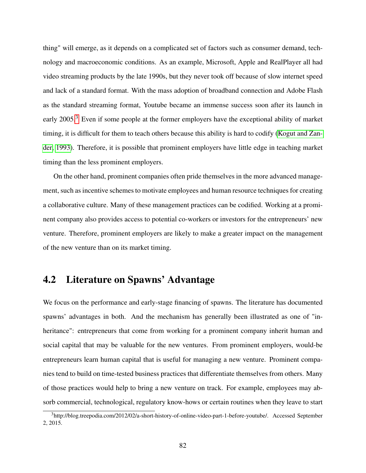thing" will emerge, as it depends on a complicated set of factors such as consumer demand, technology and macroeconomic conditions. As an example, Microsoft, Apple and RealPlayer all had video streaming products by the late 1990s, but they never took off because of slow internet speed and lack of a standard format. With the mass adoption of broadband connection and Adobe Flash as the standard streaming format, Youtube became an immense success soon after its launch in early 2005.<sup>[3](#page-87-0)</sup> Even if some people at the former employers have the exceptional ability of market timing, it is difficult for them to teach others because this ability is hard to codify [\(Kogut and Zan](#page-110-1)[der, 1993\)](#page-110-1). Therefore, it is possible that prominent employers have little edge in teaching market timing than the less prominent employers.

On the other hand, prominent companies often pride themselves in the more advanced management, such as incentive schemes to motivate employees and human resource techniques for creating a collaborative culture. Many of these management practices can be codified. Working at a prominent company also provides access to potential co-workers or investors for the entrepreneurs' new venture. Therefore, prominent employers are likely to make a greater impact on the management of the new venture than on its market timing.

## 4.2 Literature on Spawns' Advantage

We focus on the performance and early-stage financing of spawns. The literature has documented spawns' advantages in both. And the mechanism has generally been illustrated as one of "inheritance": entrepreneurs that come from working for a prominent company inherit human and social capital that may be valuable for the new ventures. From prominent employers, would-be entrepreneurs learn human capital that is useful for managing a new venture. Prominent companies tend to build on time-tested business practices that differentiate themselves from others. Many of those practices would help to bring a new venture on track. For example, employees may absorb commercial, technological, regulatory know-hows or certain routines when they leave to start

<span id="page-87-0"></span><sup>3</sup>http://blog.treepodia.com/2012/02/a-short-history-of-online-video-part-1-before-youtube/. Accessed September 2, 2015.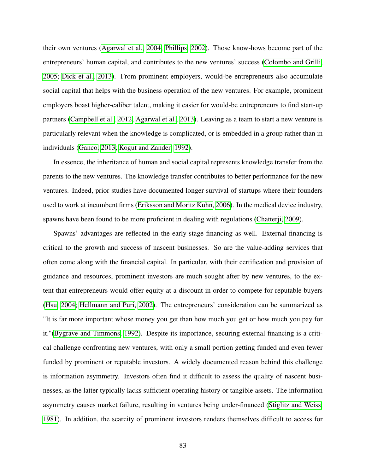their own ventures [\(Agarwal et al., 2004;](#page-103-0) [Phillips, 2002\)](#page-111-1). Those know-hows become part of the entrepreneurs' human capital, and contributes to the new ventures' success [\(Colombo and Grilli,](#page-106-0) [2005;](#page-106-0) [Dick et al., 2013\)](#page-106-1). From prominent employers, would-be entrepreneurs also accumulate social capital that helps with the business operation of the new ventures. For example, prominent employers boast higher-caliber talent, making it easier for would-be entrepreneurs to find start-up partners [\(Campbell et al., 2012;](#page-105-2) [Agarwal et al., 2013\)](#page-103-1). Leaving as a team to start a new venture is particularly relevant when the knowledge is complicated, or is embedded in a group rather than in individuals [\(Ganco, 2013;](#page-108-1) [Kogut and Zander, 1992\)](#page-110-2).

In essence, the inheritance of human and social capital represents knowledge transfer from the parents to the new ventures. The knowledge transfer contributes to better performance for the new ventures. Indeed, prior studies have documented longer survival of startups where their founders used to work at incumbent firms [\(Eriksson and Moritz Kuhn, 2006\)](#page-107-0). In the medical device industry, spawns have been found to be more proficient in dealing with regulations [\(Chatterji, 2009\)](#page-105-1).

Spawns' advantages are reflected in the early-stage financing as well. External financing is critical to the growth and success of nascent businesses. So are the value-adding services that often come along with the financial capital. In particular, with their certification and provision of guidance and resources, prominent investors are much sought after by new ventures, to the extent that entrepreneurs would offer equity at a discount in order to compete for reputable buyers [\(Hsu, 2004;](#page-109-2) [Hellmann and Puri, 2002\)](#page-108-2). The entrepreneurs' consideration can be summarized as "It is far more important whose money you get than how much you get or how much you pay for it."[\(Bygrave and Timmons, 1992\)](#page-105-3). Despite its importance, securing external financing is a critical challenge confronting new ventures, with only a small portion getting funded and even fewer funded by prominent or reputable investors. A widely documented reason behind this challenge is information asymmetry. Investors often find it difficult to assess the quality of nascent businesses, as the latter typically lacks sufficient operating history or tangible assets. The information asymmetry causes market failure, resulting in ventures being under-financed [\(Stiglitz and Weiss,](#page-113-0) [1981\)](#page-113-0). In addition, the scarcity of prominent investors renders themselves difficult to access for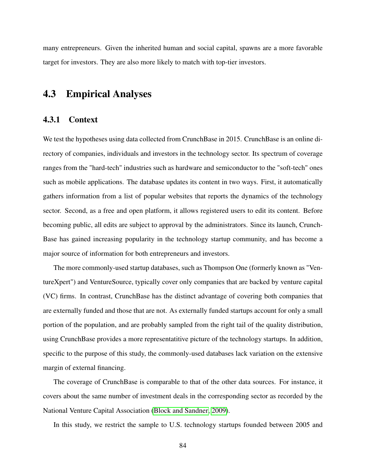many entrepreneurs. Given the inherited human and social capital, spawns are a more favorable target for investors. They are also more likely to match with top-tier investors.

## 4.3 Empirical Analyses

#### 4.3.1 Context

We test the hypotheses using data collected from CrunchBase in 2015. CrunchBase is an online directory of companies, individuals and investors in the technology sector. Its spectrum of coverage ranges from the "hard-tech" industries such as hardware and semiconductor to the "soft-tech" ones such as mobile applications. The database updates its content in two ways. First, it automatically gathers information from a list of popular websites that reports the dynamics of the technology sector. Second, as a free and open platform, it allows registered users to edit its content. Before becoming public, all edits are subject to approval by the administrators. Since its launch, Crunch-Base has gained increasing popularity in the technology startup community, and has become a major source of information for both entrepreneurs and investors.

The more commonly-used startup databases, such as Thompson One (formerly known as "VentureXpert") and VentureSource, typically cover only companies that are backed by venture capital (VC) firms. In contrast, CrunchBase has the distinct advantage of covering both companies that are externally funded and those that are not. As externally funded startups account for only a small portion of the population, and are probably sampled from the right tail of the quality distribution, using CrunchBase provides a more representatitive picture of the technology startups. In addition, specific to the purpose of this study, the commonly-used databases lack variation on the extensive margin of external financing.

The coverage of CrunchBase is comparable to that of the other data sources. For instance, it covers about the same number of investment deals in the corresponding sector as recorded by the National Venture Capital Association [\(Block and Sandner, 2009\)](#page-104-0).

In this study, we restrict the sample to U.S. technology startups founded between 2005 and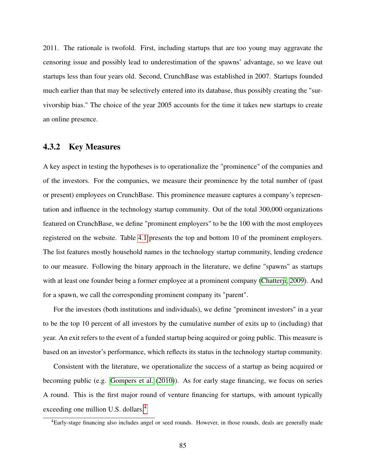2011. The rationale is twofold. First, including startups that are too young may aggravate the censoring issue and possibly lead to underestimation of the spawns' advantage, so we leave out startups less than four years old. Second, CrunchBase was established in 2007. Startups founded much earlier than that may be selectively entered into its database, thus possibly creating the "survivorship bias." The choice of the year 2005 accounts for the time it takes new startups to create an online presence.

#### 4.3.2 Key Measures

A key aspect in testing the hypotheses is to operationalize the "prominence" of the companies and of the investors. For the companies, we measure their prominence by the total number of (past or present) employees on CrunchBase. This prominence measure captures a company's representation and influence in the technology startup community. Out of the total 300,000 organizations featured on CrunchBase, we define "prominent employers" to be the 100 with the most employees registered on the website. Table [4.1](#page-91-0) presents the top and bottom 10 of the prominent employers. The list features mostly household names in the technology startup community, lending credence to our measure. Following the binary approach in the literature, we define "spawns" as startups with at least one founder being a former employee at a prominent company [\(Chatterji, 2009\)](#page-105-1). And for a spawn, we call the corresponding prominent company its "parent".

For the investors (both institutions and individuals), we define "prominent investors" in a year to be the top 10 percent of all investors by the cumulative number of exits up to (including) that year. An exit refers to the event of a funded startup being acquired or going public. This measure is based on an investor's performance, which reflects its status in the technology startup community.

Consistent with the literature, we operationalize the success of a startup as being acquired or becoming public (e.g. [Gompers et al.](#page-108-3) [\(2010\)](#page-108-3)). As for early stage financing, we focus on series A round. This is the first major round of venture financing for startups, with amount typically exceeding one million U.S. dollars.<sup>[4](#page-90-0)</sup>

<span id="page-90-0"></span><sup>&</sup>lt;sup>4</sup>Early-stage financing also includes angel or seed rounds. However, in those rounds, deals are generally made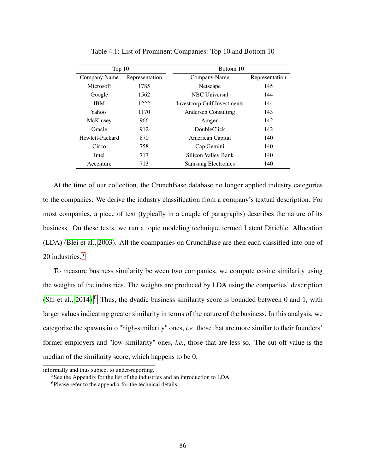| Top $10$        |                | Bottom 10                          |                |  |  |  |
|-----------------|----------------|------------------------------------|----------------|--|--|--|
| Company Name    | Representation | Company Name                       | Representation |  |  |  |
| Microsoft       | 1785           | Netscape                           | 145            |  |  |  |
| Google          | 1562           | <b>NBC</b> Universal               | 144            |  |  |  |
| <b>IBM</b>      | 1222           | <b>Investcorp Gulf Investments</b> | 144            |  |  |  |
| Yahoo!          | 1170           | Andersen Consulting                | 143            |  |  |  |
| McKinsey        | 966            | Amgen                              | 142            |  |  |  |
| Oracle          | 912            | DoubleClick                        | 142            |  |  |  |
| Hewlett-Packard | 870            | American Capital                   | 140            |  |  |  |
| Cisco           | 758            | Cap Gemini                         | 140            |  |  |  |
| Intel           | 717            | Silicon Valley Bank                | 140            |  |  |  |
| Accenture       | 713            | <b>Samsung Electronics</b>         | 140            |  |  |  |

<span id="page-91-0"></span>Table 4.1: List of Prominent Companies: Top 10 and Bottom 10

At the time of our collection, the CrunchBase database no longer applied industry categories to the companies. We derive the industry classification from a company's textual description. For most companies, a piece of text (typically in a couple of paragraphs) describes the nature of its business. On these texts, we run a topic modeling technique termed Latent Dirichlet Allocation (LDA) [\(Blei et al., 2003\)](#page-104-1). All the coampanies on CrunchBase are then each classified into one of 20 industries.<sup>[5](#page-91-1)</sup>

To measure business similarity between two companies, we compute cosine similarity using the weights of the industries. The weights are produced by LDA using the companies' description [\(Shi et al., 2014\)](#page-112-1).<sup>[6](#page-91-2)</sup> Thus, the dyadic business similarity score is bounded between 0 and 1, with larger values indicating greater similarity in terms of the nature of the business. In this analysis, we categorize the spawns into "high-similarity" ones, *i.e.* those that are more similar to their founders' former employers and "low-similarity" ones, *i.e.*, those that are less so. The cut-off value is the median of the similarity score, which happens to be 0.

informally and thus subject to under-reporting.

<span id="page-91-1"></span><sup>5</sup>See the Appendix for the list of the industries and an introduction to LDA.

<span id="page-91-2"></span><sup>&</sup>lt;sup>6</sup>Please refer to the appendix for the technical details.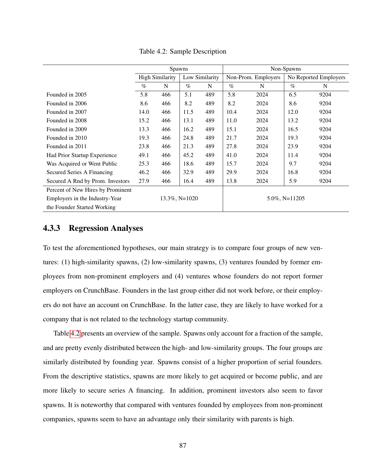|                                   | Spawns                 |     |                      |                | Non-Spawns          |      |                   |                       |
|-----------------------------------|------------------------|-----|----------------------|----------------|---------------------|------|-------------------|-----------------------|
|                                   | <b>High Similarity</b> |     |                      | Low Similarity | Non-Prom. Employers |      |                   | No Reported Employers |
|                                   | $\%$                   | N   | $\%$                 | N              | $\%$                | N    | $\%$              | N                     |
| Founded in 2005                   | 5.8                    | 466 | 5.1                  | 489            | 5.8                 | 2024 | 6.5               | 9204                  |
| Founded in 2006                   | 8.6                    | 466 | 8.2                  | 489            | 8.2                 | 2024 | 8.6               | 9204                  |
| Founded in 2007                   | 14.0                   | 466 | 11.5                 | 489            | 10.4                | 2024 | 12.0              | 9204                  |
| Founded in 2008                   | 15.2                   | 466 | 13.1                 | 489            | 11.0                | 2024 | 13.2              | 9204                  |
| Founded in 2009                   | 13.3                   | 466 | 16.2                 | 489            | 15.1                | 2024 | 16.5              | 9204                  |
| Founded in 2010                   | 19.3                   | 466 | 24.8                 | 489            | 21.7                | 2024 | 19.3              | 9204                  |
| Founded in 2011                   | 23.8                   | 466 | 21.3                 | 489            | 27.8                | 2024 | 23.9              | 9204                  |
| Had Prior Startup Experience      | 49.1                   | 466 | 45.2                 | 489            | 41.0                | 2024 | 11.4              | 9204                  |
| Was Acquired or Went Public       | 25.3                   | 466 | 18.6                 | 489            | 15.7                | 2024 | 9.7               | 9204                  |
| Secured Series A Financing        | 46.2                   | 466 | 32.9                 | 489            | 29.9                | 2024 | 16.8              | 9204                  |
| Secured A Rnd by Prom. Investors  | 27.9                   | 466 | 16.4                 | 489            | 13.8                | 2024 | 5.9               | 9204                  |
| Percent of New Hires by Prominent |                        |     |                      |                |                     |      |                   |                       |
| Employers in the Industry-Year    |                        |     | $13.3\%$ , N= $1020$ |                |                     |      | $5.0\%$ , N=11205 |                       |
| the Founder Started Working       |                        |     |                      |                |                     |      |                   |                       |

<span id="page-92-0"></span>Table 4.2: Sample Description

#### 4.3.3 Regression Analyses

To test the aforementioned hypotheses, our main strategy is to compare four groups of new ventures: (1) high-similarity spawns, (2) low-similarity spawns, (3) ventures founded by former employees from non-prominent employers and (4) ventures whose founders do not report former employers on CrunchBase. Founders in the last group either did not work before, or their employers do not have an account on CrunchBase. In the latter case, they are likely to have worked for a company that is not related to the technology startup community.

Table [4.2](#page-92-0) presents an overview of the sample. Spawns only account for a fraction of the sample, and are pretty evenly distributed between the high- and low-similarity groups. The four groups are similarly distributed by founding year. Spawns consist of a higher proportion of serial founders. From the descriptive statistics, spawns are more likely to get acquired or become public, and are more likely to secure series A financing. In addition, prominent investors also seem to favor spawns. It is noteworthy that compared with ventures founded by employees from non-prominent companies, spawns seem to have an advantage only their similarity with parents is high.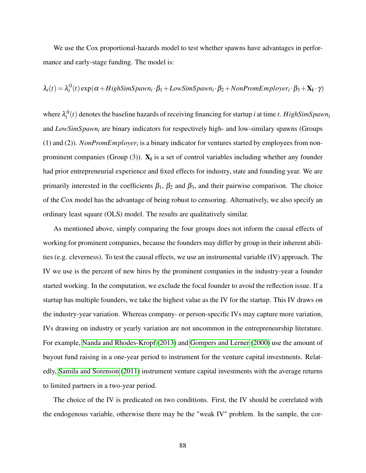We use the Cox proportional-hazards model to test whether spawns have advantages in performance and early-stage funding. The model is:

$$
\lambda_i(t) = \lambda_i^0(t) \exp(\alpha + HighSimSpawn_i \cdot \beta_1 + LowSimSpawn_i \cdot \beta_2 + NonFromEmplayer_i \cdot \beta_3 + X_i \cdot \gamma)
$$

where  $\lambda_i^0(t)$  denotes the baseline hazards of receiving financing for startup *i* at time *t*. HighSimSpawn<sub>i</sub> and *LowSimSpawn<sup>i</sup>* are binary indicators for respectively high- and low-similary spawns (Groups (1) and (2)). *NonPromEmployer<sup>i</sup>* is a binary indicator for ventures started by employees from nonprominent companies (Group  $(3)$ ).  $X_i$  is a set of control variables including whether any founder had prior entrepreneurial experience and fixed effects for industry, state and founding year. We are primarily interested in the coefficients  $\beta_1$ ,  $\beta_2$  and  $\beta_3$ , and their pairwise comparison. The choice of the Cox model has the advantage of being robust to censoring. Alternatively, we also specify an ordinary least square (OLS) model. The results are qualitatively similar.

As mentioned above, simply comparing the four groups does not inform the causal effects of working for prominent companies, because the founders may differ by group in their inherent abilities (e.g. cleverness). To test the causal effects, we use an instrumental variable (IV) approach. The IV we use is the percent of new hires by the prominent companies in the industry-year a founder started working. In the computation, we exclude the focal founder to avoid the reflection issue. If a startup has multiple founders, we take the highest value as the IV for the startup. This IV draws on the industry-year variation. Whereas company- or person-specific IVs may capture more variation, IVs drawing on industry or yearly variation are not uncommon in the entrepreneurship literature. For example, [Nanda and Rhodes-Kropf](#page-111-2) [\(2013\)](#page-111-2) and [Gompers and Lerner](#page-108-4) [\(2000\)](#page-108-4) use the amount of buyout fund raising in a one-year period to instrument for the venture capital investments. Relatedly, [Samila and Sorenson](#page-112-2) [\(2011\)](#page-112-2) instrument venture capital investments with the average returns to limited partners in a two-year period.

The choice of the IV is predicated on two conditions. First, the IV should be correlated with the endogenous variable, otherwise there may be the "weak IV" problem. In the sample, the cor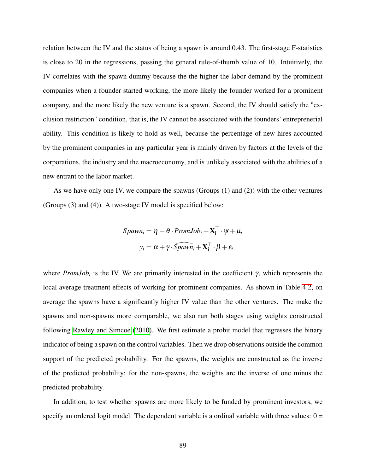relation between the IV and the status of being a spawn is around 0.43. The first-stage F-statistics is close to 20 in the regressions, passing the general rule-of-thumb value of 10. Intuitively, the IV correlates with the spawn dummy because the the higher the labor demand by the prominent companies when a founder started working, the more likely the founder worked for a prominent company, and the more likely the new venture is a spawn. Second, the IV should satisfy the "exclusion restriction" condition, that is, the IV cannot be associated with the founders' entreprenerial ability. This condition is likely to hold as well, because the percentage of new hires accounted by the prominent companies in any particular year is mainly driven by factors at the levels of the corporations, the industry and the macroeconomy, and is unlikely associated with the abilities of a new entrant to the labor market.

As we have only one IV, we compare the spawns (Groups (1) and (2)) with the other ventures (Groups (3) and (4)). A two-stage IV model is specified below:

$$
Spawn_i = \eta + \theta \cdot PromJob_i + \mathbf{X}_i^{\top} \cdot \psi + \mu_i
$$

$$
y_i = \alpha + \gamma \cdot \widehat{Spawn_i} + \mathbf{X}_i^{\top} \cdot \beta + \varepsilon_i
$$

where  $PromJob_i$  is the IV. We are primarily interested in the coefficient  $\gamma$ , which represents the local average treatment effects of working for prominent companies. As shown in Table [4.2,](#page-92-0) on average the spawns have a significantly higher IV value than the other ventures. The make the spawns and non-spawns more comparable, we also run both stages using weights constructed following [Rawley and Simcoe](#page-111-3) [\(2010\)](#page-111-3). We first estimate a probit model that regresses the binary indicator of being a spawn on the control variables. Then we drop observations outside the common support of the predicted probability. For the spawns, the weights are constructed as the inverse of the predicted probability; for the non-spawns, the weights are the inverse of one minus the predicted probability.

In addition, to test whether spawns are more likely to be funded by prominent investors, we specify an ordered logit model. The dependent variable is a ordinal variable with three values:  $0 =$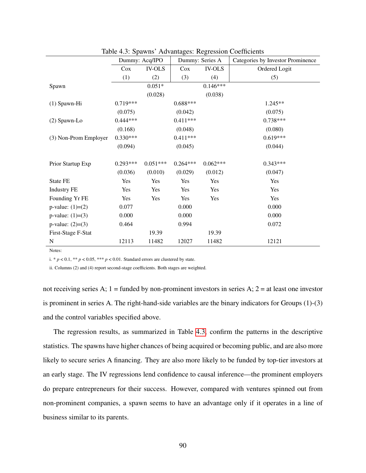|                       | Dummy: Acq/IPO |               |            | Dummy: Series A | Categories by Investor Prominence |
|-----------------------|----------------|---------------|------------|-----------------|-----------------------------------|
|                       | Cox            | <b>IV-OLS</b> | Cox        | <b>IV-OLS</b>   | Ordered Logit                     |
|                       | (1)            | (2)           | (3)        | (4)             | (5)                               |
| Spawn                 |                | $0.051*$      |            | $0.146***$      |                                   |
|                       |                | (0.028)       |            | (0.038)         |                                   |
| (1) Spawn-Hi          | $0.719***$     |               | $0.688***$ |                 | $1.245**$                         |
|                       | (0.075)        |               | (0.042)    |                 | (0.075)                           |
| (2) Spawn-Lo          | $0.444***$     |               | $0.411***$ |                 | $0.738***$                        |
|                       | (0.168)        |               | (0.048)    |                 | (0.080)                           |
| (3) Non-Prom Employer | $0.330***$     |               | $0.411***$ |                 | $0.619***$                        |
|                       | (0.094)        |               | (0.045)    |                 | (0.044)                           |
|                       |                |               |            |                 |                                   |
| Prior Startup Exp     | $0.293***$     | $0.051***$    | $0.264***$ | $0.062***$      | $0.343***$                        |
|                       | (0.036)        | (0.010)       | (0.029)    | (0.012)         | (0.047)                           |
| State FE              | Yes            | Yes           | Yes        | Yes             | Yes                               |
| <b>Industry FE</b>    | Yes            | Yes           | Yes        | Yes             | Yes                               |
| Founding Yr FE        | Yes            | Yes           | Yes        | Yes             | Yes                               |
| p-value: $(1)=(2)$    | 0.077          |               | 0.000      |                 | 0.000                             |
| p-value: $(1)=(3)$    | 0.000          |               | 0.000      |                 | 0.000                             |
| $p-value: (2)= (3)$   | 0.464          |               | 0.994      |                 | 0.072                             |
| First-Stage F-Stat    |                | 19.39         |            | 19.39           |                                   |
| N                     | 12113          | 11482         | 12027      | 11482           | 12121                             |

<span id="page-95-0"></span>Table 4.3: Spawns' Advantages: Regression Coefficients

Notes:

i. \*  $p < 0.1$ , \*\*  $p < 0.05$ , \*\*\*  $p < 0.01$ . Standard errors are clustered by state.

ii. Columns (2) and (4) report second-stage coefficients. Both stages are weighted.

not receiving series A;  $1 =$  funded by non-prominent investors in series A;  $2 =$  at least one investor is prominent in series A. The right-hand-side variables are the binary indicators for Groups (1)-(3) and the control variables specified above.

The regression results, as summarized in Table [4.3,](#page-95-0) confirm the patterns in the descriptive statistics. The spawns have higher chances of being acquired or becoming public, and are also more likely to secure series A financing. They are also more likely to be funded by top-tier investors at an early stage. The IV regressions lend confidence to causal inference—the prominent employers do prepare entrepreneurs for their success. However, compared with ventures spinned out from non-prominent companies, a spawn seems to have an advantage only if it operates in a line of business similar to its parents.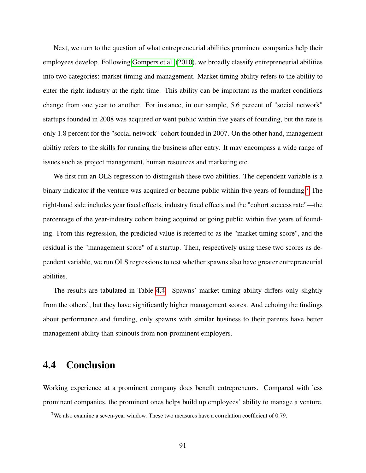Next, we turn to the question of what entrepreneurial abilities prominent companies help their employees develop. Following [Gompers et al.](#page-108-3) [\(2010\)](#page-108-3), we broadly classify entrepreneurial abilities into two categories: market timing and management. Market timing ability refers to the ability to enter the right industry at the right time. This ability can be important as the market conditions change from one year to another. For instance, in our sample, 5.6 percent of "social network" startups founded in 2008 was acquired or went public within five years of founding, but the rate is only 1.8 percent for the "social network" cohort founded in 2007. On the other hand, management abiltiy refers to the skills for running the business after entry. It may encompass a wide range of issues such as project management, human resources and marketing etc.

We first run an OLS regression to distinguish these two abilities. The dependent variable is a binary indicator if the venture was acquired or became public within five years of founding.<sup>[7](#page-96-0)</sup> The right-hand side includes year fixed effects, industry fixed effects and the "cohort success rate"—the percentage of the year-industry cohort being acquired or going public within five years of founding. From this regression, the predicted value is referred to as the "market timing score", and the residual is the "management score" of a startup. Then, respectively using these two scores as dependent variable, we run OLS regressions to test whether spawns also have greater entrepreneurial abilities.

The results are tabulated in Table [4.4.](#page-97-0) Spawns' market timing ability differs only slightly from the others', but they have significantly higher management scores. And echoing the findings about performance and funding, only spawns with similar business to their parents have better management ability than spinouts from non-prominent employers.

## 4.4 Conclusion

Working experience at a prominent company does benefit entrepreneurs. Compared with less prominent companies, the prominent ones helps build up employees' ability to manage a venture,

<span id="page-96-0"></span><sup>&</sup>lt;sup>7</sup>We also examine a seven-year window. These two measures have a correlation coefficient of 0.79.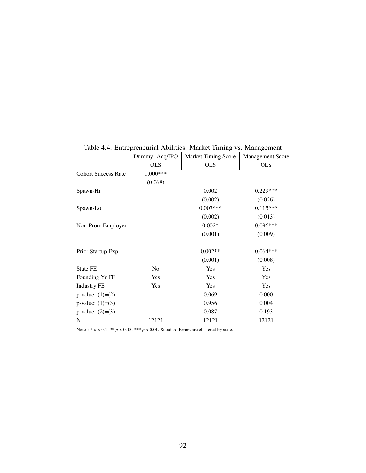|                            | Dummy: Acq/IPO | <b>Market Timing Score</b> | <b>Management Score</b> |
|----------------------------|----------------|----------------------------|-------------------------|
|                            | <b>OLS</b>     | <b>OLS</b>                 | <b>OLS</b>              |
| <b>Cohort Success Rate</b> | 1.000***       |                            |                         |
|                            | (0.068)        |                            |                         |
| Spawn-Hi                   |                | 0.002                      | $0.229***$              |
|                            |                | (0.002)                    | (0.026)                 |
| Spawn-Lo                   |                | $0.007***$                 | $0.115***$              |
|                            |                | (0.002)                    | (0.013)                 |
| Non-Prom Employer          |                | $0.002*$                   | $0.096***$              |
|                            |                | (0.001)                    | (0.009)                 |
|                            |                |                            |                         |
| Prior Startup Exp          |                | $0.002**$                  | $0.064***$              |
|                            |                | (0.001)                    | (0.008)                 |
| State FE                   | N <sub>o</sub> | Yes                        | Yes                     |
| Founding Yr FE             | Yes            | Yes                        | Yes                     |
| <b>Industry FE</b>         | Yes            | Yes                        | Yes                     |
| $p-value: (1)= (2)$        |                | 0.069                      | 0.000                   |
| p-value: $(1)=(3)$         |                | 0.956                      | 0.004                   |
| $p-value: (2)= (3)$        |                | 0.087                      | 0.193                   |
| N                          | 12121          | 12121                      | 12121                   |

<span id="page-97-0"></span>Table 4.4: Entrepreneurial Abilities: Market Timing vs. Management

Notes:  $* p < 0.1, ** p < 0.05, *** p < 0.01$ . Standard Errors are clustered by state.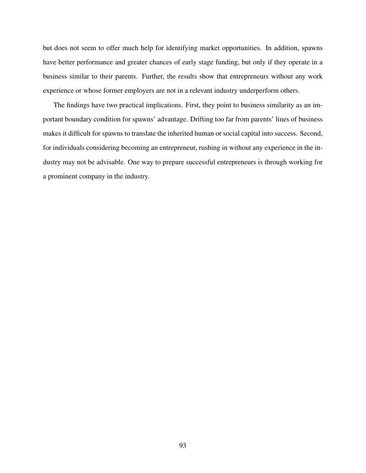but does not seem to offer much help for identifying market opportunities. In addition, spawns have better performance and greater chances of early stage funding, but only if they operate in a business similar to their parents. Further, the results show that entrepreneurs without any work experience or whose former employers are not in a relevant industry underperform others.

The findings have two practical implications. First, they point to business similarity as an important boundary condition for spawns' advantage. Drifting too far from parents' lines of business makes it difficult for spawns to translate the inherited human or social capital into success. Second, for individuals considering becoming an entrepreneur, rushing in without any experience in the industry may not be advisable. One way to prepare successful entrepreneurs is through working for a prominent company in the industry.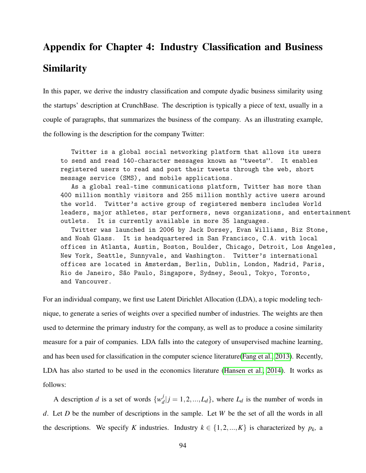# Appendix for Chapter 4: Industry Classification and Business Similarity

In this paper, we derive the industry classification and compute dyadic business similarity using the startups' description at CrunchBase. The description is typically a piece of text, usually in a couple of paragraphs, that summarizes the business of the company. As an illustrating example, the following is the description for the company Twitter:

Twitter is a global social networking platform that allows its users to send and read 140-character messages known as "tweets". It enables registered users to read and post their tweets through the web, short message service (SMS), and mobile applications.

As a global real-time communications platform, Twitter has more than 400 million monthly visitors and 255 million monthly active users around the world. Twitter's active group of registered members includes World leaders, major athletes, star performers, news organizations, and entertainment outlets. It is currently available in more 35 languages.

Twitter was launched in 2006 by Jack Dorsey, Evan Williams, Biz Stone, and Noah Glass. It is headquartered in San Francisco, C.A. with local offices in Atlanta, Austin, Boston, Boulder, Chicago, Detroit, Los Angeles, New York, Seattle, Sunnyvale, and Washington. Twitter's international offices are located in Amsterdam, Berlin, Dublin, London, Madrid, Paris, Rio de Janeiro, São Paulo, Singapore, Sydney, Seoul, Tokyo, Toronto, and Vancouver.

For an individual company, we first use Latent Dirichlet Allocation (LDA), a topic modeling technique, to generate a series of weights over a specified number of industries. The weights are then used to determine the primary industry for the company, as well as to produce a cosine similarity measure for a pair of companies. LDA falls into the category of unsupervised machine learning, and has been used for classification in the computer science literature[\(Fang et al., 2013\)](#page-107-1). Recently, LDA has also started to be used in the economics literature [\(Hansen et al., 2014\)](#page-108-5). It works as follows:

A description *d* is a set of words  $\{w_d^j\}$  $L_d^J$   $|j = 1, 2, ..., L_d$ , where  $L_d$  is the number of words in *d*. Let *D* be the number of descriptions in the sample. Let *W* be the set of all the words in all the descriptions. We specify *K* industries. Industry  $k \in \{1, 2, ..., K\}$  is characterized by  $p_k$ , a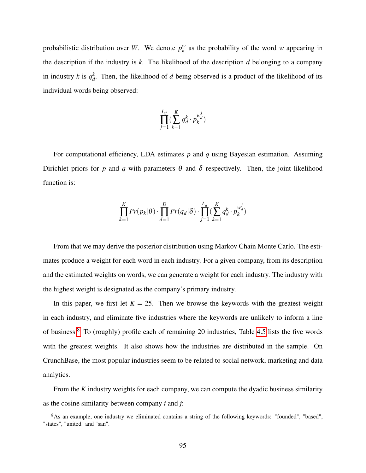probabilistic distribution over *W*. We denote  $p_k^w$  $k_k^w$  as the probability of the word *w* appearing in the description if the industry is *k.* The likelihood of the description *d* belonging to a company in industry *k* is  $q_d^k$  $\alpha_d^k$ . Then, the likelihood of *d* being observed is a product of the likelihood of its individual words being observed:

$$
\prod_{j=1}^{L_d} \bigl( \sum_{k=1}^K q_d^k \cdot p_k^{w_d^j} \bigr)
$$

For computational efficiency, LDA estimates *p* and *q* using Bayesian estimation. Assuming Dirichlet priors for *p* and *q* with parameters  $\theta$  and  $\delta$  respectively. Then, the joint likelihood function is:

$$
\prod_{k=1}^K Pr(p_k|\theta) \cdot \prod_{d=1}^D Pr(q_d|\delta) \cdot \prod_{j=1}^{L_d} \left( \sum_{k=1}^K q_d^k \cdot p_k^{w_d^j} \right)
$$

From that we may derive the posterior distribution using Markov Chain Monte Carlo. The estimates produce a weight for each word in each industry. For a given company, from its description and the estimated weights on words, we can generate a weight for each industry. The industry with the highest weight is designated as the company's primary industry.

In this paper, we first let  $K = 25$ . Then we browse the keywords with the greatest weight in each industry, and eliminate five industries where the keywords are unlikely to inform a line of business.[8](#page-100-0) To (roughly) profile each of remaining 20 industries, Table [4.5](#page-101-0) lists the five words with the greatest weights. It also shows how the industries are distributed in the sample. On CrunchBase, the most popular industries seem to be related to social network, marketing and data analytics.

From the *K* industry weights for each company, we can compute the dyadic business similarity as the cosine similarity between company *i* and *j*:

<span id="page-100-0"></span><sup>8</sup>As an example, one industry we eliminated contains a string of the following keywords: "founded", "based", "states", "united" and "san".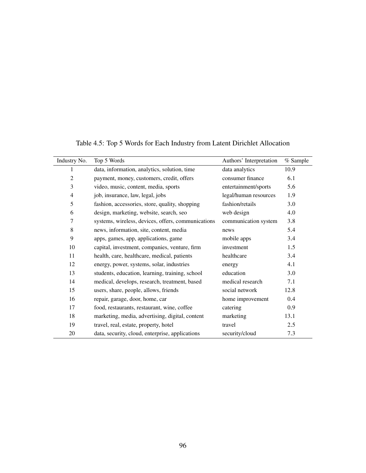| Industry No.   | Top 5 Words                                        | Authors' Interpretation | % Sample |
|----------------|----------------------------------------------------|-------------------------|----------|
| $\mathbf{1}$   | data, information, analytics, solution, time       | data analytics          | 10.9     |
| $\mathfrak{2}$ | payment, money, customers, credit, offers          | consumer finance        | 6.1      |
| 3              | video, music, content, media, sports               | entertainment/sports    | 5.6      |
| 4              | job, insurance, law, legal, jobs                   | legal/human resources   | 1.9      |
| 5              | fashion, accessories, store, quality, shopping     | fashion/retails         | 3.0      |
| 6              | design, marketing, website, search, seo            | web design              | 4.0      |
| 7              | systems, wireless, devices, offers, communications | communication system    | 3.8      |
| 8              | news, information, site, content, media            | news                    | 5.4      |
| 9              | apps, games, app, applications, game               | mobile apps             | 3.4      |
| 10             | capital, investment, companies, venture, firm      | investment              | 1.5      |
| 11             | health, care, healthcare, medical, patients        | healthcare              | 3.4      |
| 12             | energy, power, systems, solar, industries          | energy                  | 4.1      |
| 13             | students, education, learning, training, school    | education               | 3.0      |
| 14             | medical, develops, research, treatment, based      | medical research        | 7.1      |
| 15             | users, share, people, allows, friends              | social network          | 12.8     |
| 16             | repair, garage, door, home, car                    | home improvement        | 0.4      |
| 17             | food, restaurants, restaurant, wine, coffee        | catering                | 0.9      |
| 18             | marketing, media, advertising, digital, content    | marketing               | 13.1     |
| 19             | travel, real, estate, property, hotel              | travel                  | 2.5      |
| 20             | data, security, cloud, enterprise, applications    | security/cloud          | 7.3      |

<span id="page-101-0"></span>Table 4.5: Top 5 Words for Each Industry from Latent Dirichlet Allocation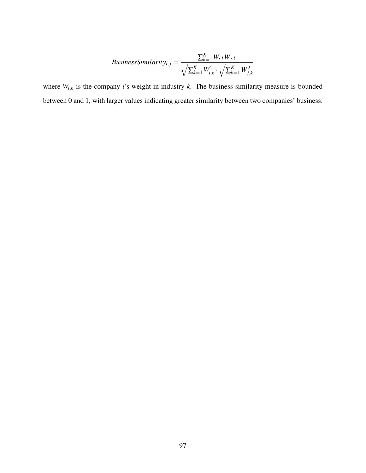$$
Business Similarity_{i,j} = \frac{\sum_{k=1}^{K} W_{i,k} W_{j,k}}{\sqrt{\sum_{k=1}^{K} W_{i,k}^2} \cdot \sqrt{\sum_{k=1}^{K} W_{j,k}^2}}
$$

where  $W_{i,k}$  is the company *i*'s weight in industry *k*. The business similarity measure is bounded between 0 and 1, with larger values indicating greater similarity between two companies' business.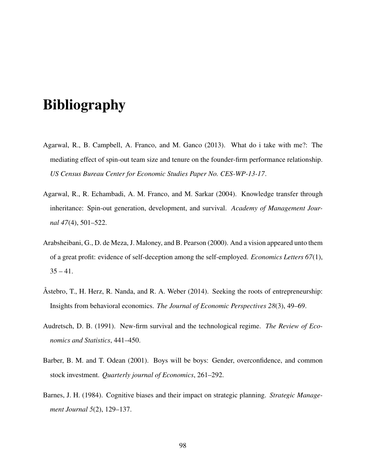# Bibliography

- <span id="page-103-1"></span>Agarwal, R., B. Campbell, A. Franco, and M. Ganco (2013). What do i take with me?: The mediating effect of spin-out team size and tenure on the founder-firm performance relationship. *US Census Bureau Center for Economic Studies Paper No. CES-WP-13-17*.
- <span id="page-103-0"></span>Agarwal, R., R. Echambadi, A. M. Franco, and M. Sarkar (2004). Knowledge transfer through inheritance: Spin-out generation, development, and survival. *Academy of Management Journal 47*(4), 501–522.
- Arabsheibani, G., D. de Meza, J. Maloney, and B. Pearson (2000). And a vision appeared unto them of a great profit: evidence of self-deception among the self-employed. *Economics Letters 67*(1),  $35 - 41$ .
- Åstebro, T., H. Herz, R. Nanda, and R. A. Weber (2014). Seeking the roots of entrepreneurship: Insights from behavioral economics. *The Journal of Economic Perspectives 28*(3), 49–69.
- Audretsch, D. B. (1991). New-firm survival and the technological regime. *The Review of Economics and Statistics*, 441–450.
- Barber, B. M. and T. Odean (2001). Boys will be boys: Gender, overconfidence, and common stock investment. *Quarterly journal of Economics*, 261–292.
- Barnes, J. H. (1984). Cognitive biases and their impact on strategic planning. *Strategic Management Journal 5*(2), 129–137.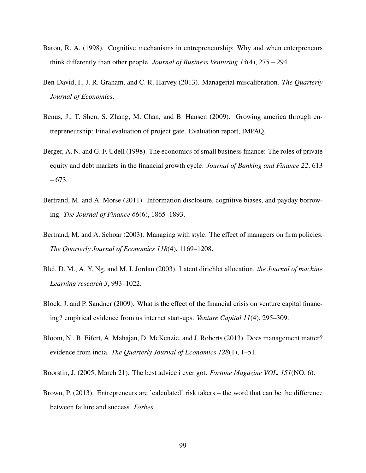- Baron, R. A. (1998). Cognitive mechanisms in entrepreneurship: Why and when enterpreneurs think differently than other people. *Journal of Business Venturing 13*(4), 275 – 294.
- Ben-David, I., J. R. Graham, and C. R. Harvey (2013). Managerial miscalibration. *The Quarterly Journal of Economics*.
- Benus, J., T. Shen, S. Zhang, M. Chan, and B. Hansen (2009). Growing america through entrepreneurship: Final evaluation of project gate. Evaluation report, IMPAQ.
- Berger, A. N. and G. F. Udell (1998). The economics of small business finance: The roles of private equity and debt markets in the financial growth cycle. *Journal of Banking and Finance 22*, 613 – 673.
- Bertrand, M. and A. Morse (2011). Information disclosure, cognitive biases, and payday borrowing. *The Journal of Finance 66*(6), 1865–1893.
- Bertrand, M. and A. Schoar (2003). Managing with style: The effect of managers on firm policies. *The Quarterly Journal of Economics 118*(4), 1169–1208.
- <span id="page-104-1"></span>Blei, D. M., A. Y. Ng, and M. I. Jordan (2003). Latent dirichlet allocation. *the Journal of machine Learning research 3*, 993–1022.
- <span id="page-104-0"></span>Block, J. and P. Sandner (2009). What is the effect of the financial crisis on venture capital financing? empirical evidence from us internet start-ups. *Venture Capital 11*(4), 295–309.
- Bloom, N., B. Eifert, A. Mahajan, D. McKenzie, and J. Roberts (2013). Does management matter? evidence from india. *The Quarterly Journal of Economics 128*(1), 1–51.
- Boorstin, J. (2005, March 21). The best advice i ever got. *Fortune Magazine VOL. 151*(NO. 6).
- Brown, P. (2013). Entrepreneurs are 'calculated' risk takers the word that can be the difference between failure and success. *Forbes*.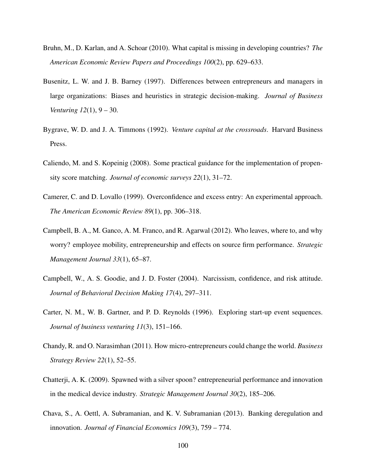- Bruhn, M., D. Karlan, and A. Schoar (2010). What capital is missing in developing countries? *The American Economic Review Papers and Proceedings 100*(2), pp. 629–633.
- Busenitz, L. W. and J. B. Barney (1997). Differences between entrepreneurs and managers in large organizations: Biases and heuristics in strategic decision-making. *Journal of Business Venturing 12*(1), 9 – 30.
- <span id="page-105-3"></span>Bygrave, W. D. and J. A. Timmons (1992). *Venture capital at the crossroads*. Harvard Business Press.
- Caliendo, M. and S. Kopeinig (2008). Some practical guidance for the implementation of propensity score matching. *Journal of economic surveys 22*(1), 31–72.
- <span id="page-105-0"></span>Camerer, C. and D. Lovallo (1999). Overconfidence and excess entry: An experimental approach. *The American Economic Review 89*(1), pp. 306–318.
- <span id="page-105-2"></span>Campbell, B. A., M. Ganco, A. M. Franco, and R. Agarwal (2012). Who leaves, where to, and why worry? employee mobility, entrepreneurship and effects on source firm performance. *Strategic Management Journal 33*(1), 65–87.
- Campbell, W., A. S. Goodie, and J. D. Foster (2004). Narcissism, confidence, and risk attitude. *Journal of Behavioral Decision Making 17*(4), 297–311.
- Carter, N. M., W. B. Gartner, and P. D. Reynolds (1996). Exploring start-up event sequences. *Journal of business venturing 11*(3), 151–166.
- Chandy, R. and O. Narasimhan (2011). How micro-entrepreneurs could change the world. *Business Strategy Review 22*(1), 52–55.
- <span id="page-105-1"></span>Chatterji, A. K. (2009). Spawned with a silver spoon? entrepreneurial performance and innovation in the medical device industry. *Strategic Management Journal 30*(2), 185–206.
- Chava, S., A. Oettl, A. Subramanian, and K. V. Subramanian (2013). Banking deregulation and innovation. *Journal of Financial Economics 109*(3), 759 – 774.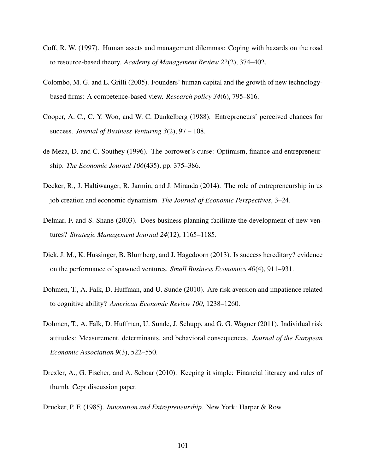- Coff, R. W. (1997). Human assets and management dilemmas: Coping with hazards on the road to resource-based theory. *Academy of Management Review 22*(2), 374–402.
- <span id="page-106-0"></span>Colombo, M. G. and L. Grilli (2005). Founders' human capital and the growth of new technologybased firms: A competence-based view. *Research policy 34*(6), 795–816.
- Cooper, A. C., C. Y. Woo, and W. C. Dunkelberg (1988). Entrepreneurs' perceived chances for success. *Journal of Business Venturing 3*(2), 97 – 108.
- de Meza, D. and C. Southey (1996). The borrower's curse: Optimism, finance and entrepreneurship. *The Economic Journal 106*(435), pp. 375–386.
- Decker, R., J. Haltiwanger, R. Jarmin, and J. Miranda (2014). The role of entrepreneurship in us job creation and economic dynamism. *The Journal of Economic Perspectives*, 3–24.
- Delmar, F. and S. Shane (2003). Does business planning facilitate the development of new ventures? *Strategic Management Journal 24*(12), 1165–1185.
- <span id="page-106-1"></span>Dick, J. M., K. Hussinger, B. Blumberg, and J. Hagedoorn (2013). Is success hereditary? evidence on the performance of spawned ventures. *Small Business Economics 40*(4), 911–931.
- Dohmen, T., A. Falk, D. Huffman, and U. Sunde (2010). Are risk aversion and impatience related to cognitive ability? *American Economic Review 100*, 1238–1260.
- Dohmen, T., A. Falk, D. Huffman, U. Sunde, J. Schupp, and G. G. Wagner (2011). Individual risk attitudes: Measurement, determinants, and behavioral consequences. *Journal of the European Economic Association 9*(3), 522–550.
- Drexler, A., G. Fischer, and A. Schoar (2010). Keeping it simple: Financial literacy and rules of thumb. Cepr discussion paper.
- Drucker, P. F. (1985). *Innovation and Entrepreneurship*. New York: Harper & Row.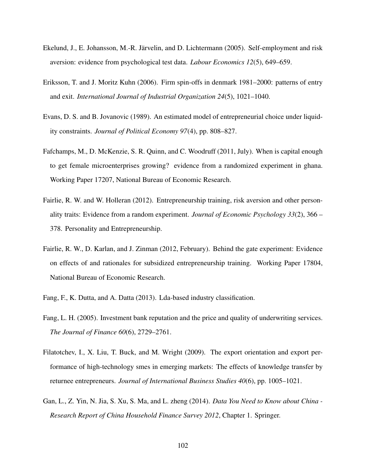- Ekelund, J., E. Johansson, M.-R. Järvelin, and D. Lichtermann (2005). Self-employment and risk aversion: evidence from psychological test data. *Labour Economics 12*(5), 649–659.
- <span id="page-107-0"></span>Eriksson, T. and J. Moritz Kuhn (2006). Firm spin-offs in denmark 1981–2000: patterns of entry and exit. *International Journal of Industrial Organization 24*(5), 1021–1040.
- Evans, D. S. and B. Jovanovic (1989). An estimated model of entrepreneurial choice under liquidity constraints. *Journal of Political Economy 97*(4), pp. 808–827.
- Fafchamps, M., D. McKenzie, S. R. Quinn, and C. Woodruff (2011, July). When is capital enough to get female microenterprises growing? evidence from a randomized experiment in ghana. Working Paper 17207, National Bureau of Economic Research.
- Fairlie, R. W. and W. Holleran (2012). Entrepreneurship training, risk aversion and other personality traits: Evidence from a random experiment. *Journal of Economic Psychology 33*(2), 366 – 378. Personality and Entrepreneurship.
- Fairlie, R. W., D. Karlan, and J. Zinman (2012, February). Behind the gate experiment: Evidence on effects of and rationales for subsidized entrepreneurship training. Working Paper 17804, National Bureau of Economic Research.
- <span id="page-107-1"></span>Fang, F., K. Dutta, and A. Datta (2013). Lda-based industry classification.
- Fang, L. H. (2005). Investment bank reputation and the price and quality of underwriting services. *The Journal of Finance 60*(6), 2729–2761.
- Filatotchev, I., X. Liu, T. Buck, and M. Wright (2009). The export orientation and export performance of high-technology smes in emerging markets: The effects of knowledge transfer by returnee entrepreneurs. *Journal of International Business Studies 40*(6), pp. 1005–1021.
- Gan, L., Z. Yin, N. Jia, S. Xu, S. Ma, and L. zheng (2014). *Data You Need to Know about China - Research Report of China Household Finance Survey 2012*, Chapter 1. Springer.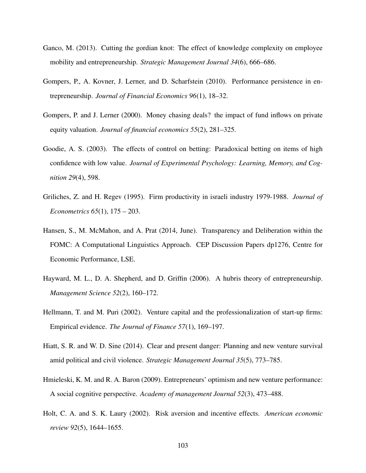- Ganco, M. (2013). Cutting the gordian knot: The effect of knowledge complexity on employee mobility and entrepreneurship. *Strategic Management Journal 34*(6), 666–686.
- Gompers, P., A. Kovner, J. Lerner, and D. Scharfstein (2010). Performance persistence in entrepreneurship. *Journal of Financial Economics 96*(1), 18–32.
- Gompers, P. and J. Lerner (2000). Money chasing deals? the impact of fund inflows on private equity valuation. *Journal of financial economics 55*(2), 281–325.
- Goodie, A. S. (2003). The effects of control on betting: Paradoxical betting on items of high confidence with low value. *Journal of Experimental Psychology: Learning, Memory, and Cognition 29*(4), 598.
- Griliches, Z. and H. Regev (1995). Firm productivity in israeli industry 1979-1988. *Journal of Econometrics 65*(1), 175 – 203.
- Hansen, S., M. McMahon, and A. Prat (2014, June). Transparency and Deliberation within the FOMC: A Computational Linguistics Approach. CEP Discussion Papers dp1276, Centre for Economic Performance, LSE.
- Hayward, M. L., D. A. Shepherd, and D. Griffin (2006). A hubris theory of entrepreneurship. *Management Science 52*(2), 160–172.
- Hellmann, T. and M. Puri (2002). Venture capital and the professionalization of start-up firms: Empirical evidence. *The Journal of Finance 57*(1), 169–197.
- Hiatt, S. R. and W. D. Sine (2014). Clear and present danger: Planning and new venture survival amid political and civil violence. *Strategic Management Journal 35*(5), 773–785.
- Hmieleski, K. M. and R. A. Baron (2009). Entrepreneurs' optimism and new venture performance: A social cognitive perspective. *Academy of management Journal 52*(3), 473–488.
- Holt, C. A. and S. K. Laury (2002). Risk aversion and incentive effects. *American economic review 92*(5), 1644–1655.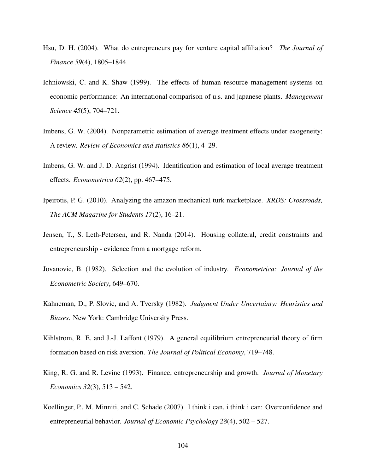- Hsu, D. H. (2004). What do entrepreneurs pay for venture capital affiliation? *The Journal of Finance 59*(4), 1805–1844.
- Ichniowski, C. and K. Shaw (1999). The effects of human resource management systems on economic performance: An international comparison of u.s. and japanese plants. *Management Science 45*(5), 704–721.
- Imbens, G. W. (2004). Nonparametric estimation of average treatment effects under exogeneity: A review. *Review of Economics and statistics 86*(1), 4–29.
- Imbens, G. W. and J. D. Angrist (1994). Identification and estimation of local average treatment effects. *Econometrica 62*(2), pp. 467–475.
- Ipeirotis, P. G. (2010). Analyzing the amazon mechanical turk marketplace. *XRDS: Crossroads, The ACM Magazine for Students 17*(2), 16–21.
- Jensen, T., S. Leth-Petersen, and R. Nanda (2014). Housing collateral, credit constraints and entrepreneurship - evidence from a mortgage reform.
- Jovanovic, B. (1982). Selection and the evolution of industry. *Econometrica: Journal of the Econometric Society*, 649–670.
- Kahneman, D., P. Slovic, and A. Tversky (1982). *Judgment Under Uncertainty: Heuristics and Biases*. New York: Cambridge University Press.
- Kihlstrom, R. E. and J.-J. Laffont (1979). A general equilibrium entrepreneurial theory of firm formation based on risk aversion. *The Journal of Political Economy*, 719–748.
- King, R. G. and R. Levine (1993). Finance, entrepreneurship and growth. *Journal of Monetary Economics 32*(3), 513 – 542.
- Koellinger, P., M. Minniti, and C. Schade (2007). I think i can, i think i can: Overconfidence and entrepreneurial behavior. *Journal of Economic Psychology 28*(4), 502 – 527.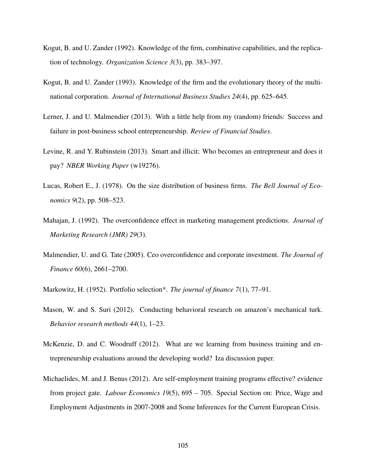- Kogut, B. and U. Zander (1992). Knowledge of the firm, combinative capabilities, and the replication of technology. *Organization Science 3*(3), pp. 383–397.
- Kogut, B. and U. Zander (1993). Knowledge of the firm and the evolutionary theory of the multinational corporation. *Journal of International Business Studies 24*(4), pp. 625–645.
- Lerner, J. and U. Malmendier (2013). With a little help from my (random) friends: Success and failure in post-business school entrepreneurship. *Review of Financial Studies*.
- Levine, R. and Y. Rubinstein (2013). Smart and illicit: Who becomes an entrepreneur and does it pay? *NBER Working Paper* (w19276).
- Lucas, Robert E., J. (1978). On the size distribution of business firms. *The Bell Journal of Economics 9*(2), pp. 508–523.
- Mahajan, J. (1992). The overconfidence effect in marketing management predictions. *Journal of Marketing Research (JMR) 29*(3).
- Malmendier, U. and G. Tate (2005). Ceo overconfidence and corporate investment. *The Journal of Finance 60*(6), 2661–2700.
- Markowitz, H. (1952). Portfolio selection\*. *The journal of finance 7*(1), 77–91.
- Mason, W. and S. Suri (2012). Conducting behavioral research on amazon's mechanical turk. *Behavior research methods 44*(1), 1–23.
- McKenzie, D. and C. Woodruff (2012). What are we learning from business training and entrepreneurship evaluations around the developing world? Iza discussion paper.
- Michaelides, M. and J. Benus (2012). Are self-employment training programs effective? evidence from project gate. *Labour Economics 19*(5), 695 – 705. Special Section on: Price, Wage and Employment Adjustments in 2007-2008 and Some Inferences for the Current European Crisis.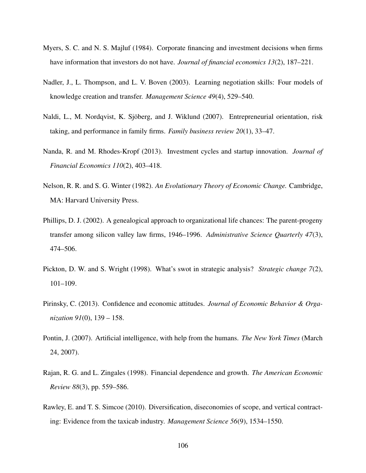- Myers, S. C. and N. S. Majluf (1984). Corporate financing and investment decisions when firms have information that investors do not have. *Journal of financial economics 13*(2), 187–221.
- Nadler, J., L. Thompson, and L. V. Boven (2003). Learning negotiation skills: Four models of knowledge creation and transfer. *Management Science 49*(4), 529–540.
- Naldi, L., M. Nordqvist, K. Sjöberg, and J. Wiklund (2007). Entrepreneurial orientation, risk taking, and performance in family firms. *Family business review 20*(1), 33–47.
- Nanda, R. and M. Rhodes-Kropf (2013). Investment cycles and startup innovation. *Journal of Financial Economics 110*(2), 403–418.
- Nelson, R. R. and S. G. Winter (1982). *An Evolutionary Theory of Economic Change.* Cambridge, MA: Harvard University Press.
- Phillips, D. J. (2002). A genealogical approach to organizational life chances: The parent-progeny transfer among silicon valley law firms, 1946–1996. *Administrative Science Quarterly 47*(3), 474–506.
- Pickton, D. W. and S. Wright (1998). What's swot in strategic analysis? *Strategic change 7*(2), 101–109.
- Pirinsky, C. (2013). Confidence and economic attitudes. *Journal of Economic Behavior & Organization 91*(0), 139 – 158.
- Pontin, J. (2007). Artificial intelligence, with help from the humans. *The New York Times* (March 24, 2007).
- Rajan, R. G. and L. Zingales (1998). Financial dependence and growth. *The American Economic Review 88*(3), pp. 559–586.
- Rawley, E. and T. S. Simcoe (2010). Diversification, diseconomies of scope, and vertical contracting: Evidence from the taxicab industry. *Management Science 56*(9), 1534–1550.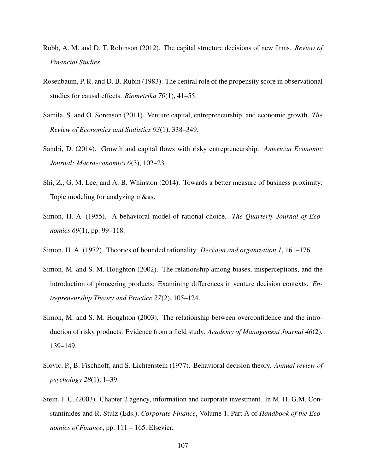- Robb, A. M. and D. T. Robinson (2012). The capital structure decisions of new firms. *Review of Financial Studies*.
- Rosenbaum, P. R. and D. B. Rubin (1983). The central role of the propensity score in observational studies for causal effects. *Biometrika 70*(1), 41–55.
- Samila, S. and O. Sorenson (2011). Venture capital, entrepreneurship, and economic growth. *The Review of Economics and Statistics 93*(1), 338–349.
- Sandri, D. (2014). Growth and capital flows with risky entrepreneurship. *American Economic Journal: Macroeconomics 6*(3), 102–23.
- Shi, Z., G. M. Lee, and A. B. Whinston (2014). Towards a better measure of business proximity: Topic modeling for analyzing m&as.
- Simon, H. A. (1955). A behavioral model of rational choice. *The Quarterly Journal of Economics 69*(1), pp. 99–118.
- Simon, H. A. (1972). Theories of bounded rationality. *Decision and organization 1*, 161–176.
- Simon, M. and S. M. Houghton (2002). The relationship among biases, misperceptions, and the introduction of pioneering products: Examining differences in venture decision contexts. *Entrepreneurship Theory and Practice 27*(2), 105–124.
- Simon, M. and S. M. Houghton (2003). The relationship between overconfidence and the introduction of risky products: Evidence from a field study. *Academy of Management Journal 46*(2), 139–149.
- Slovic, P., B. Fischhoff, and S. Lichtenstein (1977). Behavioral decision theory. *Annual review of psychology 28*(1), 1–39.
- Stein, J. C. (2003). Chapter 2 agency, information and corporate investment. In M. H. G.M. Constantinides and R. Stulz (Eds.), *Corporate Finance*, Volume 1, Part A of *Handbook of the Economics of Finance*, pp. 111 – 165. Elsevier.